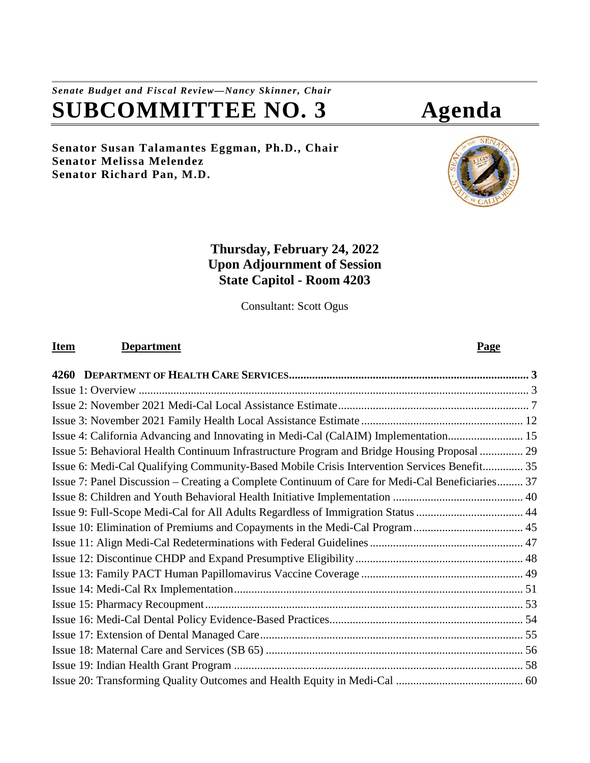# *Senate Budget and Fiscal Review—Nancy Skinner, Chair* **SUBCOMMITTEE NO. 3 Agenda**

**Senator Susan Talamantes Eggman, Ph.D., Chair Senator Melissa Melendez Senator Richard Pan, M.D.**

# **Thursday, February 24, 2022 Upon Adjournment of Session State Capitol - Room 4203**

Consultant: Scott Ogus

# **Item Department Page**

| Issue 4: California Advancing and Innovating in Medi-Cal (CalAIM) Implementation 15             |  |
|-------------------------------------------------------------------------------------------------|--|
| Issue 5: Behavioral Health Continuum Infrastructure Program and Bridge Housing Proposal  29     |  |
| Issue 6: Medi-Cal Qualifying Community-Based Mobile Crisis Intervention Services Benefit 35     |  |
| Issue 7: Panel Discussion – Creating a Complete Continuum of Care for Medi-Cal Beneficiaries 37 |  |
|                                                                                                 |  |
|                                                                                                 |  |
|                                                                                                 |  |
|                                                                                                 |  |
|                                                                                                 |  |
|                                                                                                 |  |
|                                                                                                 |  |
|                                                                                                 |  |
|                                                                                                 |  |
|                                                                                                 |  |
|                                                                                                 |  |
|                                                                                                 |  |
|                                                                                                 |  |

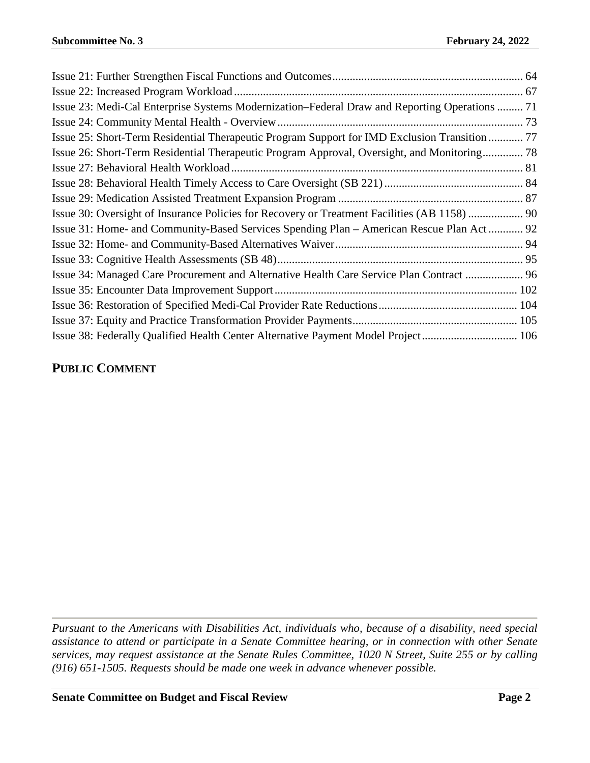| Issue 23: Medi-Cal Enterprise Systems Modernization–Federal Draw and Reporting Operations  71 |  |
|-----------------------------------------------------------------------------------------------|--|
|                                                                                               |  |
| Issue 25: Short-Term Residential Therapeutic Program Support for IMD Exclusion Transition  77 |  |
| Issue 26: Short-Term Residential Therapeutic Program Approval, Oversight, and Monitoring 78   |  |
|                                                                                               |  |
|                                                                                               |  |
|                                                                                               |  |
|                                                                                               |  |
| Issue 31: Home- and Community-Based Services Spending Plan – American Rescue Plan Act 92      |  |
|                                                                                               |  |
|                                                                                               |  |
| Issue 34: Managed Care Procurement and Alternative Health Care Service Plan Contract  96      |  |
|                                                                                               |  |
|                                                                                               |  |
|                                                                                               |  |
| Issue 38: Federally Qualified Health Center Alternative Payment Model Project 106             |  |

# **PUBLIC COMMENT**

*Pursuant to the Americans with Disabilities Act, individuals who, because of a disability, need special assistance to attend or participate in a Senate Committee hearing, or in connection with other Senate services, may request assistance at the Senate Rules Committee, 1020 N Street, Suite 255 or by calling (916) 651-1505. Requests should be made one week in advance whenever possible.*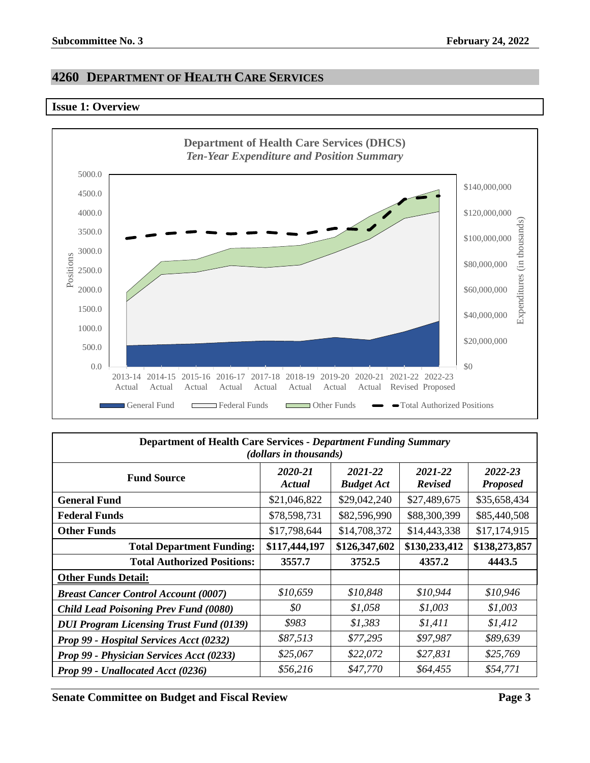## <span id="page-2-0"></span>**4260 DEPARTMENT OF HEALTH CARE SERVICES**

#### <span id="page-2-1"></span>**Issue 1: Overview**



| <b>Department of Health Care Services - Department Funding Summary</b><br>( <i>dollars in thousands</i> ) |                   |                              |                           |                            |  |
|-----------------------------------------------------------------------------------------------------------|-------------------|------------------------------|---------------------------|----------------------------|--|
| <b>Fund Source</b>                                                                                        | 2020-21<br>Actual | 2021-22<br><b>Budget Act</b> | 2021-22<br><b>Revised</b> | 2022-23<br><b>Proposed</b> |  |
| <b>General Fund</b>                                                                                       | \$21,046,822      | \$29,042,240                 | \$27,489,675              | \$35,658,434               |  |
| <b>Federal Funds</b>                                                                                      | \$78,598,731      | \$82,596,990                 | \$88,300,399              | \$85,440,508               |  |
| <b>Other Funds</b>                                                                                        | \$17,798,644      | \$14,708,372                 | \$14,443,338              | \$17,174,915               |  |
| \$130,233,412<br>\$117,444,197<br>\$126,347,602<br><b>Total Department Funding:</b>                       |                   |                              |                           | \$138,273,857              |  |
| <b>Total Authorized Positions:</b>                                                                        | 3557.7            | 3752.5                       | 4357.2                    | 4443.5                     |  |
| <b>Other Funds Detail:</b>                                                                                |                   |                              |                           |                            |  |
| <b>Breast Cancer Control Account (0007)</b>                                                               | \$10,659          | \$10,848                     | \$10,944                  | \$10,946                   |  |
| <b>Child Lead Poisoning Prev Fund (0080)</b>                                                              | \$0               | \$1,058                      | \$1,003                   | \$1,003                    |  |
| <b>DUI Program Licensing Trust Fund (0139)</b>                                                            | \$983             | \$1,383                      | \$1,411                   | \$1,412                    |  |
| Prop 99 - Hospital Services Acct (0232)                                                                   | \$87,513          | \$77,295                     | \$97,987                  | \$89,639                   |  |
| Prop 99 - Physician Services Acct (0233)                                                                  | \$25,067          | \$22,072                     | \$27,831                  | \$25,769                   |  |
| Prop 99 - Unallocated Acct (0236)                                                                         | \$56,216          | \$47,770                     | \$64,455                  | \$54,771                   |  |

**Senate Committee on Budget and Fiscal Review Page 3**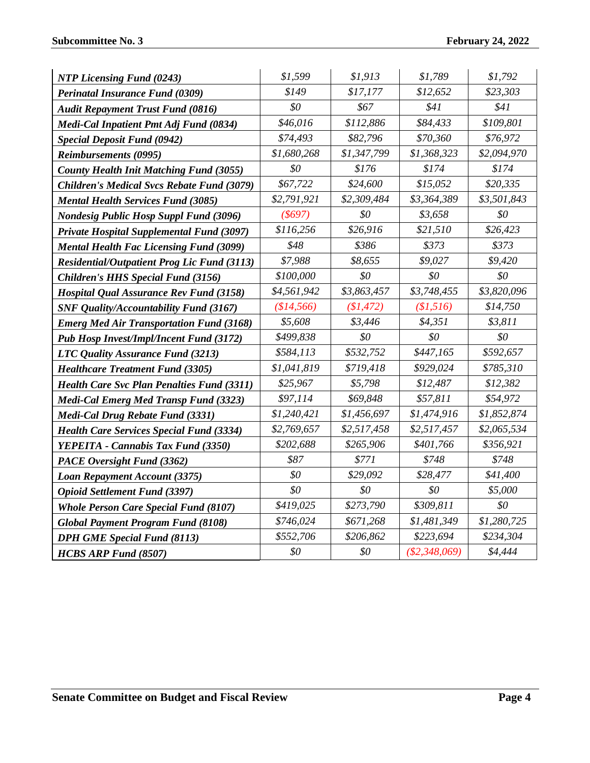| <b>NTP Licensing Fund (0243)</b>                   | \$1,599     | \$1,913     | \$1,789         | \$1,792     |
|----------------------------------------------------|-------------|-------------|-----------------|-------------|
| <b>Perinatal Insurance Fund (0309)</b>             | \$149       | \$17,177    | \$12,652        | \$23,303    |
| <b>Audit Repayment Trust Fund (0816)</b>           | \$0         | \$67        | \$41            | \$41        |
| Medi-Cal Inpatient Pmt Adj Fund (0834)             | \$46,016    | \$112,886   | \$84,433        | \$109,801   |
| <b>Special Deposit Fund (0942)</b>                 | \$74,493    | \$82,796    | \$70,360        | \$76,972    |
| <b>Reimbursements (0995)</b>                       | \$1,680,268 | \$1,347,799 | \$1,368,323     | \$2,094,970 |
| <b>County Health Init Matching Fund (3055)</b>     | \$0         | \$176       | \$174           | \$174       |
| <b>Children's Medical Svcs Rebate Fund (3079)</b>  | \$67,722    | \$24,600    | \$15,052        | \$20,335    |
| <b>Mental Health Services Fund (3085)</b>          | \$2,791,921 | \$2,309,484 | \$3,364,389     | \$3,501,843 |
| <b>Nondesig Public Hosp Suppl Fund (3096)</b>      | $($ \$697)  | \$0         | \$3,658         | \$0         |
| <b>Private Hospital Supplemental Fund (3097)</b>   | \$116,256   | \$26,916    | \$21,510        | \$26,423    |
| <b>Mental Health Fac Licensing Fund (3099)</b>     | \$48        | \$386       | \$373           | \$373       |
| <b>Residential/Outpatient Prog Lic Fund (3113)</b> | \$7,988     | \$8,655     | \$9,027         | \$9,420     |
| Children's HHS Special Fund (3156)                 | \$100,000   | \$0         | \$0             | \$0         |
| <b>Hospital Qual Assurance Rev Fund (3158)</b>     | \$4,561,942 | \$3,863,457 | \$3,748,455     | \$3,820,096 |
| <b>SNF Quality/Accountability Fund (3167)</b>      | (\$14,566)  | (\$1,472)   | (\$1,516)       | \$14,750    |
| <b>Emerg Med Air Transportation Fund (3168)</b>    | \$5,608     | \$3,446     | \$4,351         | \$3,811     |
| <b>Pub Hosp Invest/Impl/Incent Fund (3172)</b>     | \$499,838   | \$0         | \$0\$           | \$0         |
| LTC Quality Assurance Fund (3213)                  | \$584,113   | \$532,752   | \$447,165       | \$592,657   |
| <b>Healthcare Treatment Fund (3305)</b>            | \$1,041,819 | \$719,418   | \$929,024       | \$785,310   |
| <b>Health Care Svc Plan Penalties Fund (3311)</b>  | \$25,967    | \$5,798     | \$12,487        | \$12,382    |
| <b>Medi-Cal Emerg Med Transp Fund (3323)</b>       | \$97,114    | \$69,848    | \$57,811        | \$54,972    |
| Medi-Cal Drug Rebate Fund (3331)                   | \$1,240,421 | \$1,456,697 | \$1,474,916     | \$1,852,874 |
| <b>Health Care Services Special Fund (3334)</b>    | \$2,769,657 | \$2,517,458 | \$2,517,457     | \$2,065,534 |
| YEPEITA - Cannabis Tax Fund (3350)                 | \$202,688   | \$265,906   | \$401,766       | \$356,921   |
| PACE Oversight Fund (3362)                         | \$87        | \$771       | \$748           | \$748       |
| Loan Repayment Account (3375)                      | \$0         | \$29,092    | \$28,477        | \$41,400    |
| <b>Opioid Settlement Fund (3397)</b>               | \$0         | \$0         | \$0             | \$5,000     |
| <b>Whole Person Care Special Fund (8107)</b>       | \$419,025   | \$273,790   | \$309,811       | \$0         |
| <b>Global Payment Program Fund (8108)</b>          | \$746,024   | \$671,268   | \$1,481,349     | \$1,280,725 |
| <b>DPH GME Special Fund (8113)</b>                 | \$552,706   | \$206,862   | \$223,694       | \$234,304   |
| <b>HCBS ARP Fund (8507)</b>                        | \$0         | \$0         | $(\$2,348,069)$ | \$4,444     |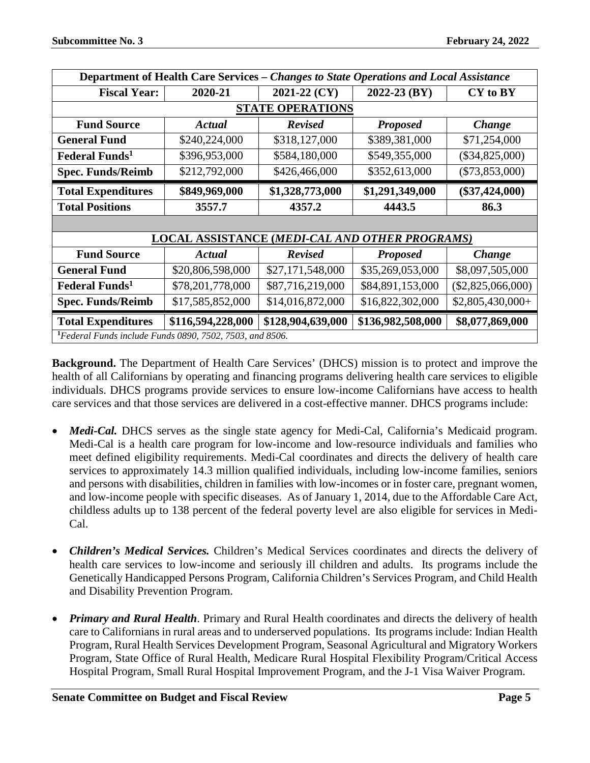| Department of Health Care Services - Changes to State Operations and Local Assistance |                   |                   |                                                       |                     |  |  |
|---------------------------------------------------------------------------------------|-------------------|-------------------|-------------------------------------------------------|---------------------|--|--|
| <b>Fiscal Year:</b>                                                                   | 2020-21           | 2021-22 (CY)      | 2022-23 (BY)                                          | CY to BY            |  |  |
| <b>STATE OPERATIONS</b>                                                               |                   |                   |                                                       |                     |  |  |
| <b>Fund Source</b>                                                                    | Actual            | <b>Revised</b>    | <b>Proposed</b>                                       | <b>Change</b>       |  |  |
| <b>General Fund</b>                                                                   | \$240,224,000     | \$318,127,000     | \$389,381,000                                         | \$71,254,000        |  |  |
| <b>Federal Funds</b> <sup>1</sup>                                                     | \$396,953,000     | \$584,180,000     | \$549,355,000                                         | $(\$34,825,000)$    |  |  |
| <b>Spec. Funds/Reimb</b>                                                              | \$212,792,000     | \$426,466,000     | \$352,613,000                                         | $(\$73,853,000)$    |  |  |
| <b>Total Expenditures</b>                                                             | \$849,969,000     | \$1,328,773,000   | \$1,291,349,000                                       | $(\$37,424,000)$    |  |  |
| <b>Total Positions</b>                                                                | 3557.7            | 4357.2            | 4443.5                                                | 86.3                |  |  |
|                                                                                       |                   |                   |                                                       |                     |  |  |
|                                                                                       |                   |                   | <b>LOCAL ASSISTANCE (MEDI-CAL AND OTHER PROGRAMS)</b> |                     |  |  |
| <b>Fund Source</b>                                                                    | Actual            | <b>Revised</b>    | <b>Proposed</b>                                       | Change              |  |  |
| <b>General Fund</b>                                                                   | \$20,806,598,000  | \$27,171,548,000  | \$35,269,053,000                                      | \$8,097,505,000     |  |  |
| <b>Federal Funds</b> <sup>1</sup>                                                     | \$78,201,778,000  | \$87,716,219,000  | \$84,891,153,000                                      | $(\$2,825,066,000)$ |  |  |
| <b>Spec. Funds/Reimb</b>                                                              | \$17,585,852,000  | \$14,016,872,000  | \$16,822,302,000                                      | $$2,805,430,000+$   |  |  |
| <b>Total Expenditures</b>                                                             | \$116,594,228,000 | \$128,904,639,000 | \$136,982,508,000                                     | \$8,077,869,000     |  |  |
| <sup>1</sup> Federal Funds include Funds 0890, 7502, 7503, and 8506.                  |                   |                   |                                                       |                     |  |  |

**Background.** The Department of Health Care Services' (DHCS) mission is to protect and improve the health of all Californians by operating and financing programs delivering health care services to eligible individuals. DHCS programs provide services to ensure low-income Californians have access to health care services and that those services are delivered in a cost-effective manner. DHCS programs include:

- *Medi-Cal.* DHCS serves as the single state agency for Medi-Cal, California's Medicaid program. Medi-Cal is a health care program for low-income and low-resource individuals and families who meet defined eligibility requirements. Medi-Cal coordinates and directs the delivery of health care services to approximately 14.3 million qualified individuals, including low-income families, seniors and persons with disabilities, children in families with low-incomes or in foster care, pregnant women, and low-income people with specific diseases. As of January 1, 2014, due to the Affordable Care Act, childless adults up to 138 percent of the federal poverty level are also eligible for services in Medi-Cal.
- *Children's Medical Services.* Children's Medical Services coordinates and directs the delivery of health care services to low-income and seriously ill children and adults. Its programs include the Genetically Handicapped Persons Program, California Children's Services Program, and Child Health and Disability Prevention Program.
- *Primary and Rural Health*. Primary and Rural Health coordinates and directs the delivery of health care to Californians in rural areas and to underserved populations. Its programs include: Indian Health Program, Rural Health Services Development Program, Seasonal Agricultural and Migratory Workers Program, State Office of Rural Health, Medicare Rural Hospital Flexibility Program/Critical Access Hospital Program, Small Rural Hospital Improvement Program, and the J-1 Visa Waiver Program.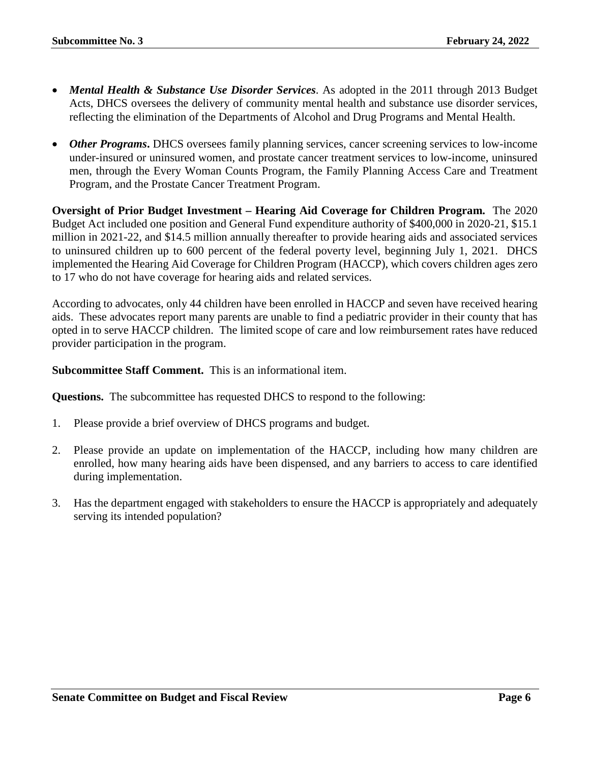- *Mental Health & Substance Use Disorder Services*. As adopted in the 2011 through 2013 Budget Acts, DHCS oversees the delivery of community mental health and substance use disorder services, reflecting the elimination of the Departments of Alcohol and Drug Programs and Mental Health.
- *Other Programs***.** DHCS oversees family planning services, cancer screening services to low-income under-insured or uninsured women, and prostate cancer treatment services to low-income, uninsured men, through the Every Woman Counts Program, the Family Planning Access Care and Treatment Program, and the Prostate Cancer Treatment Program.

**Oversight of Prior Budget Investment – Hearing Aid Coverage for Children Program.** The 2020 Budget Act included one position and General Fund expenditure authority of \$400,000 in 2020-21, \$15.1 million in 2021-22, and \$14.5 million annually thereafter to provide hearing aids and associated services to uninsured children up to 600 percent of the federal poverty level, beginning July 1, 2021. DHCS implemented the Hearing Aid Coverage for Children Program (HACCP), which covers children ages zero to 17 who do not have coverage for hearing aids and related services.

According to advocates, only 44 children have been enrolled in HACCP and seven have received hearing aids. These advocates report many parents are unable to find a pediatric provider in their county that has opted in to serve HACCP children. The limited scope of care and low reimbursement rates have reduced provider participation in the program.

**Subcommittee Staff Comment.** This is an informational item.

**Questions.** The subcommittee has requested DHCS to respond to the following:

- 1. Please provide a brief overview of DHCS programs and budget.
- 2. Please provide an update on implementation of the HACCP, including how many children are enrolled, how many hearing aids have been dispensed, and any barriers to access to care identified during implementation.
- 3. Has the department engaged with stakeholders to ensure the HACCP is appropriately and adequately serving its intended population?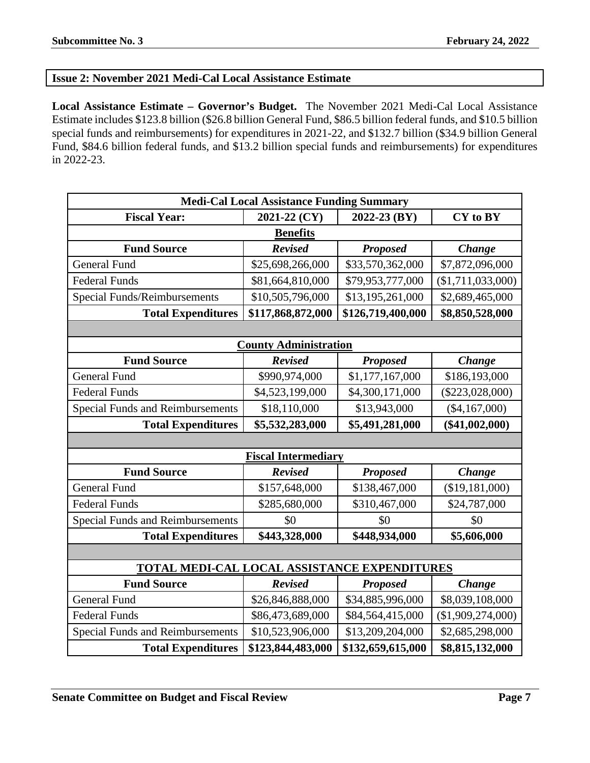### <span id="page-6-0"></span>**Issue 2: November 2021 Medi-Cal Local Assistance Estimate**

**Local Assistance Estimate – Governor's Budget.** The November 2021 Medi-Cal Local Assistance Estimate includes \$123.8 billion (\$26.8 billion General Fund, \$86.5 billion federal funds, and \$10.5 billion special funds and reimbursements) for expenditures in 2021-22, and \$132.7 billion (\$34.9 billion General Fund, \$84.6 billion federal funds, and \$13.2 billion special funds and reimbursements) for expenditures in 2022-23.

| <b>Medi-Cal Local Assistance Funding Summary</b> |                              |                   |                   |  |
|--------------------------------------------------|------------------------------|-------------------|-------------------|--|
| <b>Fiscal Year:</b>                              | 2021-22 (CY)                 | 2022-23 (BY)      | CY to BY          |  |
|                                                  | <b>Benefits</b>              |                   |                   |  |
| <b>Fund Source</b>                               | <b>Revised</b>               | <b>Proposed</b>   | <b>Change</b>     |  |
| <b>General Fund</b>                              | \$25,698,266,000             | \$33,570,362,000  | \$7,872,096,000   |  |
| <b>Federal Funds</b>                             | \$81,664,810,000             | \$79,953,777,000  | (\$1,711,033,000) |  |
| <b>Special Funds/Reimbursements</b>              | \$10,505,796,000             | \$13,195,261,000  | \$2,689,465,000   |  |
| <b>Total Expenditures</b>                        | \$117,868,872,000            | \$126,719,400,000 | \$8,850,528,000   |  |
|                                                  |                              |                   |                   |  |
|                                                  | <b>County Administration</b> |                   |                   |  |
| <b>Fund Source</b>                               | <b>Revised</b>               | <b>Proposed</b>   | Change            |  |
| <b>General Fund</b>                              | \$990,974,000                | \$1,177,167,000   | \$186,193,000     |  |
| <b>Federal Funds</b>                             | \$4,523,199,000              | \$4,300,171,000   | $(\$223,028,000)$ |  |
| <b>Special Funds and Reimbursements</b>          | \$18,110,000                 | \$13,943,000      | $(\$4,167,000)$   |  |
| <b>Total Expenditures</b>                        | \$5,532,283,000              | \$5,491,281,000   | $(\$41,002,000)$  |  |
|                                                  |                              |                   |                   |  |
|                                                  | <b>Fiscal Intermediary</b>   |                   |                   |  |
| <b>Fund Source</b>                               | <b>Revised</b>               | <b>Proposed</b>   | Change            |  |
| <b>General Fund</b>                              | \$157,648,000                | \$138,467,000     | (\$19,181,000)    |  |
| <b>Federal Funds</b>                             | \$285,680,000                | \$310,467,000     | \$24,787,000      |  |
| <b>Special Funds and Reimbursements</b>          | \$0                          | \$0               | \$0               |  |
| <b>Total Expenditures</b>                        | \$443,328,000                | \$448,934,000     | \$5,606,000       |  |
|                                                  |                              |                   |                   |  |
| TOTAL MEDI-CAL LOCAL ASSISTANCE EXPENDITURES     |                              |                   |                   |  |
| <b>Fund Source</b>                               | <b>Revised</b>               | <b>Proposed</b>   | Change            |  |
| <b>General Fund</b>                              | \$26,846,888,000             | \$34,885,996,000  | \$8,039,108,000   |  |
| <b>Federal Funds</b>                             | \$86,473,689,000             | \$84,564,415,000  | (\$1,909,274,000) |  |
| <b>Special Funds and Reimbursements</b>          | \$10,523,906,000             | \$13,209,204,000  | \$2,685,298,000   |  |
| <b>Total Expenditures</b>                        | \$123,844,483,000            | \$132,659,615,000 | \$8,815,132,000   |  |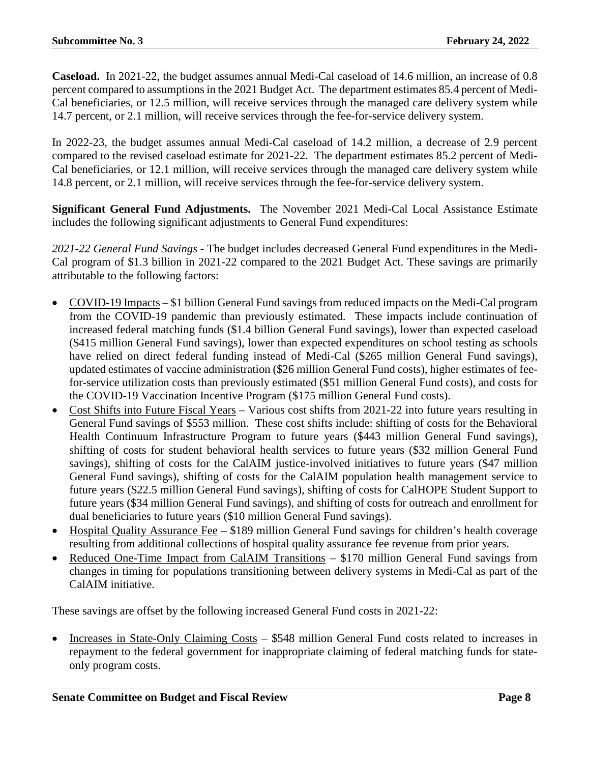**Caseload.** In 2021-22, the budget assumes annual Medi-Cal caseload of 14.6 million, an increase of 0.8 percent compared to assumptions in the 2021 Budget Act. The department estimates 85.4 percent of Medi-Cal beneficiaries, or 12.5 million, will receive services through the managed care delivery system while 14.7 percent, or 2.1 million, will receive services through the fee-for-service delivery system.

In 2022-23, the budget assumes annual Medi-Cal caseload of 14.2 million, a decrease of 2.9 percent compared to the revised caseload estimate for 2021-22. The department estimates 85.2 percent of Medi-Cal beneficiaries, or 12.1 million, will receive services through the managed care delivery system while 14.8 percent, or 2.1 million, will receive services through the fee-for-service delivery system.

**Significant General Fund Adjustments.** The November 2021 Medi-Cal Local Assistance Estimate includes the following significant adjustments to General Fund expenditures:

*2021-22 General Fund Savings* - The budget includes decreased General Fund expenditures in the Medi-Cal program of \$1.3 billion in 2021-22 compared to the 2021 Budget Act. These savings are primarily attributable to the following factors:

- COVID-19 Impacts \$1 billion General Fund savings from reduced impacts on the Medi-Cal program from the COVID-19 pandemic than previously estimated. These impacts include continuation of increased federal matching funds (\$1.4 billion General Fund savings), lower than expected caseload (\$415 million General Fund savings), lower than expected expenditures on school testing as schools have relied on direct federal funding instead of Medi-Cal (\$265 million General Fund savings), updated estimates of vaccine administration (\$26 million General Fund costs), higher estimates of feefor-service utilization costs than previously estimated (\$51 million General Fund costs), and costs for the COVID-19 Vaccination Incentive Program (\$175 million General Fund costs).
- Cost Shifts into Future Fiscal Years Various cost shifts from 2021-22 into future years resulting in General Fund savings of \$553 million. These cost shifts include: shifting of costs for the Behavioral Health Continuum Infrastructure Program to future years (\$443 million General Fund savings), shifting of costs for student behavioral health services to future years (\$32 million General Fund savings), shifting of costs for the CalAIM justice-involved initiatives to future years (\$47 million General Fund savings), shifting of costs for the CalAIM population health management service to future years (\$22.5 million General Fund savings), shifting of costs for CalHOPE Student Support to future years (\$34 million General Fund savings), and shifting of costs for outreach and enrollment for dual beneficiaries to future years (\$10 million General Fund savings).
- Hospital Quality Assurance Fee \$189 million General Fund savings for children's health coverage resulting from additional collections of hospital quality assurance fee revenue from prior years.
- Reduced One-Time Impact from CalAIM Transitions \$170 million General Fund savings from changes in timing for populations transitioning between delivery systems in Medi-Cal as part of the CalAIM initiative.

These savings are offset by the following increased General Fund costs in 2021-22:

• Increases in State-Only Claiming Costs – \$548 million General Fund costs related to increases in repayment to the federal government for inappropriate claiming of federal matching funds for stateonly program costs.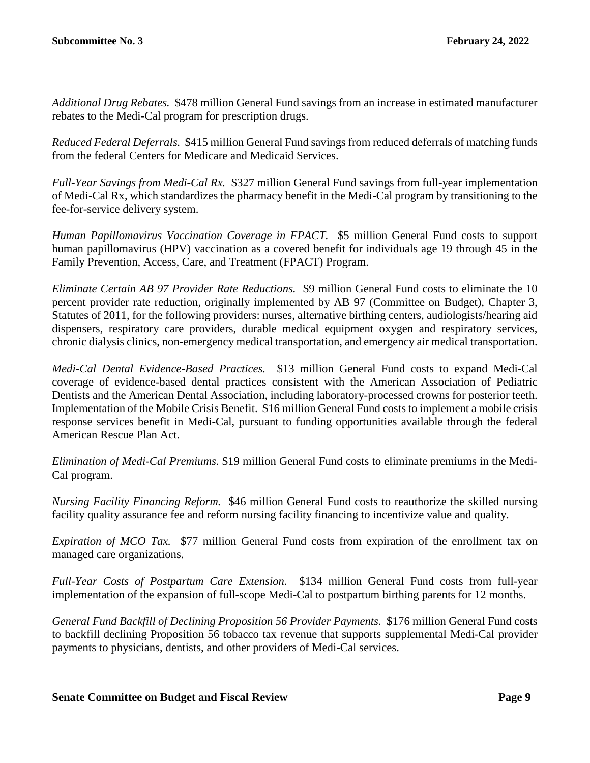*Additional Drug Rebates.* \$478 million General Fund savings from an increase in estimated manufacturer rebates to the Medi-Cal program for prescription drugs.

*Reduced Federal Deferrals.* \$415 million General Fund savings from reduced deferrals of matching funds from the federal Centers for Medicare and Medicaid Services.

*Full-Year Savings from Medi-Cal Rx.* \$327 million General Fund savings from full-year implementation of Medi-Cal Rx, which standardizes the pharmacy benefit in the Medi-Cal program by transitioning to the fee-for-service delivery system.

*Human Papillomavirus Vaccination Coverage in FPACT.* \$5 million General Fund costs to support human papillomavirus (HPV) vaccination as a covered benefit for individuals age 19 through 45 in the Family Prevention, Access, Care, and Treatment (FPACT) Program.

*Eliminate Certain AB 97 Provider Rate Reductions.* \$9 million General Fund costs to eliminate the 10 percent provider rate reduction, originally implemented by AB 97 (Committee on Budget), Chapter 3, Statutes of 2011, for the following providers: nurses, alternative birthing centers, audiologists/hearing aid dispensers, respiratory care providers, durable medical equipment oxygen and respiratory services, chronic dialysis clinics, non-emergency medical transportation, and emergency air medical transportation.

*Medi-Cal Dental Evidence-Based Practices.* \$13 million General Fund costs to expand Medi-Cal coverage of evidence-based dental practices consistent with the American Association of Pediatric Dentists and the American Dental Association, including laboratory-processed crowns for posterior teeth. Implementation of the Mobile Crisis Benefit. \$16 million General Fund costs to implement a mobile crisis response services benefit in Medi-Cal, pursuant to funding opportunities available through the federal American Rescue Plan Act.

*Elimination of Medi-Cal Premiums.* \$19 million General Fund costs to eliminate premiums in the Medi-Cal program.

*Nursing Facility Financing Reform.* \$46 million General Fund costs to reauthorize the skilled nursing facility quality assurance fee and reform nursing facility financing to incentivize value and quality.

*Expiration of MCO Tax.* \$77 million General Fund costs from expiration of the enrollment tax on managed care organizations.

*Full-Year Costs of Postpartum Care Extension.* \$134 million General Fund costs from full-year implementation of the expansion of full-scope Medi-Cal to postpartum birthing parents for 12 months.

*General Fund Backfill of Declining Proposition 56 Provider Payments.* \$176 million General Fund costs to backfill declining Proposition 56 tobacco tax revenue that supports supplemental Medi-Cal provider payments to physicians, dentists, and other providers of Medi-Cal services.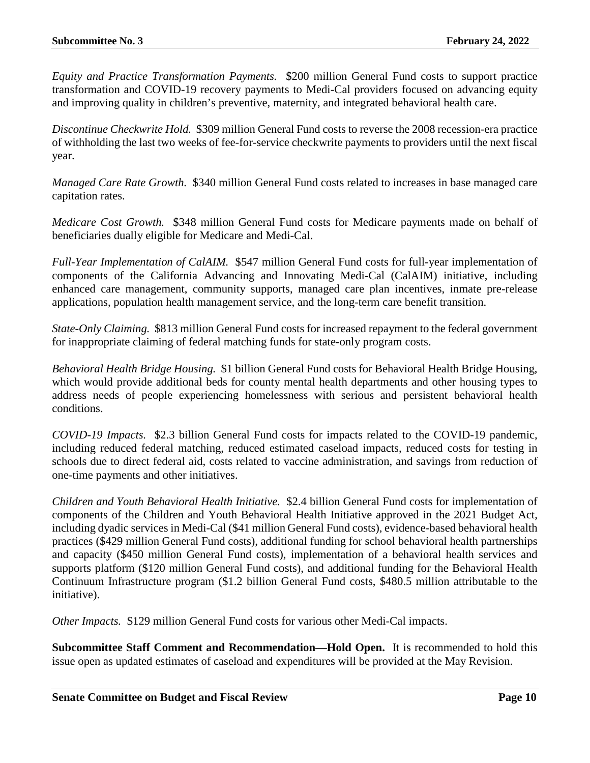*Equity and Practice Transformation Payments.* \$200 million General Fund costs to support practice transformation and COVID-19 recovery payments to Medi-Cal providers focused on advancing equity and improving quality in children's preventive, maternity, and integrated behavioral health care.

*Discontinue Checkwrite Hold.* \$309 million General Fund costs to reverse the 2008 recession-era practice of withholding the last two weeks of fee-for-service checkwrite payments to providers until the next fiscal year.

*Managed Care Rate Growth.* \$340 million General Fund costs related to increases in base managed care capitation rates.

*Medicare Cost Growth.* \$348 million General Fund costs for Medicare payments made on behalf of beneficiaries dually eligible for Medicare and Medi-Cal.

*Full-Year Implementation of CalAIM.* \$547 million General Fund costs for full-year implementation of components of the California Advancing and Innovating Medi-Cal (CalAIM) initiative, including enhanced care management, community supports, managed care plan incentives, inmate pre-release applications, population health management service, and the long-term care benefit transition.

*State-Only Claiming.* \$813 million General Fund costs for increased repayment to the federal government for inappropriate claiming of federal matching funds for state-only program costs.

*Behavioral Health Bridge Housing.* \$1 billion General Fund costs for Behavioral Health Bridge Housing, which would provide additional beds for county mental health departments and other housing types to address needs of people experiencing homelessness with serious and persistent behavioral health conditions.

*COVID-19 Impacts.* \$2.3 billion General Fund costs for impacts related to the COVID-19 pandemic, including reduced federal matching, reduced estimated caseload impacts, reduced costs for testing in schools due to direct federal aid, costs related to vaccine administration, and savings from reduction of one-time payments and other initiatives.

*Children and Youth Behavioral Health Initiative.* \$2.4 billion General Fund costs for implementation of components of the Children and Youth Behavioral Health Initiative approved in the 2021 Budget Act, including dyadic services in Medi-Cal (\$41 million General Fund costs), evidence-based behavioral health practices (\$429 million General Fund costs), additional funding for school behavioral health partnerships and capacity (\$450 million General Fund costs), implementation of a behavioral health services and supports platform (\$120 million General Fund costs), and additional funding for the Behavioral Health Continuum Infrastructure program (\$1.2 billion General Fund costs, \$480.5 million attributable to the initiative).

*Other Impacts.* \$129 million General Fund costs for various other Medi-Cal impacts.

**Subcommittee Staff Comment and Recommendation—Hold Open.** It is recommended to hold this issue open as updated estimates of caseload and expenditures will be provided at the May Revision.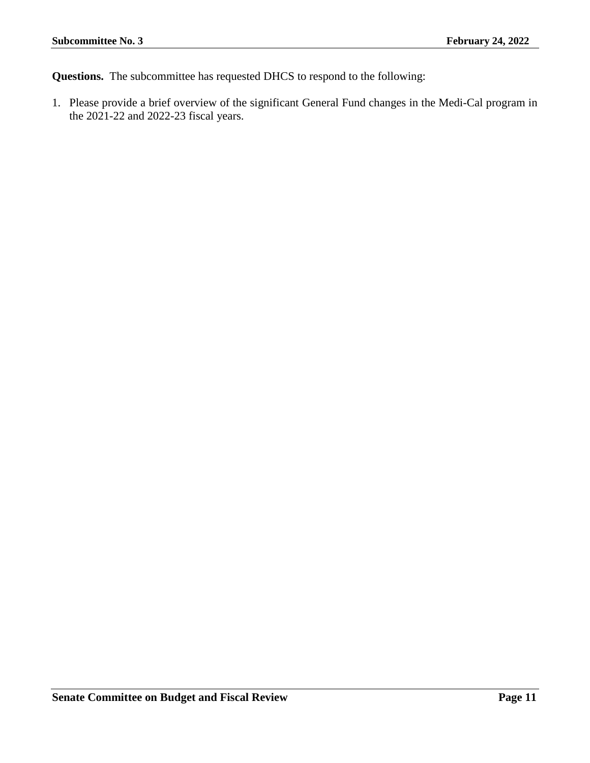**Questions.** The subcommittee has requested DHCS to respond to the following:

1. Please provide a brief overview of the significant General Fund changes in the Medi-Cal program in the 2021-22 and 2022-23 fiscal years.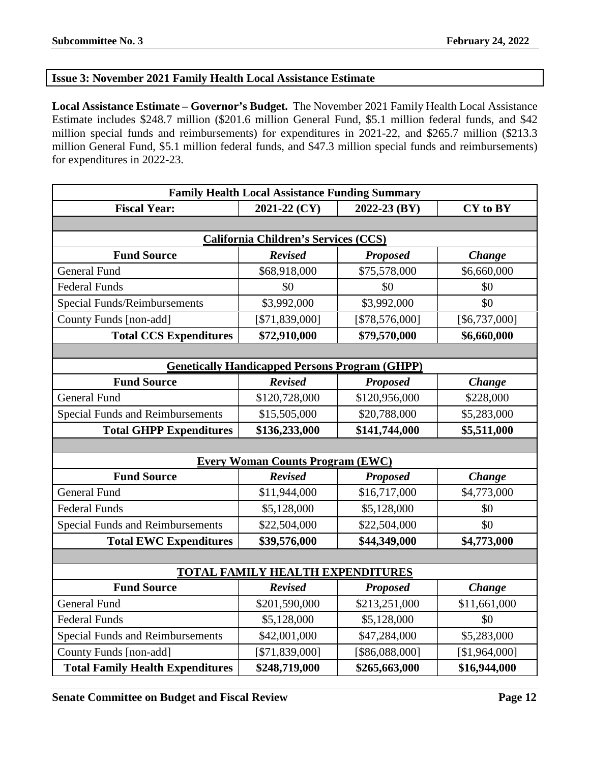#### <span id="page-11-0"></span>**Issue 3: November 2021 Family Health Local Assistance Estimate**

**Local Assistance Estimate – Governor's Budget.** The November 2021 Family Health Local Assistance Estimate includes \$248.7 million (\$201.6 million General Fund, \$5.1 million federal funds, and \$42 million special funds and reimbursements) for expenditures in 2021-22, and \$265.7 million (\$213.3 million General Fund, \$5.1 million federal funds, and \$47.3 million special funds and reimbursements) for expenditures in 2022-23.

| <b>Family Health Local Assistance Funding Summary</b> |                                                       |                 |               |  |  |
|-------------------------------------------------------|-------------------------------------------------------|-----------------|---------------|--|--|
| <b>Fiscal Year:</b>                                   | 2021-22 (CY)<br>2022-23 (BY)<br>CY to BY              |                 |               |  |  |
|                                                       |                                                       |                 |               |  |  |
|                                                       | <b>California Children's Services (CCS)</b>           |                 |               |  |  |
| <b>Fund Source</b>                                    | <b>Revised</b>                                        | <b>Proposed</b> | <b>Change</b> |  |  |
| <b>General Fund</b>                                   | \$68,918,000                                          | \$75,578,000    | \$6,660,000   |  |  |
| <b>Federal Funds</b>                                  | \$0                                                   | \$0             | \$0           |  |  |
| <b>Special Funds/Reimbursements</b>                   | \$3,992,000                                           | \$3,992,000     | \$0           |  |  |
| County Funds [non-add]                                | [\$71,839,000]                                        | [\$78,576,000]  | [\$6,737,000] |  |  |
| <b>Total CCS Expenditures</b>                         | \$72,910,000                                          | \$79,570,000    | \$6,660,000   |  |  |
|                                                       |                                                       |                 |               |  |  |
|                                                       | <b>Genetically Handicapped Persons Program (GHPP)</b> |                 |               |  |  |
| <b>Fund Source</b>                                    | <b>Revised</b>                                        | <b>Proposed</b> | <b>Change</b> |  |  |
| <b>General Fund</b>                                   | \$120,728,000                                         | \$120,956,000   | \$228,000     |  |  |
| <b>Special Funds and Reimbursements</b>               | \$15,505,000                                          | \$20,788,000    | \$5,283,000   |  |  |
| <b>Total GHPP Expenditures</b>                        | \$136,233,000                                         | \$141,744,000   | \$5,511,000   |  |  |
|                                                       |                                                       |                 |               |  |  |
|                                                       | <b>Every Woman Counts Program (EWC)</b>               |                 |               |  |  |
| <b>Fund Source</b>                                    | <b>Revised</b>                                        | <b>Proposed</b> | <b>Change</b> |  |  |
| <b>General Fund</b>                                   | \$11,944,000                                          | \$16,717,000    | \$4,773,000   |  |  |
| <b>Federal Funds</b>                                  | \$5,128,000                                           | \$5,128,000     | \$0           |  |  |
| <b>Special Funds and Reimbursements</b>               | \$22,504,000                                          | \$22,504,000    | \$0           |  |  |
| <b>Total EWC Expenditures</b>                         | \$39,576,000                                          | \$44,349,000    | \$4,773,000   |  |  |
|                                                       |                                                       |                 |               |  |  |
|                                                       | <b>TOTAL FAMILY HEALTH EXPENDITURES</b>               |                 |               |  |  |
| <b>Fund Source</b>                                    | <b>Revised</b>                                        | <b>Proposed</b> | <b>Change</b> |  |  |
| <b>General Fund</b>                                   | \$201,590,000                                         | \$213,251,000   | \$11,661,000  |  |  |
| <b>Federal Funds</b>                                  | \$5,128,000                                           | \$5,128,000     | \$0           |  |  |
| <b>Special Funds and Reimbursements</b>               | \$42,001,000                                          | \$47,284,000    | \$5,283,000   |  |  |
| County Funds [non-add]                                | [\$71,839,000]                                        | [\$86,088,000]  | [\$1,964,000] |  |  |
| <b>Total Family Health Expenditures</b>               | \$248,719,000                                         | \$265,663,000   | \$16,944,000  |  |  |

**Senate Committee on Budget and Fiscal Review <b>Page 12 Page 12**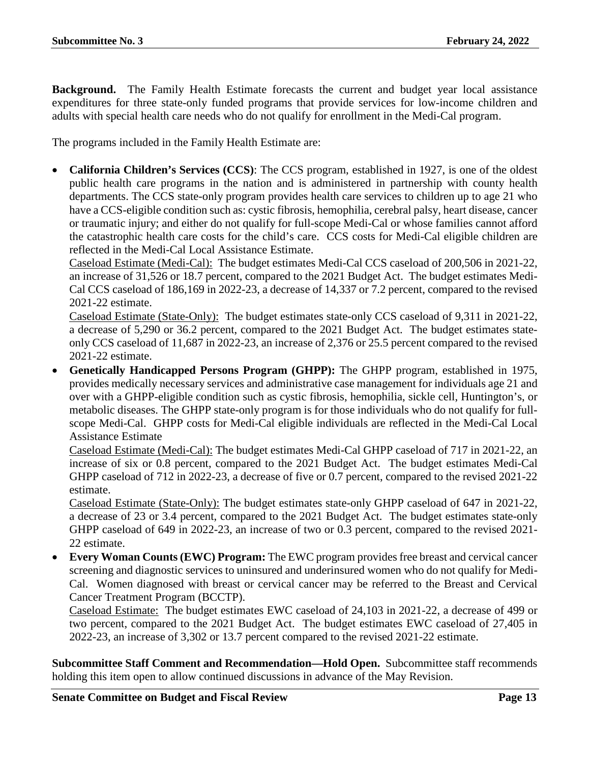**Background.** The Family Health Estimate forecasts the current and budget year local assistance expenditures for three state-only funded programs that provide services for low-income children and adults with special health care needs who do not qualify for enrollment in the Medi-Cal program.

The programs included in the Family Health Estimate are:

• **California Children's Services (CCS)**: The CCS program, established in 1927, is one of the oldest public health care programs in the nation and is administered in partnership with county health departments. The CCS state-only program provides health care services to children up to age 21 who have a CCS-eligible condition such as: cystic fibrosis, hemophilia, cerebral palsy, heart disease, cancer or traumatic injury; and either do not qualify for full-scope Medi-Cal or whose families cannot afford the catastrophic health care costs for the child's care. CCS costs for Medi-Cal eligible children are reflected in the Medi-Cal Local Assistance Estimate.

Caseload Estimate (Medi-Cal): The budget estimates Medi-Cal CCS caseload of 200,506 in 2021-22, an increase of 31,526 or 18.7 percent, compared to the 2021 Budget Act. The budget estimates Medi-Cal CCS caseload of 186,169 in 2022-23, a decrease of 14,337 or 7.2 percent, compared to the revised 2021-22 estimate.

Caseload Estimate (State-Only): The budget estimates state-only CCS caseload of 9,311 in 2021-22, a decrease of 5,290 or 36.2 percent, compared to the 2021 Budget Act. The budget estimates stateonly CCS caseload of 11,687 in 2022-23, an increase of 2,376 or 25.5 percent compared to the revised 2021-22 estimate.

• **Genetically Handicapped Persons Program (GHPP):** The GHPP program, established in 1975, provides medically necessary services and administrative case management for individuals age 21 and over with a GHPP-eligible condition such as cystic fibrosis, hemophilia, sickle cell, Huntington's, or metabolic diseases. The GHPP state-only program is for those individuals who do not qualify for fullscope Medi-Cal. GHPP costs for Medi-Cal eligible individuals are reflected in the Medi-Cal Local Assistance Estimate

Caseload Estimate (Medi-Cal): The budget estimates Medi-Cal GHPP caseload of 717 in 2021-22, an increase of six or 0.8 percent, compared to the 2021 Budget Act. The budget estimates Medi-Cal GHPP caseload of 712 in 2022-23, a decrease of five or 0.7 percent, compared to the revised 2021-22 estimate.

Caseload Estimate (State-Only): The budget estimates state-only GHPP caseload of 647 in 2021-22, a decrease of 23 or 3.4 percent, compared to the 2021 Budget Act. The budget estimates state-only GHPP caseload of 649 in 2022-23, an increase of two or 0.3 percent, compared to the revised 2021- 22 estimate.

• **Every Woman Counts (EWC) Program:** The EWC program provides free breast and cervical cancer screening and diagnostic services to uninsured and underinsured women who do not qualify for Medi-Cal. Women diagnosed with breast or cervical cancer may be referred to the Breast and Cervical Cancer Treatment Program (BCCTP).

Caseload Estimate: The budget estimates EWC caseload of 24,103 in 2021-22, a decrease of 499 or two percent, compared to the 2021 Budget Act. The budget estimates EWC caseload of 27,405 in 2022-23, an increase of 3,302 or 13.7 percent compared to the revised 2021-22 estimate.

**Subcommittee Staff Comment and Recommendation—Hold Open.** Subcommittee staff recommends holding this item open to allow continued discussions in advance of the May Revision.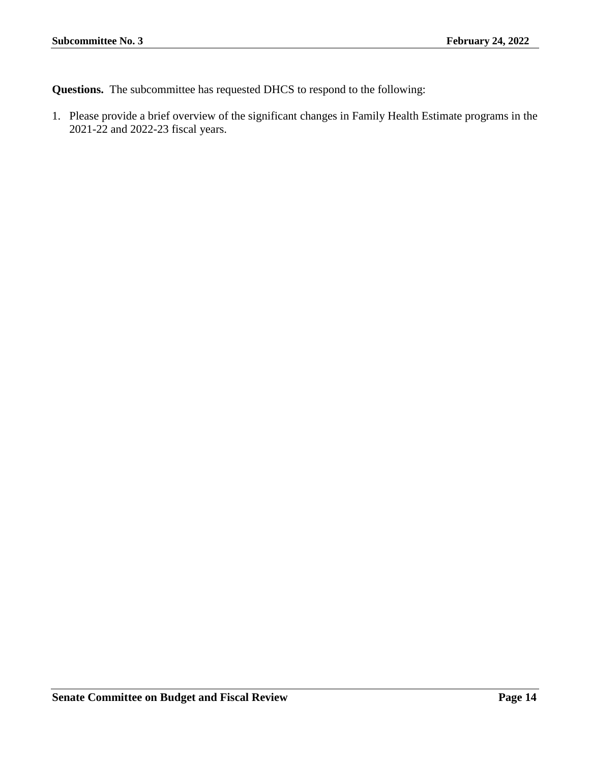**Questions.** The subcommittee has requested DHCS to respond to the following:

1. Please provide a brief overview of the significant changes in Family Health Estimate programs in the 2021-22 and 2022-23 fiscal years.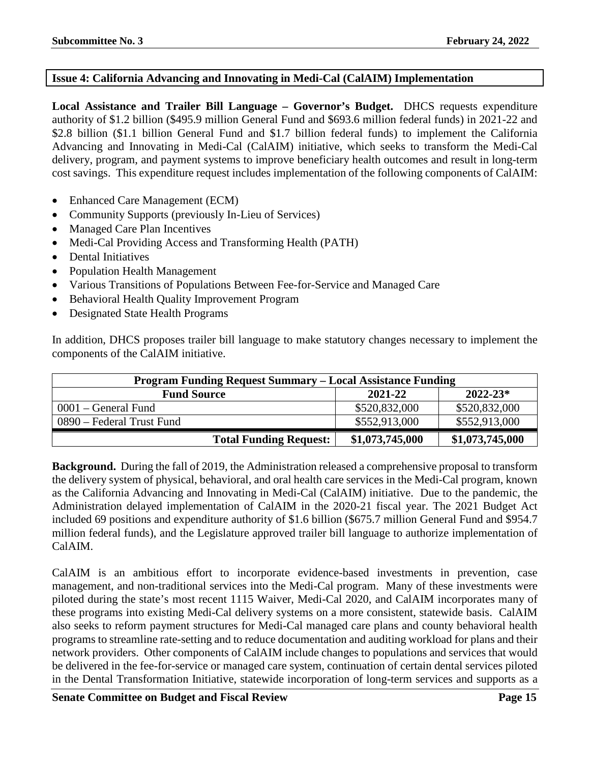#### <span id="page-14-0"></span>**Issue 4: California Advancing and Innovating in Medi-Cal (CalAIM) Implementation**

**Local Assistance and Trailer Bill Language – Governor's Budget.** DHCS requests expenditure authority of \$1.2 billion (\$495.9 million General Fund and \$693.6 million federal funds) in 2021-22 and \$2.8 billion (\$1.1 billion General Fund and \$1.7 billion federal funds) to implement the California Advancing and Innovating in Medi-Cal (CalAIM) initiative, which seeks to transform the Medi-Cal delivery, program, and payment systems to improve beneficiary health outcomes and result in long-term cost savings. This expenditure request includes implementation of the following components of CalAIM:

- Enhanced Care Management (ECM)
- Community Supports (previously In-Lieu of Services)
- Managed Care Plan Incentives
- Medi-Cal Providing Access and Transforming Health (PATH)
- Dental Initiatives
- Population Health Management
- Various Transitions of Populations Between Fee-for-Service and Managed Care
- Behavioral Health Quality Improvement Program
- Designated State Health Programs

In addition, DHCS proposes trailer bill language to make statutory changes necessary to implement the components of the CalAIM initiative.

| <b>Program Funding Request Summary - Local Assistance Funding</b> |                 |                 |  |  |  |
|-------------------------------------------------------------------|-----------------|-----------------|--|--|--|
| $2022 - 23*$<br>2021-22<br><b>Fund Source</b>                     |                 |                 |  |  |  |
| 0001 – General Fund                                               | \$520,832,000   | \$520,832,000   |  |  |  |
| 0890 – Federal Trust Fund                                         | \$552,913,000   | \$552,913,000   |  |  |  |
| <b>Total Funding Request:</b>                                     | \$1,073,745,000 | \$1,073,745,000 |  |  |  |

**Background.** During the fall of 2019, the Administration released a comprehensive proposal to transform the delivery system of physical, behavioral, and oral health care services in the Medi-Cal program, known as the California Advancing and Innovating in Medi-Cal (CalAIM) initiative. Due to the pandemic, the Administration delayed implementation of CalAIM in the 2020-21 fiscal year. The 2021 Budget Act included 69 positions and expenditure authority of \$1.6 billion (\$675.7 million General Fund and \$954.7 million federal funds), and the Legislature approved trailer bill language to authorize implementation of CalAIM.

CalAIM is an ambitious effort to incorporate evidence-based investments in prevention, case management, and non-traditional services into the Medi-Cal program. Many of these investments were piloted during the state's most recent 1115 Waiver, Medi-Cal 2020, and CalAIM incorporates many of these programs into existing Medi-Cal delivery systems on a more consistent, statewide basis. CalAIM also seeks to reform payment structures for Medi-Cal managed care plans and county behavioral health programs to streamline rate-setting and to reduce documentation and auditing workload for plans and their network providers. Other components of CalAIM include changes to populations and services that would be delivered in the fee-for-service or managed care system, continuation of certain dental services piloted in the Dental Transformation Initiative, statewide incorporation of long-term services and supports as a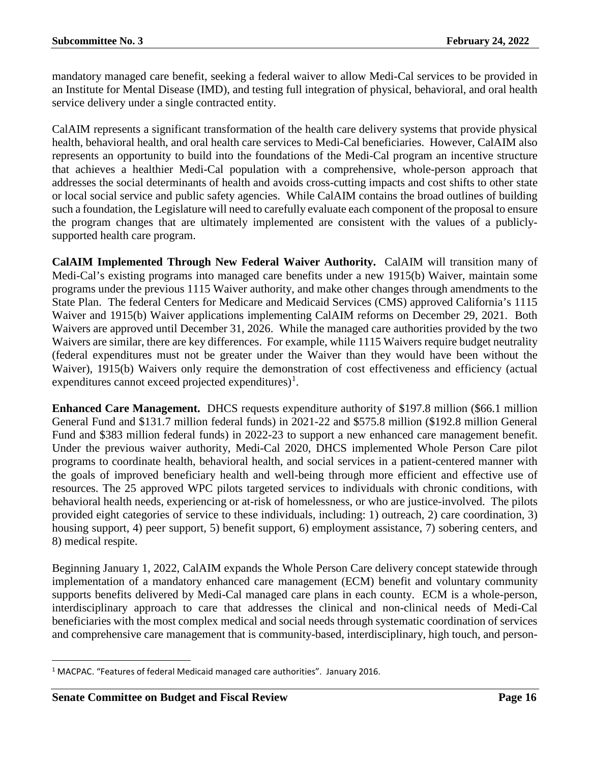mandatory managed care benefit, seeking a federal waiver to allow Medi-Cal services to be provided in an Institute for Mental Disease (IMD), and testing full integration of physical, behavioral, and oral health service delivery under a single contracted entity.

CalAIM represents a significant transformation of the health care delivery systems that provide physical health, behavioral health, and oral health care services to Medi-Cal beneficiaries. However, CalAIM also represents an opportunity to build into the foundations of the Medi-Cal program an incentive structure that achieves a healthier Medi-Cal population with a comprehensive, whole-person approach that addresses the social determinants of health and avoids cross-cutting impacts and cost shifts to other state or local social service and public safety agencies. While CalAIM contains the broad outlines of building such a foundation, the Legislature will need to carefully evaluate each component of the proposal to ensure the program changes that are ultimately implemented are consistent with the values of a publiclysupported health care program.

**CalAIM Implemented Through New Federal Waiver Authority.** CalAIM will transition many of Medi-Cal's existing programs into managed care benefits under a new 1915(b) Waiver, maintain some programs under the previous 1115 Waiver authority, and make other changes through amendments to the State Plan. The federal Centers for Medicare and Medicaid Services (CMS) approved California's 1115 Waiver and 1915(b) Waiver applications implementing CalAIM reforms on December 29, 2021. Both Waivers are approved until December 31, 2026. While the managed care authorities provided by the two Waivers are similar, there are key differences. For example, while 1115 Waivers require budget neutrality (federal expenditures must not be greater under the Waiver than they would have been without the Waiver), 1915(b) Waivers only require the demonstration of cost effectiveness and efficiency (actual expenditures cannot exceed projected expenditures)<sup>[1](#page-15-0)</sup>.

**Enhanced Care Management.** DHCS requests expenditure authority of \$197.8 million (\$66.1 million General Fund and \$131.7 million federal funds) in 2021-22 and \$575.8 million (\$192.8 million General Fund and \$383 million federal funds) in 2022-23 to support a new enhanced care management benefit. Under the previous waiver authority, Medi-Cal 2020, DHCS implemented Whole Person Care pilot programs to coordinate health, behavioral health, and social services in a patient-centered manner with the goals of improved beneficiary health and well-being through more efficient and effective use of resources. The 25 approved WPC pilots targeted services to individuals with chronic conditions, with behavioral health needs, experiencing or at-risk of homelessness, or who are justice-involved. The pilots provided eight categories of service to these individuals, including: 1) outreach, 2) care coordination, 3) housing support, 4) peer support, 5) benefit support, 6) employment assistance, 7) sobering centers, and 8) medical respite.

Beginning January 1, 2022, CalAIM expands the Whole Person Care delivery concept statewide through implementation of a mandatory enhanced care management (ECM) benefit and voluntary community supports benefits delivered by Medi-Cal managed care plans in each county. ECM is a whole-person, interdisciplinary approach to care that addresses the clinical and non-clinical needs of Medi-Cal beneficiaries with the most complex medical and social needs through systematic coordination of services and comprehensive care management that is community-based, interdisciplinary, high touch, and person-

<span id="page-15-0"></span><sup>&</sup>lt;sup>1</sup> MACPAC. "Features of federal Medicaid managed care authorities". January 2016.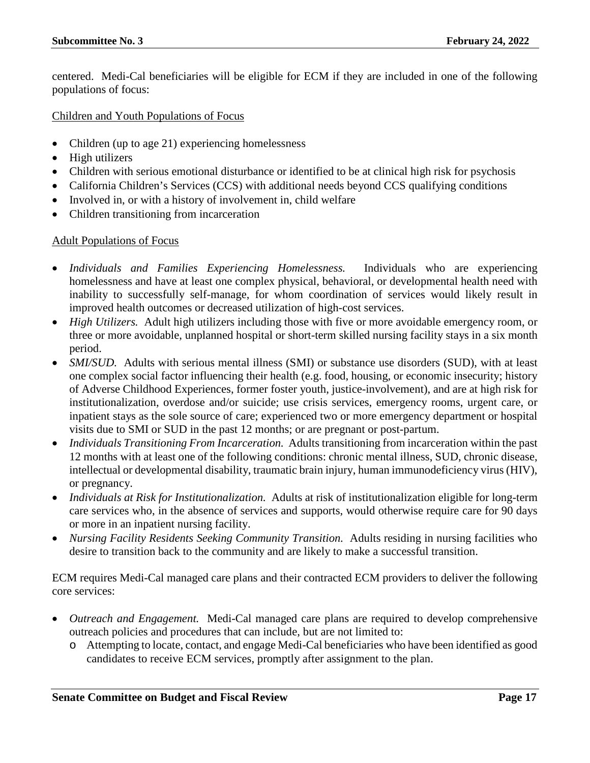centered. Medi-Cal beneficiaries will be eligible for ECM if they are included in one of the following populations of focus:

Children and Youth Populations of Focus

- Children (up to age 21) experiencing homelessness
- High utilizers
- Children with serious emotional disturbance or identified to be at clinical high risk for psychosis
- California Children's Services (CCS) with additional needs beyond CCS qualifying conditions
- Involved in, or with a history of involvement in, child welfare
- Children transitioning from incarceration

#### Adult Populations of Focus

- *Individuals and Families Experiencing Homelessness.* Individuals who are experiencing homelessness and have at least one complex physical, behavioral, or developmental health need with inability to successfully self-manage, for whom coordination of services would likely result in improved health outcomes or decreased utilization of high-cost services.
- *High Utilizers.* Adult high utilizers including those with five or more avoidable emergency room, or three or more avoidable, unplanned hospital or short-term skilled nursing facility stays in a six month period.
- *SMI/SUD*. Adults with serious mental illness (SMI) or substance use disorders (SUD), with at least one complex social factor influencing their health (e.g. food, housing, or economic insecurity; history of Adverse Childhood Experiences, former foster youth, justice-involvement), and are at high risk for institutionalization, overdose and/or suicide; use crisis services, emergency rooms, urgent care, or inpatient stays as the sole source of care; experienced two or more emergency department or hospital visits due to SMI or SUD in the past 12 months; or are pregnant or post-partum.
- *Individuals Transitioning From Incarceration.* Adults transitioning from incarceration within the past 12 months with at least one of the following conditions: chronic mental illness, SUD, chronic disease, intellectual or developmental disability, traumatic brain injury, human immunodeficiency virus (HIV), or pregnancy.
- *Individuals at Risk for Institutionalization.* Adults at risk of institutionalization eligible for long-term care services who, in the absence of services and supports, would otherwise require care for 90 days or more in an inpatient nursing facility.
- *Nursing Facility Residents Seeking Community Transition.* Adults residing in nursing facilities who desire to transition back to the community and are likely to make a successful transition.

ECM requires Medi-Cal managed care plans and their contracted ECM providers to deliver the following core services:

- *Outreach and Engagement.* Medi-Cal managed care plans are required to develop comprehensive outreach policies and procedures that can include, but are not limited to:
	- o Attempting to locate, contact, and engage Medi-Cal beneficiaries who have been identified as good candidates to receive ECM services, promptly after assignment to the plan.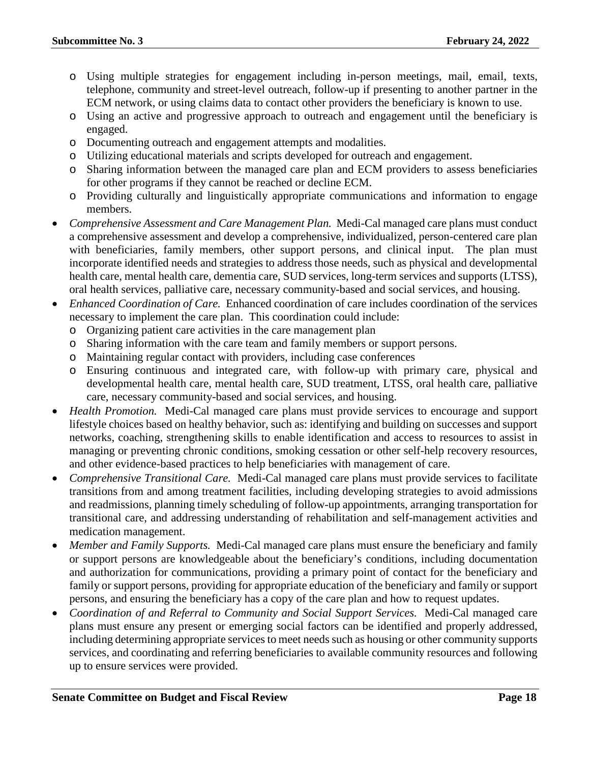- o Using multiple strategies for engagement including in-person meetings, mail, email, texts, telephone, community and street-level outreach, follow-up if presenting to another partner in the ECM network, or using claims data to contact other providers the beneficiary is known to use.
- o Using an active and progressive approach to outreach and engagement until the beneficiary is engaged.
- o Documenting outreach and engagement attempts and modalities.
- o Utilizing educational materials and scripts developed for outreach and engagement.
- o Sharing information between the managed care plan and ECM providers to assess beneficiaries for other programs if they cannot be reached or decline ECM.
- o Providing culturally and linguistically appropriate communications and information to engage members.
- *Comprehensive Assessment and Care Management Plan.* Medi-Cal managed care plans must conduct a comprehensive assessment and develop a comprehensive, individualized, person-centered care plan with beneficiaries, family members, other support persons, and clinical input. The plan must incorporate identified needs and strategies to address those needs, such as physical and developmental health care, mental health care, dementia care, SUD services, long-term services and supports (LTSS), oral health services, palliative care, necessary community-based and social services, and housing.
- *Enhanced Coordination of Care.* Enhanced coordination of care includes coordination of the services necessary to implement the care plan. This coordination could include:
	- o Organizing patient care activities in the care management plan
	- o Sharing information with the care team and family members or support persons.
	- o Maintaining regular contact with providers, including case conferences
	- o Ensuring continuous and integrated care, with follow-up with primary care, physical and developmental health care, mental health care, SUD treatment, LTSS, oral health care, palliative care, necessary community-based and social services, and housing.
- *Health Promotion.* Medi-Cal managed care plans must provide services to encourage and support lifestyle choices based on healthy behavior, such as: identifying and building on successes and support networks, coaching, strengthening skills to enable identification and access to resources to assist in managing or preventing chronic conditions, smoking cessation or other self-help recovery resources, and other evidence-based practices to help beneficiaries with management of care.
- *Comprehensive Transitional Care.* Medi-Cal managed care plans must provide services to facilitate transitions from and among treatment facilities, including developing strategies to avoid admissions and readmissions, planning timely scheduling of follow-up appointments, arranging transportation for transitional care, and addressing understanding of rehabilitation and self-management activities and medication management.
- *Member and Family Supports.* Medi-Cal managed care plans must ensure the beneficiary and family or support persons are knowledgeable about the beneficiary's conditions, including documentation and authorization for communications, providing a primary point of contact for the beneficiary and family or support persons, providing for appropriate education of the beneficiary and family or support persons, and ensuring the beneficiary has a copy of the care plan and how to request updates.
- *Coordination of and Referral to Community and Social Support Services.* Medi-Cal managed care plans must ensure any present or emerging social factors can be identified and properly addressed, including determining appropriate services to meet needs such as housing or other community supports services, and coordinating and referring beneficiaries to available community resources and following up to ensure services were provided.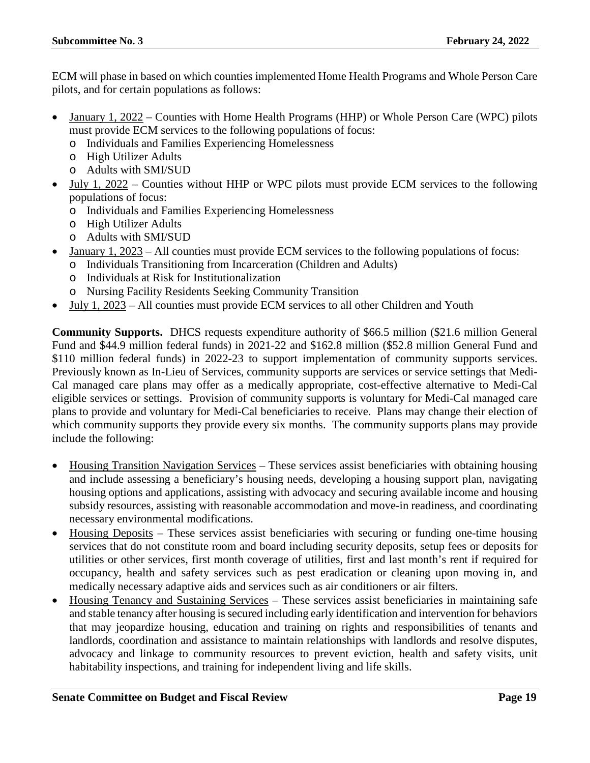ECM will phase in based on which counties implemented Home Health Programs and Whole Person Care pilots, and for certain populations as follows:

- January 1, 2022 Counties with Home Health Programs (HHP) or Whole Person Care (WPC) pilots must provide ECM services to the following populations of focus:
	- o Individuals and Families Experiencing Homelessness
	- o High Utilizer Adults
	- o Adults with SMI/SUD
- July 1, 2022 Counties without HHP or WPC pilots must provide ECM services to the following populations of focus:
	- o Individuals and Families Experiencing Homelessness
	- o High Utilizer Adults
	- o Adults with SMI/SUD
- January 1, 2023 All counties must provide ECM services to the following populations of focus:
- o Individuals Transitioning from Incarceration (Children and Adults)
- o Individuals at Risk for Institutionalization
- o Nursing Facility Residents Seeking Community Transition
- July 1, 2023 All counties must provide ECM services to all other Children and Youth

**Community Supports.** DHCS requests expenditure authority of \$66.5 million (\$21.6 million General Fund and \$44.9 million federal funds) in 2021-22 and \$162.8 million (\$52.8 million General Fund and \$110 million federal funds) in 2022-23 to support implementation of community supports services. Previously known as In-Lieu of Services, community supports are services or service settings that Medi-Cal managed care plans may offer as a medically appropriate, cost-effective alternative to Medi-Cal eligible services or settings. Provision of community supports is voluntary for Medi-Cal managed care plans to provide and voluntary for Medi-Cal beneficiaries to receive. Plans may change their election of which community supports they provide every six months. The community supports plans may provide include the following:

- Housing Transition Navigation Services These services assist beneficiaries with obtaining housing and include assessing a beneficiary's housing needs, developing a housing support plan, navigating housing options and applications, assisting with advocacy and securing available income and housing subsidy resources, assisting with reasonable accommodation and move-in readiness, and coordinating necessary environmental modifications.
- Housing Deposits These services assist beneficiaries with securing or funding one-time housing services that do not constitute room and board including security deposits, setup fees or deposits for utilities or other services, first month coverage of utilities, first and last month's rent if required for occupancy, health and safety services such as pest eradication or cleaning upon moving in, and medically necessary adaptive aids and services such as air conditioners or air filters.
- Housing Tenancy and Sustaining Services These services assist beneficiaries in maintaining safe and stable tenancy after housing is secured including early identification and intervention for behaviors that may jeopardize housing, education and training on rights and responsibilities of tenants and landlords, coordination and assistance to maintain relationships with landlords and resolve disputes, advocacy and linkage to community resources to prevent eviction, health and safety visits, unit habitability inspections, and training for independent living and life skills.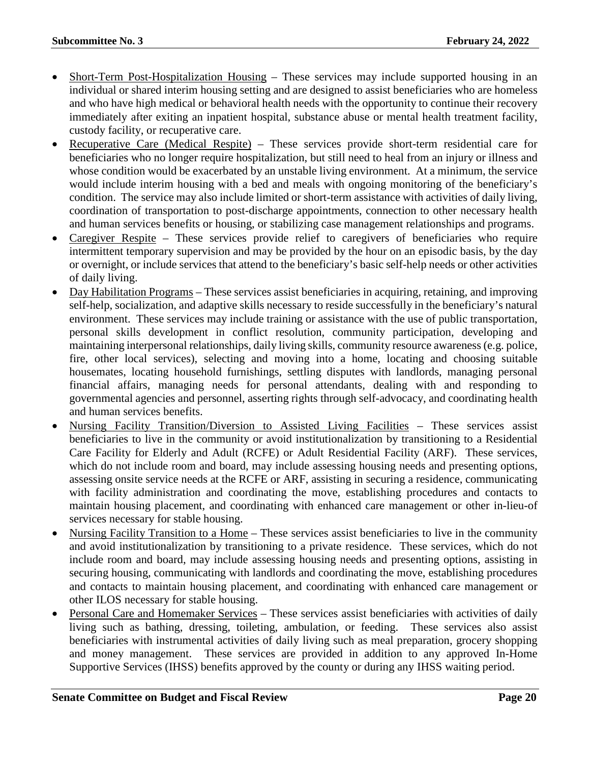- Short-Term Post-Hospitalization Housing These services may include supported housing in an individual or shared interim housing setting and are designed to assist beneficiaries who are homeless and who have high medical or behavioral health needs with the opportunity to continue their recovery immediately after exiting an inpatient hospital, substance abuse or mental health treatment facility, custody facility, or recuperative care.
- Recuperative Care (Medical Respite) These services provide short-term residential care for beneficiaries who no longer require hospitalization, but still need to heal from an injury or illness and whose condition would be exacerbated by an unstable living environment. At a minimum, the service would include interim housing with a bed and meals with ongoing monitoring of the beneficiary's condition. The service may also include limited or short-term assistance with activities of daily living, coordination of transportation to post-discharge appointments, connection to other necessary health and human services benefits or housing, or stabilizing case management relationships and programs.
- Caregiver Respite These services provide relief to caregivers of beneficiaries who require intermittent temporary supervision and may be provided by the hour on an episodic basis, by the day or overnight, or include services that attend to the beneficiary's basic self-help needs or other activities of daily living.
- Day Habilitation Programs These services assist beneficiaries in acquiring, retaining, and improving self-help, socialization, and adaptive skills necessary to reside successfully in the beneficiary's natural environment. These services may include training or assistance with the use of public transportation, personal skills development in conflict resolution, community participation, developing and maintaining interpersonal relationships, daily living skills, community resource awareness (e.g. police, fire, other local services), selecting and moving into a home, locating and choosing suitable housemates, locating household furnishings, settling disputes with landlords, managing personal financial affairs, managing needs for personal attendants, dealing with and responding to governmental agencies and personnel, asserting rights through self-advocacy, and coordinating health and human services benefits.
- Nursing Facility Transition/Diversion to Assisted Living Facilities These services assist beneficiaries to live in the community or avoid institutionalization by transitioning to a Residential Care Facility for Elderly and Adult (RCFE) or Adult Residential Facility (ARF). These services, which do not include room and board, may include assessing housing needs and presenting options, assessing onsite service needs at the RCFE or ARF, assisting in securing a residence, communicating with facility administration and coordinating the move, establishing procedures and contacts to maintain housing placement, and coordinating with enhanced care management or other in-lieu-of services necessary for stable housing.
- Nursing Facility Transition to a Home These services assist beneficiaries to live in the community and avoid institutionalization by transitioning to a private residence. These services, which do not include room and board, may include assessing housing needs and presenting options, assisting in securing housing, communicating with landlords and coordinating the move, establishing procedures and contacts to maintain housing placement, and coordinating with enhanced care management or other ILOS necessary for stable housing.
- Personal Care and Homemaker Services These services assist beneficiaries with activities of daily living such as bathing, dressing, toileting, ambulation, or feeding. These services also assist beneficiaries with instrumental activities of daily living such as meal preparation, grocery shopping and money management. These services are provided in addition to any approved In-Home Supportive Services (IHSS) benefits approved by the county or during any IHSS waiting period.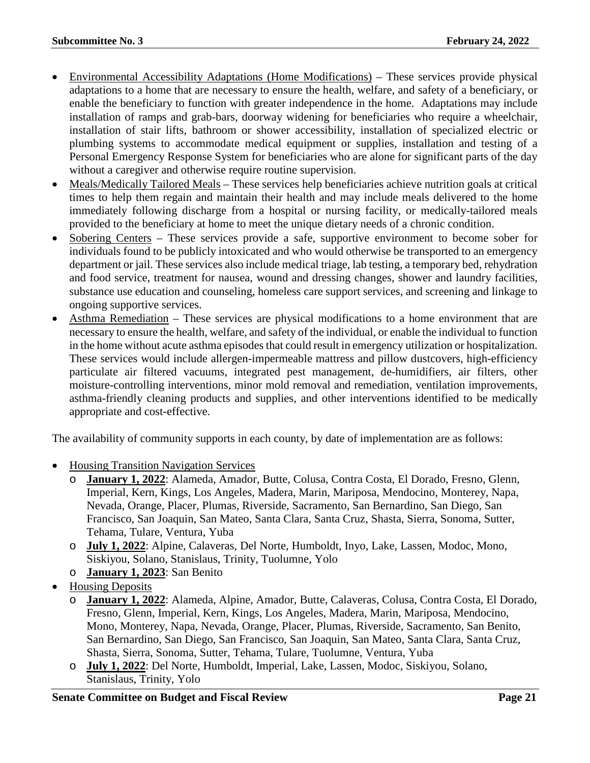- Environmental Accessibility Adaptations (Home Modifications) These services provide physical adaptations to a home that are necessary to ensure the health, welfare, and safety of a beneficiary, or enable the beneficiary to function with greater independence in the home. Adaptations may include installation of ramps and grab-bars, doorway widening for beneficiaries who require a wheelchair, installation of stair lifts, bathroom or shower accessibility, installation of specialized electric or plumbing systems to accommodate medical equipment or supplies, installation and testing of a Personal Emergency Response System for beneficiaries who are alone for significant parts of the day without a caregiver and otherwise require routine supervision.
- Meals/Medically Tailored Meals These services help beneficiaries achieve nutrition goals at critical times to help them regain and maintain their health and may include meals delivered to the home immediately following discharge from a hospital or nursing facility, or medically-tailored meals provided to the beneficiary at home to meet the unique dietary needs of a chronic condition.
- Sobering Centers These services provide a safe, supportive environment to become sober for individuals found to be publicly intoxicated and who would otherwise be transported to an emergency department or jail. These services also include medical triage, lab testing, a temporary bed, rehydration and food service, treatment for nausea, wound and dressing changes, shower and laundry facilities, substance use education and counseling, homeless care support services, and screening and linkage to ongoing supportive services.
- Asthma Remediation These services are physical modifications to a home environment that are necessary to ensure the health, welfare, and safety of the individual, or enable the individual to function in the home without acute asthma episodes that could result in emergency utilization or hospitalization. These services would include allergen-impermeable mattress and pillow dustcovers, high-efficiency particulate air filtered vacuums, integrated pest management, de-humidifiers, air filters, other moisture-controlling interventions, minor mold removal and remediation, ventilation improvements, asthma-friendly cleaning products and supplies, and other interventions identified to be medically appropriate and cost-effective.

The availability of community supports in each county, by date of implementation are as follows:

- Housing Transition Navigation Services
	- o **January 1, 2022**: Alameda, Amador, Butte, Colusa, Contra Costa, El Dorado, Fresno, Glenn, Imperial, Kern, Kings, Los Angeles, Madera, Marin, Mariposa, Mendocino, Monterey, Napa, Nevada, Orange, Placer, Plumas, Riverside, Sacramento, San Bernardino, San Diego, San Francisco, San Joaquin, San Mateo, Santa Clara, Santa Cruz, Shasta, Sierra, Sonoma, Sutter, Tehama, Tulare, Ventura, Yuba
	- o **July 1, 2022**: Alpine, Calaveras, Del Norte, Humboldt, Inyo, Lake, Lassen, Modoc, Mono, Siskiyou, Solano, Stanislaus, Trinity, Tuolumne, Yolo
	- o **January 1, 2023**: San Benito
- Housing Deposits
	- o **January 1, 2022**: Alameda, Alpine, Amador, Butte, Calaveras, Colusa, Contra Costa, El Dorado, Fresno, Glenn, Imperial, Kern, Kings, Los Angeles, Madera, Marin, Mariposa, Mendocino, Mono, Monterey, Napa, Nevada, Orange, Placer, Plumas, Riverside, Sacramento, San Benito, San Bernardino, San Diego, San Francisco, San Joaquin, San Mateo, Santa Clara, Santa Cruz, Shasta, Sierra, Sonoma, Sutter, Tehama, Tulare, Tuolumne, Ventura, Yuba
	- o **July 1, 2022**: Del Norte, Humboldt, Imperial, Lake, Lassen, Modoc, Siskiyou, Solano, Stanislaus, Trinity, Yolo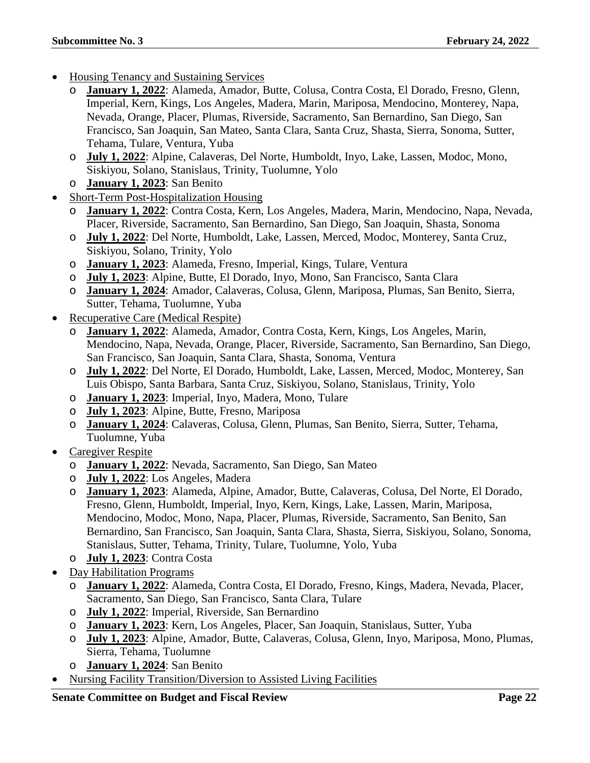- Housing Tenancy and Sustaining Services
	- o **January 1, 2022**: Alameda, Amador, Butte, Colusa, Contra Costa, El Dorado, Fresno, Glenn, Imperial, Kern, Kings, Los Angeles, Madera, Marin, Mariposa, Mendocino, Monterey, Napa, Nevada, Orange, Placer, Plumas, Riverside, Sacramento, San Bernardino, San Diego, San Francisco, San Joaquin, San Mateo, Santa Clara, Santa Cruz, Shasta, Sierra, Sonoma, Sutter, Tehama, Tulare, Ventura, Yuba
	- o **July 1, 2022**: Alpine, Calaveras, Del Norte, Humboldt, Inyo, Lake, Lassen, Modoc, Mono, Siskiyou, Solano, Stanislaus, Trinity, Tuolumne, Yolo
	- o **January 1, 2023**: San Benito
- Short-Term Post-Hospitalization Housing
	- o **January 1, 2022**: Contra Costa, Kern, Los Angeles, Madera, Marin, Mendocino, Napa, Nevada, Placer, Riverside, Sacramento, San Bernardino, San Diego, San Joaquin, Shasta, Sonoma
	- o **July 1, 2022**: Del Norte, Humboldt, Lake, Lassen, Merced, Modoc, Monterey, Santa Cruz, Siskiyou, Solano, Trinity, Yolo
	- o **January 1, 2023**: Alameda, Fresno, Imperial, Kings, Tulare, Ventura
	- o **July 1, 2023**: Alpine, Butte, El Dorado, Inyo, Mono, San Francisco, Santa Clara
	- o **January 1, 2024**: Amador, Calaveras, Colusa, Glenn, Mariposa, Plumas, San Benito, Sierra, Sutter, Tehama, Tuolumne, Yuba
- Recuperative Care (Medical Respite)
	- **January 1, 2022**: Alameda, Amador, Contra Costa, Kern, Kings, Los Angeles, Marin, Mendocino, Napa, Nevada, Orange, Placer, Riverside, Sacramento, San Bernardino, San Diego, San Francisco, San Joaquin, Santa Clara, Shasta, Sonoma, Ventura
	- o **July 1, 2022**: Del Norte, El Dorado, Humboldt, Lake, Lassen, Merced, Modoc, Monterey, San Luis Obispo, Santa Barbara, Santa Cruz, Siskiyou, Solano, Stanislaus, Trinity, Yolo
	- o **January 1, 2023**: Imperial, Inyo, Madera, Mono, Tulare
	- o **July 1, 2023**: Alpine, Butte, Fresno, Mariposa
	- o **January 1, 2024**: Calaveras, Colusa, Glenn, Plumas, San Benito, Sierra, Sutter, Tehama, Tuolumne, Yuba
- Caregiver Respite
	- o **January 1, 2022**: Nevada, Sacramento, San Diego, San Mateo
	- o **July 1, 2022**: Los Angeles, Madera
	- o **January 1, 2023**: Alameda, Alpine, Amador, Butte, Calaveras, Colusa, Del Norte, El Dorado, Fresno, Glenn, Humboldt, Imperial, Inyo, Kern, Kings, Lake, Lassen, Marin, Mariposa, Mendocino, Modoc, Mono, Napa, Placer, Plumas, Riverside, Sacramento, San Benito, San Bernardino, San Francisco, San Joaquin, Santa Clara, Shasta, Sierra, Siskiyou, Solano, Sonoma, Stanislaus, Sutter, Tehama, Trinity, Tulare, Tuolumne, Yolo, Yuba
	- o **July 1, 2023**: Contra Costa
- Day Habilitation Programs
	- o **January 1, 2022**: Alameda, Contra Costa, El Dorado, Fresno, Kings, Madera, Nevada, Placer, Sacramento, San Diego, San Francisco, Santa Clara, Tulare
	- o **July 1, 2022**: Imperial, Riverside, San Bernardino
	- o **January 1, 2023**: Kern, Los Angeles, Placer, San Joaquin, Stanislaus, Sutter, Yuba
	- o **July 1, 2023**: Alpine, Amador, Butte, Calaveras, Colusa, Glenn, Inyo, Mariposa, Mono, Plumas, Sierra, Tehama, Tuolumne
	- o **January 1, 2024**: San Benito
- Nursing Facility Transition/Diversion to Assisted Living Facilities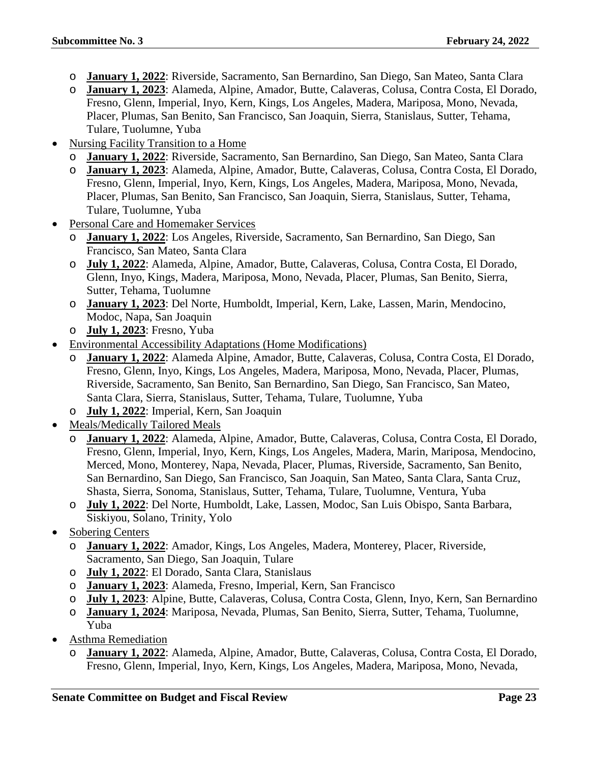- o **January 1, 2022**: Riverside, Sacramento, San Bernardino, San Diego, San Mateo, Santa Clara
- o **January 1, 2023**: Alameda, Alpine, Amador, Butte, Calaveras, Colusa, Contra Costa, El Dorado, Fresno, Glenn, Imperial, Inyo, Kern, Kings, Los Angeles, Madera, Mariposa, Mono, Nevada, Placer, Plumas, San Benito, San Francisco, San Joaquin, Sierra, Stanislaus, Sutter, Tehama, Tulare, Tuolumne, Yuba
- Nursing Facility Transition to a Home
	- o **January 1, 2022**: Riverside, Sacramento, San Bernardino, San Diego, San Mateo, Santa Clara
	- o **January 1, 2023**: Alameda, Alpine, Amador, Butte, Calaveras, Colusa, Contra Costa, El Dorado, Fresno, Glenn, Imperial, Inyo, Kern, Kings, Los Angeles, Madera, Mariposa, Mono, Nevada, Placer, Plumas, San Benito, San Francisco, San Joaquin, Sierra, Stanislaus, Sutter, Tehama, Tulare, Tuolumne, Yuba
- Personal Care and Homemaker Services
	- o **January 1, 2022**: Los Angeles, Riverside, Sacramento, San Bernardino, San Diego, San Francisco, San Mateo, Santa Clara
	- o **July 1, 2022**: Alameda, Alpine, Amador, Butte, Calaveras, Colusa, Contra Costa, El Dorado, Glenn, Inyo, Kings, Madera, Mariposa, Mono, Nevada, Placer, Plumas, San Benito, Sierra, Sutter, Tehama, Tuolumne
	- o **January 1, 2023**: Del Norte, Humboldt, Imperial, Kern, Lake, Lassen, Marin, Mendocino, Modoc, Napa, San Joaquin
	- o **July 1, 2023**: Fresno, Yuba
- Environmental Accessibility Adaptations (Home Modifications)
	- o **January 1, 2022**: Alameda Alpine, Amador, Butte, Calaveras, Colusa, Contra Costa, El Dorado, Fresno, Glenn, Inyo, Kings, Los Angeles, Madera, Mariposa, Mono, Nevada, Placer, Plumas, Riverside, Sacramento, San Benito, San Bernardino, San Diego, San Francisco, San Mateo, Santa Clara, Sierra, Stanislaus, Sutter, Tehama, Tulare, Tuolumne, Yuba
	- o **July 1, 2022**: Imperial, Kern, San Joaquin
- Meals/Medically Tailored Meals
	- o **January 1, 2022**: Alameda, Alpine, Amador, Butte, Calaveras, Colusa, Contra Costa, El Dorado, Fresno, Glenn, Imperial, Inyo, Kern, Kings, Los Angeles, Madera, Marin, Mariposa, Mendocino, Merced, Mono, Monterey, Napa, Nevada, Placer, Plumas, Riverside, Sacramento, San Benito, San Bernardino, San Diego, San Francisco, San Joaquin, San Mateo, Santa Clara, Santa Cruz, Shasta, Sierra, Sonoma, Stanislaus, Sutter, Tehama, Tulare, Tuolumne, Ventura, Yuba
	- o **July 1, 2022**: Del Norte, Humboldt, Lake, Lassen, Modoc, San Luis Obispo, Santa Barbara, Siskiyou, Solano, Trinity, Yolo
- Sobering Centers
	- o **January 1, 2022**: Amador, Kings, Los Angeles, Madera, Monterey, Placer, Riverside, Sacramento, San Diego, San Joaquin, Tulare
	- o **July 1, 2022**: El Dorado, Santa Clara, Stanislaus
	- o **January 1, 2023**: Alameda, Fresno, Imperial, Kern, San Francisco
	- o **July 1, 2023**: Alpine, Butte, Calaveras, Colusa, Contra Costa, Glenn, Inyo, Kern, San Bernardino
	- o **January 1, 2024**: Mariposa, Nevada, Plumas, San Benito, Sierra, Sutter, Tehama, Tuolumne, Yuba
- Asthma Remediation
	- o **January 1, 2022**: Alameda, Alpine, Amador, Butte, Calaveras, Colusa, Contra Costa, El Dorado, Fresno, Glenn, Imperial, Inyo, Kern, Kings, Los Angeles, Madera, Mariposa, Mono, Nevada,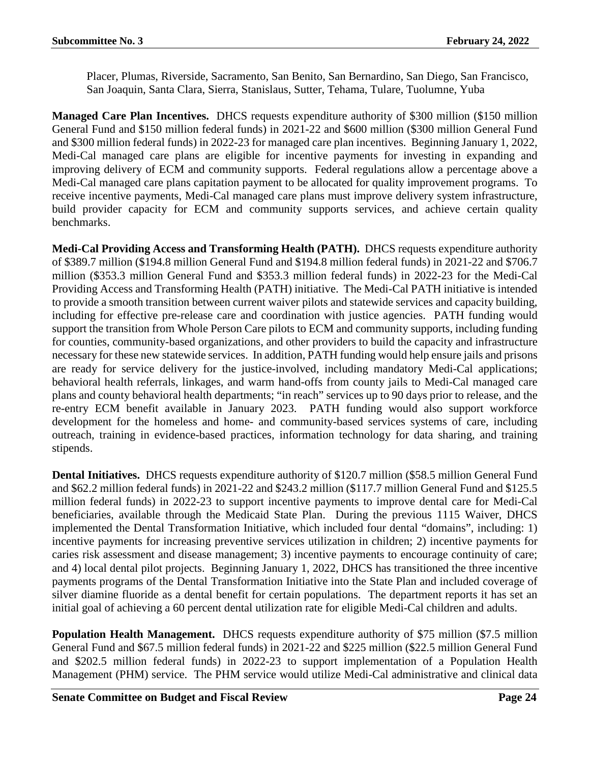Placer, Plumas, Riverside, Sacramento, San Benito, San Bernardino, San Diego, San Francisco, San Joaquin, Santa Clara, Sierra, Stanislaus, Sutter, Tehama, Tulare, Tuolumne, Yuba

**Managed Care Plan Incentives.** DHCS requests expenditure authority of \$300 million (\$150 million General Fund and \$150 million federal funds) in 2021-22 and \$600 million (\$300 million General Fund and \$300 million federal funds) in 2022-23 for managed care plan incentives. Beginning January 1, 2022, Medi-Cal managed care plans are eligible for incentive payments for investing in expanding and improving delivery of ECM and community supports. Federal regulations allow a percentage above a Medi-Cal managed care plans capitation payment to be allocated for quality improvement programs. To receive incentive payments, Medi-Cal managed care plans must improve delivery system infrastructure, build provider capacity for ECM and community supports services, and achieve certain quality benchmarks.

**Medi-Cal Providing Access and Transforming Health (PATH).** DHCS requests expenditure authority of \$389.7 million (\$194.8 million General Fund and \$194.8 million federal funds) in 2021-22 and \$706.7 million (\$353.3 million General Fund and \$353.3 million federal funds) in 2022-23 for the Medi-Cal Providing Access and Transforming Health (PATH) initiative. The Medi-Cal PATH initiative is intended to provide a smooth transition between current waiver pilots and statewide services and capacity building, including for effective pre-release care and coordination with justice agencies. PATH funding would support the transition from Whole Person Care pilots to ECM and community supports, including funding for counties, community-based organizations, and other providers to build the capacity and infrastructure necessary for these new statewide services. In addition, PATH funding would help ensure jails and prisons are ready for service delivery for the justice-involved, including mandatory Medi-Cal applications; behavioral health referrals, linkages, and warm hand-offs from county jails to Medi-Cal managed care plans and county behavioral health departments; "in reach" services up to 90 days prior to release, and the re-entry ECM benefit available in January 2023. PATH funding would also support workforce development for the homeless and home- and community-based services systems of care, including outreach, training in evidence-based practices, information technology for data sharing, and training stipends.

**Dental Initiatives.** DHCS requests expenditure authority of \$120.7 million (\$58.5 million General Fund and \$62.2 million federal funds) in 2021-22 and \$243.2 million (\$117.7 million General Fund and \$125.5 million federal funds) in 2022-23 to support incentive payments to improve dental care for Medi-Cal beneficiaries, available through the Medicaid State Plan. During the previous 1115 Waiver, DHCS implemented the Dental Transformation Initiative, which included four dental "domains", including: 1) incentive payments for increasing preventive services utilization in children; 2) incentive payments for caries risk assessment and disease management; 3) incentive payments to encourage continuity of care; and 4) local dental pilot projects. Beginning January 1, 2022, DHCS has transitioned the three incentive payments programs of the Dental Transformation Initiative into the State Plan and included coverage of silver diamine fluoride as a dental benefit for certain populations. The department reports it has set an initial goal of achieving a 60 percent dental utilization rate for eligible Medi-Cal children and adults.

**Population Health Management.** DHCS requests expenditure authority of \$75 million (\$7.5 million General Fund and \$67.5 million federal funds) in 2021-22 and \$225 million (\$22.5 million General Fund and \$202.5 million federal funds) in 2022-23 to support implementation of a Population Health Management (PHM) service. The PHM service would utilize Medi-Cal administrative and clinical data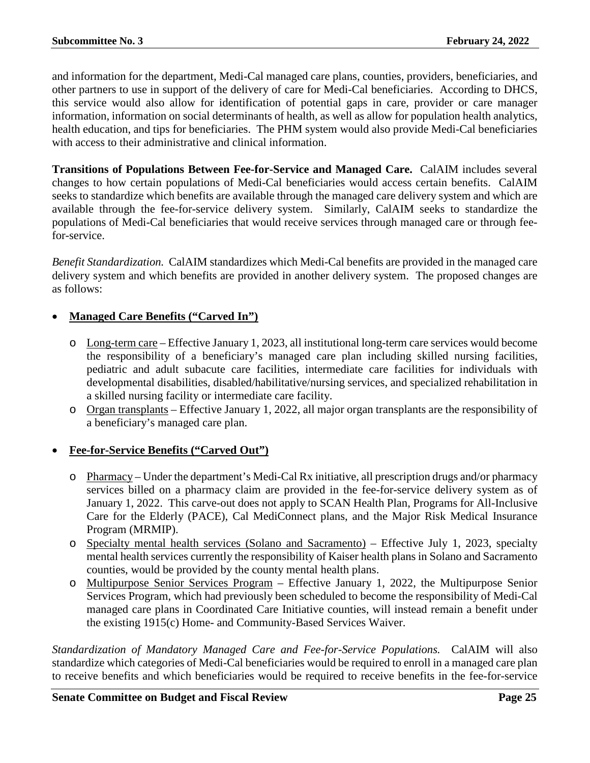and information for the department, Medi-Cal managed care plans, counties, providers, beneficiaries, and other partners to use in support of the delivery of care for Medi-Cal beneficiaries. According to DHCS, this service would also allow for identification of potential gaps in care, provider or care manager information, information on social determinants of health, as well as allow for population health analytics, health education, and tips for beneficiaries. The PHM system would also provide Medi-Cal beneficiaries with access to their administrative and clinical information.

**Transitions of Populations Between Fee-for-Service and Managed Care.** CalAIM includes several changes to how certain populations of Medi-Cal beneficiaries would access certain benefits. CalAIM seeks to standardize which benefits are available through the managed care delivery system and which are available through the fee-for-service delivery system. Similarly, CalAIM seeks to standardize the populations of Medi-Cal beneficiaries that would receive services through managed care or through feefor-service.

*Benefit Standardization.* CalAIM standardizes which Medi-Cal benefits are provided in the managed care delivery system and which benefits are provided in another delivery system. The proposed changes are as follows:

### • **Managed Care Benefits ("Carved In")**

- o Long-term care Effective January 1, 2023, all institutional long-term care services would become the responsibility of a beneficiary's managed care plan including skilled nursing facilities, pediatric and adult subacute care facilities, intermediate care facilities for individuals with developmental disabilities, disabled/habilitative/nursing services, and specialized rehabilitation in a skilled nursing facility or intermediate care facility.
- o Organ transplants Effective January 1, 2022, all major organ transplants are the responsibility of a beneficiary's managed care plan.

### • **Fee-for-Service Benefits ("Carved Out")**

- o Pharmacy Under the department's Medi-Cal Rx initiative, all prescription drugs and/or pharmacy services billed on a pharmacy claim are provided in the fee-for-service delivery system as of January 1, 2022. This carve-out does not apply to SCAN Health Plan, Programs for All-Inclusive Care for the Elderly (PACE), Cal MediConnect plans, and the Major Risk Medical Insurance Program (MRMIP).
- o Specialty mental health services (Solano and Sacramento) Effective July 1, 2023, specialty mental health services currently the responsibility of Kaiser health plans in Solano and Sacramento counties, would be provided by the county mental health plans.
- o Multipurpose Senior Services Program Effective January 1, 2022, the Multipurpose Senior Services Program, which had previously been scheduled to become the responsibility of Medi-Cal managed care plans in Coordinated Care Initiative counties, will instead remain a benefit under the existing 1915(c) Home- and Community-Based Services Waiver.

*Standardization of Mandatory Managed Care and Fee-for-Service Populations.* CalAIM will also standardize which categories of Medi-Cal beneficiaries would be required to enroll in a managed care plan to receive benefits and which beneficiaries would be required to receive benefits in the fee-for-service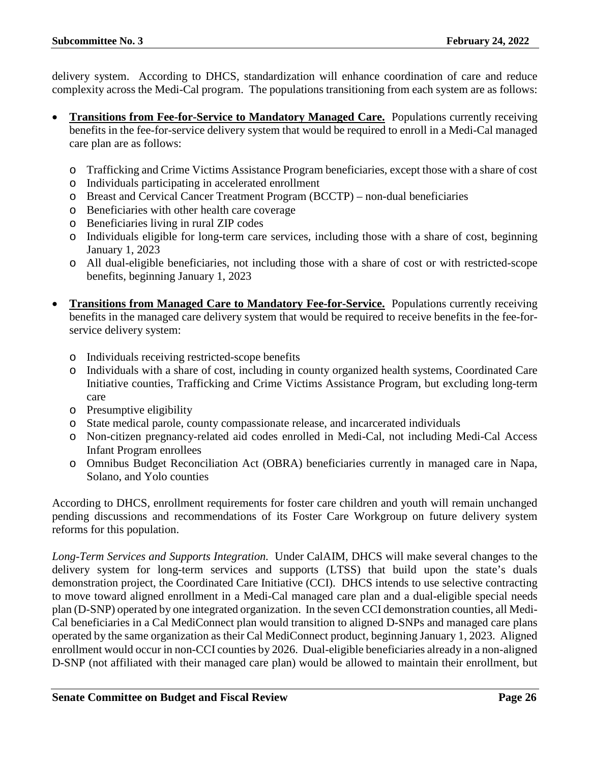delivery system. According to DHCS, standardization will enhance coordination of care and reduce complexity across the Medi-Cal program. The populations transitioning from each system are as follows:

- **Transitions from Fee-for-Service to Mandatory Managed Care.** Populations currently receiving benefits in the fee-for-service delivery system that would be required to enroll in a Medi-Cal managed care plan are as follows:
	- o Trafficking and Crime Victims Assistance Program beneficiaries, except those with a share of cost
	- o Individuals participating in accelerated enrollment
	- o Breast and Cervical Cancer Treatment Program (BCCTP) non-dual beneficiaries
	- o Beneficiaries with other health care coverage
	- o Beneficiaries living in rural ZIP codes
	- o Individuals eligible for long-term care services, including those with a share of cost, beginning January 1, 2023
	- o All dual-eligible beneficiaries, not including those with a share of cost or with restricted-scope benefits, beginning January 1, 2023
- **Transitions from Managed Care to Mandatory Fee-for-Service.** Populations currently receiving benefits in the managed care delivery system that would be required to receive benefits in the fee-forservice delivery system:
	- o Individuals receiving restricted-scope benefits
	- o Individuals with a share of cost, including in county organized health systems, Coordinated Care Initiative counties, Trafficking and Crime Victims Assistance Program, but excluding long-term care
	- o Presumptive eligibility
	- o State medical parole, county compassionate release, and incarcerated individuals
	- o Non-citizen pregnancy-related aid codes enrolled in Medi-Cal, not including Medi-Cal Access Infant Program enrollees
	- o Omnibus Budget Reconciliation Act (OBRA) beneficiaries currently in managed care in Napa, Solano, and Yolo counties

According to DHCS, enrollment requirements for foster care children and youth will remain unchanged pending discussions and recommendations of its Foster Care Workgroup on future delivery system reforms for this population.

*Long-Term Services and Supports Integration.*Under CalAIM, DHCS will make several changes to the delivery system for long-term services and supports (LTSS) that build upon the state's duals demonstration project, the Coordinated Care Initiative (CCI). DHCS intends to use selective contracting to move toward aligned enrollment in a Medi-Cal managed care plan and a dual-eligible special needs plan (D-SNP) operated by one integrated organization. In the seven CCI demonstration counties, all Medi-Cal beneficiaries in a Cal MediConnect plan would transition to aligned D-SNPs and managed care plans operated by the same organization as their Cal MediConnect product, beginning January 1, 2023. Aligned enrollment would occur in non-CCI counties by 2026. Dual-eligible beneficiaries already in a non-aligned D-SNP (not affiliated with their managed care plan) would be allowed to maintain their enrollment, but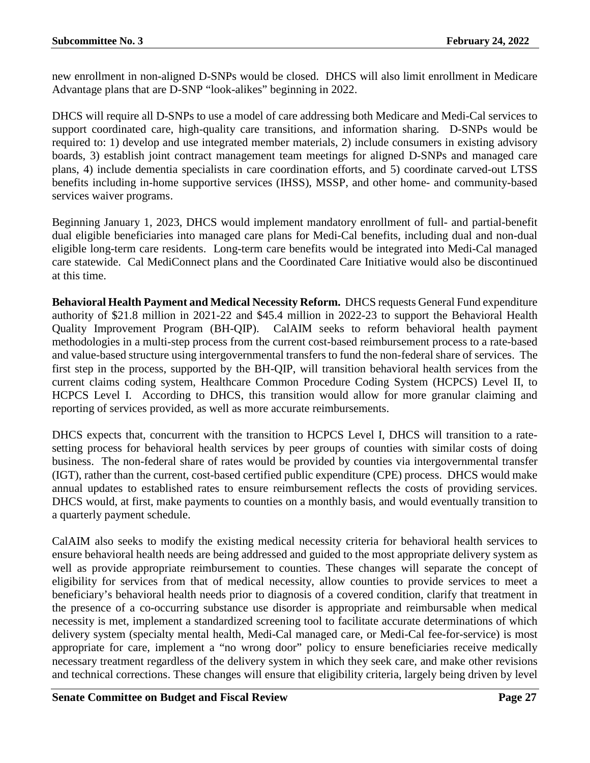new enrollment in non-aligned D-SNPs would be closed. DHCS will also limit enrollment in Medicare Advantage plans that are D-SNP "look-alikes" beginning in 2022.

DHCS will require all D-SNPs to use a model of care addressing both Medicare and Medi-Cal services to support coordinated care, high-quality care transitions, and information sharing. D-SNPs would be required to: 1) develop and use integrated member materials, 2) include consumers in existing advisory boards, 3) establish joint contract management team meetings for aligned D-SNPs and managed care plans, 4) include dementia specialists in care coordination efforts, and 5) coordinate carved-out LTSS benefits including in-home supportive services (IHSS), MSSP, and other home- and community-based services waiver programs.

Beginning January 1, 2023, DHCS would implement mandatory enrollment of full- and partial-benefit dual eligible beneficiaries into managed care plans for Medi-Cal benefits, including dual and non-dual eligible long-term care residents. Long-term care benefits would be integrated into Medi-Cal managed care statewide. Cal MediConnect plans and the Coordinated Care Initiative would also be discontinued at this time.

**Behavioral Health Payment and Medical Necessity Reform.** DHCS requests General Fund expenditure authority of \$21.8 million in 2021-22 and \$45.4 million in 2022-23 to support the Behavioral Health Quality Improvement Program (BH-QIP). CalAIM seeks to reform behavioral health payment methodologies in a multi-step process from the current cost-based reimbursement process to a rate-based and value-based structure using intergovernmental transfers to fund the non-federal share of services. The first step in the process, supported by the BH-QIP, will transition behavioral health services from the current claims coding system, Healthcare Common Procedure Coding System (HCPCS) Level II, to HCPCS Level I. According to DHCS, this transition would allow for more granular claiming and reporting of services provided, as well as more accurate reimbursements.

DHCS expects that, concurrent with the transition to HCPCS Level I, DHCS will transition to a ratesetting process for behavioral health services by peer groups of counties with similar costs of doing business. The non-federal share of rates would be provided by counties via intergovernmental transfer (IGT), rather than the current, cost-based certified public expenditure (CPE) process. DHCS would make annual updates to established rates to ensure reimbursement reflects the costs of providing services. DHCS would, at first, make payments to counties on a monthly basis, and would eventually transition to a quarterly payment schedule.

CalAIM also seeks to modify the existing medical necessity criteria for behavioral health services to ensure behavioral health needs are being addressed and guided to the most appropriate delivery system as well as provide appropriate reimbursement to counties. These changes will separate the concept of eligibility for services from that of medical necessity, allow counties to provide services to meet a beneficiary's behavioral health needs prior to diagnosis of a covered condition, clarify that treatment in the presence of a co-occurring substance use disorder is appropriate and reimbursable when medical necessity is met, implement a standardized screening tool to facilitate accurate determinations of which delivery system (specialty mental health, Medi-Cal managed care, or Medi-Cal fee-for-service) is most appropriate for care, implement a "no wrong door" policy to ensure beneficiaries receive medically necessary treatment regardless of the delivery system in which they seek care, and make other revisions and technical corrections. These changes will ensure that eligibility criteria, largely being driven by level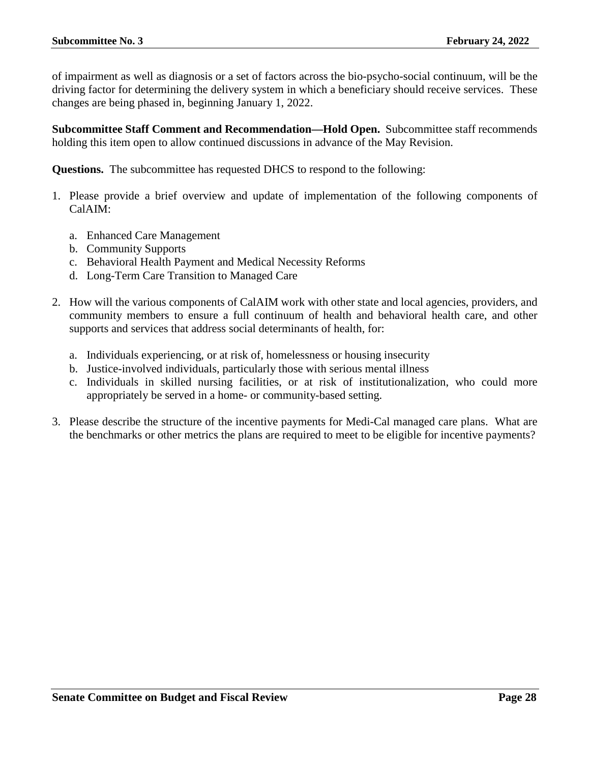of impairment as well as diagnosis or a set of factors across the bio-psycho-social continuum, will be the driving factor for determining the delivery system in which a beneficiary should receive services. These changes are being phased in, beginning January 1, 2022.

**Subcommittee Staff Comment and Recommendation—Hold Open.** Subcommittee staff recommends holding this item open to allow continued discussions in advance of the May Revision.

**Questions.** The subcommittee has requested DHCS to respond to the following:

- 1. Please provide a brief overview and update of implementation of the following components of CalAIM:
	- a. Enhanced Care Management
	- b. Community Supports
	- c. Behavioral Health Payment and Medical Necessity Reforms
	- d. Long-Term Care Transition to Managed Care
- 2. How will the various components of CalAIM work with other state and local agencies, providers, and community members to ensure a full continuum of health and behavioral health care, and other supports and services that address social determinants of health, for:
	- a. Individuals experiencing, or at risk of, homelessness or housing insecurity
	- b. Justice-involved individuals, particularly those with serious mental illness
	- c. Individuals in skilled nursing facilities, or at risk of institutionalization, who could more appropriately be served in a home- or community-based setting.
- 3. Please describe the structure of the incentive payments for Medi-Cal managed care plans. What are the benchmarks or other metrics the plans are required to meet to be eligible for incentive payments?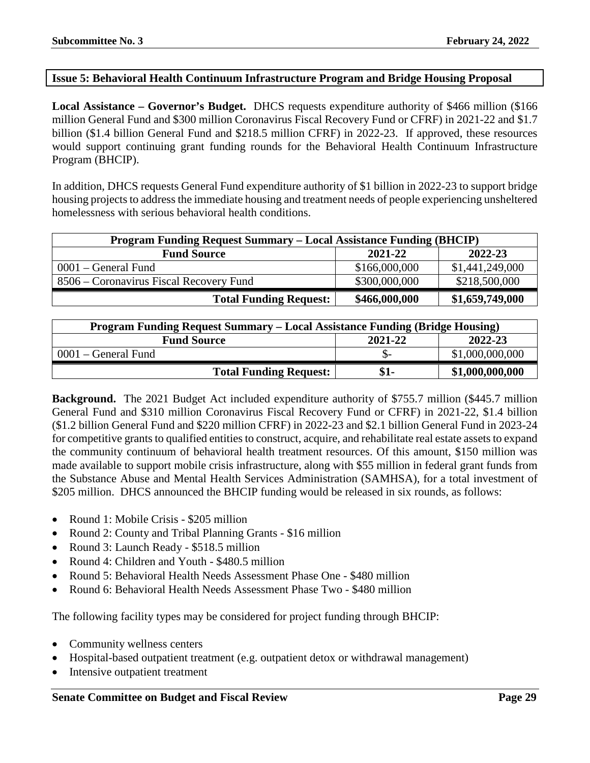#### <span id="page-28-0"></span>**Issue 5: Behavioral Health Continuum Infrastructure Program and Bridge Housing Proposal**

**Local Assistance – Governor's Budget.** DHCS requests expenditure authority of \$466 million (\$166 million General Fund and \$300 million Coronavirus Fiscal Recovery Fund or CFRF) in 2021-22 and \$1.7 billion (\$1.4 billion General Fund and \$218.5 million CFRF) in 2022-23. If approved, these resources would support continuing grant funding rounds for the Behavioral Health Continuum Infrastructure Program (BHCIP).

In addition, DHCS requests General Fund expenditure authority of \$1 billion in 2022-23 to support bridge housing projects to address the immediate housing and treatment needs of people experiencing unsheltered homelessness with serious behavioral health conditions.

| <b>Program Funding Request Summary - Local Assistance Funding (BHCIP)</b> |               |                 |  |  |
|---------------------------------------------------------------------------|---------------|-----------------|--|--|
| 2022-23<br>2021-22<br><b>Fund Source</b>                                  |               |                 |  |  |
| $0001$ – General Fund                                                     | \$166,000,000 | \$1,441,249,000 |  |  |
| 8506 – Coronavirus Fiscal Recovery Fund                                   | \$300,000,000 | \$218,500,000   |  |  |
| <b>Total Funding Request:</b>                                             | \$466,000,000 | \$1,659,749,000 |  |  |

| Program Funding Request Summary – Local Assistance Funding (Bridge Housing) |      |                 |  |  |
|-----------------------------------------------------------------------------|------|-----------------|--|--|
| 2022-23<br>2021-22<br><b>Fund Source</b>                                    |      |                 |  |  |
| $0001$ – General Fund                                                       |      | \$1,000,000,000 |  |  |
| <b>Total Funding Request:</b>                                               | \$1- | \$1,000,000,000 |  |  |

**Background.** The 2021 Budget Act included expenditure authority of \$755.7 million (\$445.7 million General Fund and \$310 million Coronavirus Fiscal Recovery Fund or CFRF) in 2021-22, \$1.4 billion (\$1.2 billion General Fund and \$220 million CFRF) in 2022-23 and \$2.1 billion General Fund in 2023-24 for competitive grants to qualified entities to construct, acquire, and rehabilitate real estate assets to expand the community continuum of behavioral health treatment resources. Of this amount, \$150 million was made available to support mobile crisis infrastructure, along with \$55 million in federal grant funds from the Substance Abuse and Mental Health Services Administration (SAMHSA), for a total investment of \$205 million. DHCS announced the BHCIP funding would be released in six rounds, as follows:

- Round 1: Mobile Crisis \$205 million
- Round 2: County and Tribal Planning Grants \$16 million
- Round 3: Launch Ready \$518.5 million
- Round 4: Children and Youth \$480.5 million
- Round 5: Behavioral Health Needs Assessment Phase One \$480 million
- Round 6: Behavioral Health Needs Assessment Phase Two \$480 million

The following facility types may be considered for project funding through BHCIP:

- Community wellness centers
- Hospital-based outpatient treatment (e.g. outpatient detox or withdrawal management)
- Intensive outpatient treatment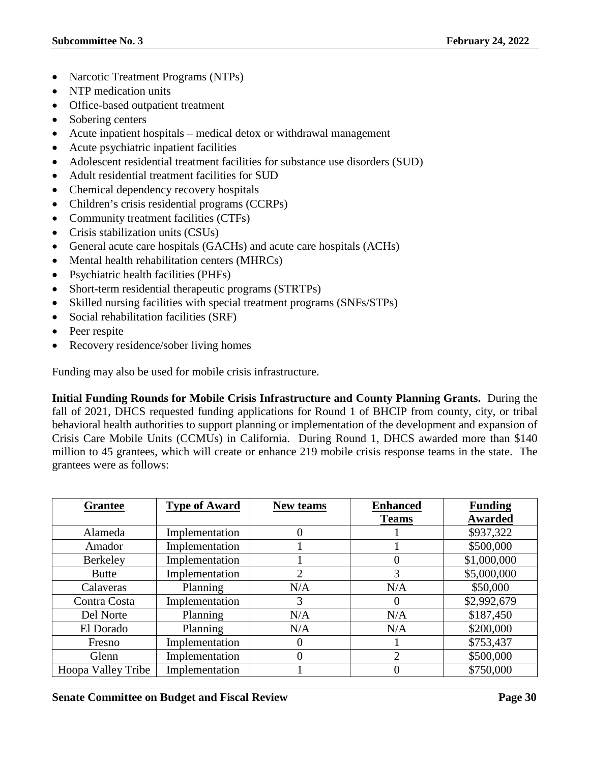- Narcotic Treatment Programs (NTPs)
- NTP medication units
- Office-based outpatient treatment
- Sobering centers
- Acute inpatient hospitals medical detox or withdrawal management
- Acute psychiatric inpatient facilities
- Adolescent residential treatment facilities for substance use disorders (SUD)
- Adult residential treatment facilities for SUD
- Chemical dependency recovery hospitals
- Children's crisis residential programs (CCRPs)
- Community treatment facilities (CTFs)
- Crisis stabilization units (CSUs)
- General acute care hospitals (GACHs) and acute care hospitals (ACHs)
- Mental health rehabilitation centers (MHRCs)
- Psychiatric health facilities (PHFs)
- Short-term residential therapeutic programs (STRTPs)
- Skilled nursing facilities with special treatment programs (SNFs/STPs)
- Social rehabilitation facilities (SRF)
- Peer respite
- Recovery residence/sober living homes

Funding may also be used for mobile crisis infrastructure.

**Initial Funding Rounds for Mobile Crisis Infrastructure and County Planning Grants.** During the fall of 2021, DHCS requested funding applications for Round 1 of BHCIP from county, city, or tribal behavioral health authorities to support planning or implementation of the development and expansion of Crisis Care Mobile Units (CCMUs) in California. During Round 1, DHCS awarded more than \$140 million to 45 grantees, which will create or enhance 219 mobile crisis response teams in the state. The grantees were as follows:

| <b>Grantee</b>     | <b>Type of Award</b> | New teams | <b>Enhanced</b> | <b>Funding</b> |
|--------------------|----------------------|-----------|-----------------|----------------|
|                    |                      |           | <b>Teams</b>    | <b>Awarded</b> |
| Alameda            | Implementation       | 0         |                 | \$937,322      |
| Amador             | Implementation       |           |                 | \$500,000      |
| Berkeley           | Implementation       |           | O               | \$1,000,000    |
| <b>Butte</b>       | Implementation       | 2         | 3               | \$5,000,000    |
| Calaveras          | Planning             | N/A       | N/A             | \$50,000       |
| Contra Costa       | Implementation       | 3         | $\mathbf{U}$    | \$2,992,679    |
| Del Norte          | Planning             | N/A       | N/A             | \$187,450      |
| El Dorado          | Planning             | N/A       | N/A             | \$200,000      |
| Fresno             | Implementation       | 0         |                 | \$753,437      |
| Glenn              | Implementation       | 0         | $\mathfrak{D}$  | \$500,000      |
| Hoopa Valley Tribe | Implementation       |           |                 | \$750,000      |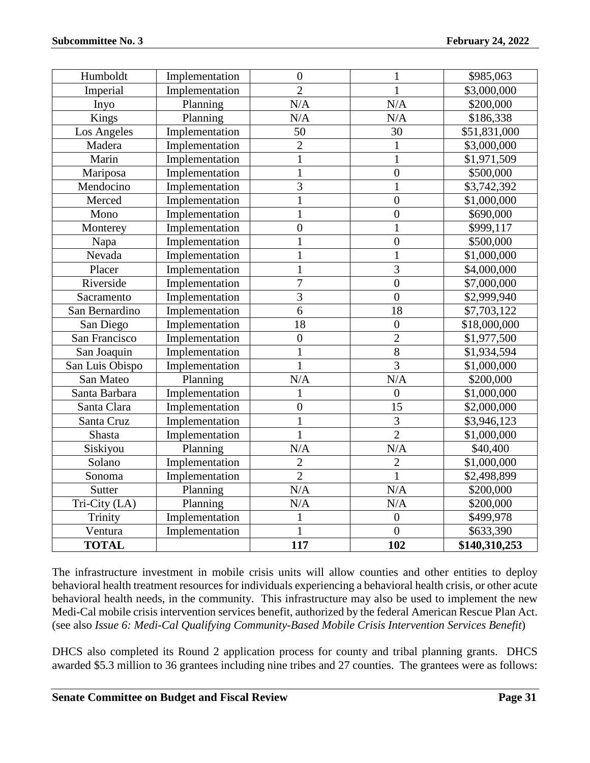| Humboldt        | Implementation | $\boldsymbol{0}$ | 1              | \$985,063     |
|-----------------|----------------|------------------|----------------|---------------|
| Imperial        | Implementation | $\overline{2}$   | 1              | \$3,000,000   |
| Inyo            | Planning       | N/A              | N/A            | \$200,000     |
| Kings           | Planning       | N/A              | N/A            | \$186,338     |
| Los Angeles     | Implementation | 50               | 30             | \$51,831,000  |
| Madera          | Implementation | $\overline{2}$   |                | \$3,000,000   |
| Marin           | Implementation | $\mathbf{1}$     | $\mathbf 1$    | \$1,971,509   |
| Mariposa        | Implementation | $\mathbf{1}$     | $\overline{0}$ | \$500,000     |
| Mendocino       | Implementation | $\overline{3}$   | $\mathbf{1}$   | \$3,742,392   |
| Merced          | Implementation | $\mathbf{1}$     | $\overline{0}$ | \$1,000,000   |
| Mono            | Implementation | $\mathbf{1}$     | $\overline{0}$ | \$690,000     |
| Monterey        | Implementation | $\overline{0}$   | $\mathbf{1}$   | \$999,117     |
| Napa            | Implementation | $\mathbf{1}$     | $\overline{0}$ | \$500,000     |
| Nevada          | Implementation | $\mathbf{1}$     | $\mathbf 1$    | \$1,000,000   |
| Placer          | Implementation | $\mathbf{1}$     | $\overline{3}$ | \$4,000,000   |
| Riverside       | Implementation | $\overline{7}$   | $\overline{0}$ | \$7,000,000   |
| Sacramento      | Implementation | $\overline{3}$   | $\overline{0}$ | \$2,999,940   |
| San Bernardino  | Implementation | 6                | 18             | \$7,703,122   |
| San Diego       | Implementation | 18               | $\overline{0}$ | \$18,000,000  |
| San Francisco   | Implementation | $\boldsymbol{0}$ | $\overline{2}$ | \$1,977,500   |
| San Joaquin     | Implementation | $\mathbf{1}$     | $\overline{8}$ | \$1,934,594   |
| San Luis Obispo | Implementation | $\overline{1}$   | $\overline{3}$ | \$1,000,000   |
| San Mateo       | Planning       | N/A              | N/A            | \$200,000     |
| Santa Barbara   | Implementation | 1                | $\overline{0}$ | \$1,000,000   |
| Santa Clara     | Implementation | $\boldsymbol{0}$ | 15             | \$2,000,000   |
| Santa Cruz      | Implementation | $\mathbf{1}$     | 3              | \$3,946,123   |
| Shasta          | Implementation | $\mathbf{1}$     | $\overline{2}$ | \$1,000,000   |
| Siskiyou        | Planning       | N/A              | N/A            | \$40,400      |
| Solano          | Implementation | $\overline{c}$   | $\overline{2}$ | \$1,000,000   |
| Sonoma          | Implementation | $\overline{2}$   | $\mathbf{1}$   | \$2,498,899   |
| Sutter          | Planning       | N/A              | N/A            | \$200,000     |
| Tri-City (LA)   | Planning       | N/A              | N/A            | \$200,000     |
| Trinity         | Implementation | $\mathbf{1}$     | $\overline{0}$ | \$499,978     |
| Ventura         | Implementation | $\overline{1}$   | $\overline{0}$ | \$633,390     |
| <b>TOTAL</b>    |                | 117              | 102            | \$140,310,253 |

The infrastructure investment in mobile crisis units will allow counties and other entities to deploy behavioral health treatment resources for individuals experiencing a behavioral health crisis, or other acute behavioral health needs, in the community. This infrastructure may also be used to implement the new Medi-Cal mobile crisis intervention services benefit, authorized by the federal American Rescue Plan Act. (see also *Issue 6: Medi-Cal Qualifying Community-Based Mobile Crisis Intervention Services Benefit*)

DHCS also completed its Round 2 application process for county and tribal planning grants. DHCS awarded \$5.3 million to 36 grantees including nine tribes and 27 counties. The grantees were as follows: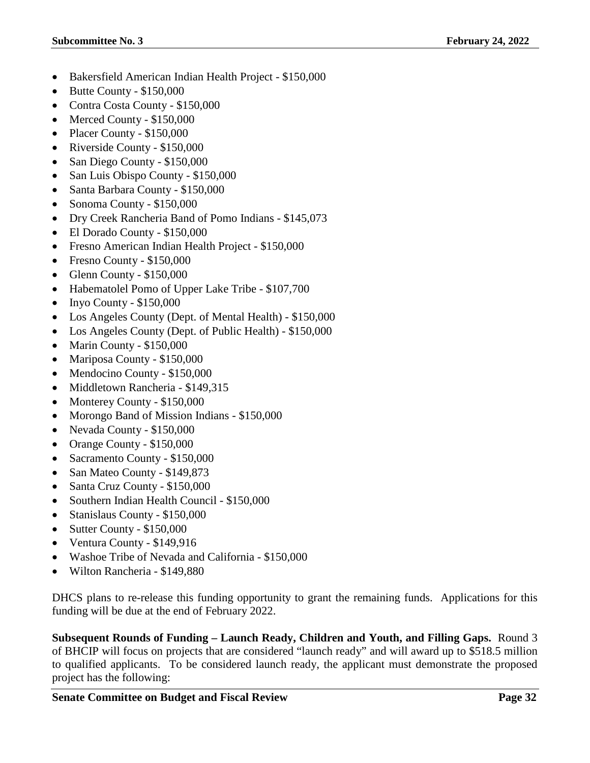- Bakersfield American Indian Health Project \$150,000
- Butte County \$150,000
- Contra Costa County \$150,000
- Merced County \$150,000
- Placer County \$150,000
- Riverside County \$150,000
- San Diego County \$150,000
- San Luis Obispo County \$150,000
- Santa Barbara County \$150,000
- Sonoma County \$150,000
- Dry Creek Rancheria Band of Pomo Indians \$145,073
- El Dorado County \$150,000
- Fresno American Indian Health Project \$150,000
- Fresno County \$150,000
- Glenn County \$150,000
- Habematolel Pomo of Upper Lake Tribe \$107,700
- Inyo County  $$150,000$
- Los Angeles County (Dept. of Mental Health) \$150,000
- Los Angeles County (Dept. of Public Health) \$150,000
- Marin County \$150,000
- Mariposa County \$150,000
- Mendocino County \$150,000
- Middletown Rancheria \$149.315
- Monterey County \$150,000
- Morongo Band of Mission Indians \$150,000
- Nevada County \$150,000
- Orange County \$150,000
- Sacramento County \$150,000
- San Mateo County \$149,873
- Santa Cruz County \$150,000
- Southern Indian Health Council \$150,000
- Stanislaus County \$150,000
- Sutter County \$150,000
- Ventura County \$149,916
- Washoe Tribe of Nevada and California \$150,000
- Wilton Rancheria \$149,880

DHCS plans to re-release this funding opportunity to grant the remaining funds. Applications for this funding will be due at the end of February 2022.

**Subsequent Rounds of Funding – Launch Ready, Children and Youth, and Filling Gaps.** Round 3 of BHCIP will focus on projects that are considered "launch ready" and will award up to \$518.5 million to qualified applicants. To be considered launch ready, the applicant must demonstrate the proposed project has the following: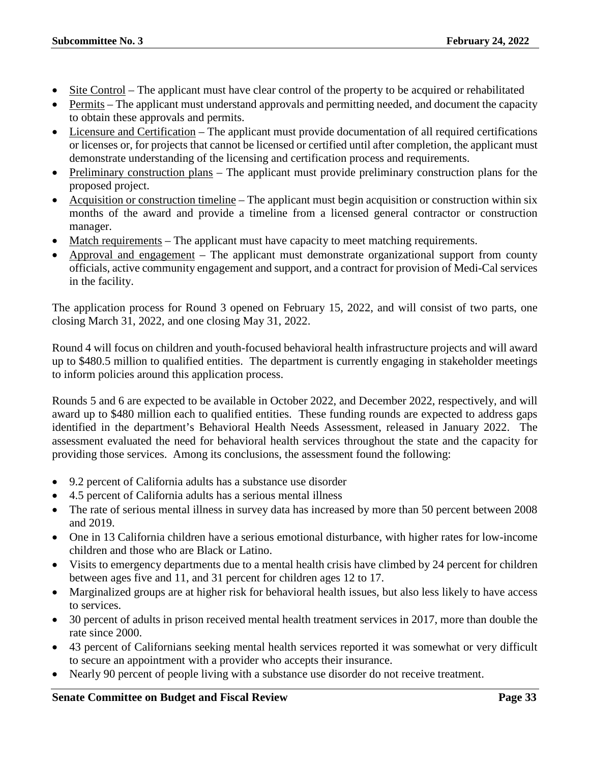- Site Control The applicant must have clear control of the property to be acquired or rehabilitated
- Permits The applicant must understand approvals and permitting needed, and document the capacity to obtain these approvals and permits.
- Licensure and Certification The applicant must provide documentation of all required certifications or licenses or, for projects that cannot be licensed or certified until after completion, the applicant must demonstrate understanding of the licensing and certification process and requirements.
- Preliminary construction plans The applicant must provide preliminary construction plans for the proposed project.
- Acquisition or construction timeline The applicant must begin acquisition or construction within six months of the award and provide a timeline from a licensed general contractor or construction manager.
- Match requirements The applicant must have capacity to meet matching requirements.
- Approval and engagement The applicant must demonstrate organizational support from county officials, active community engagement and support, and a contract for provision of Medi-Cal services in the facility.

The application process for Round 3 opened on February 15, 2022, and will consist of two parts, one closing March 31, 2022, and one closing May 31, 2022.

Round 4 will focus on children and youth-focused behavioral health infrastructure projects and will award up to \$480.5 million to qualified entities. The department is currently engaging in stakeholder meetings to inform policies around this application process.

Rounds 5 and 6 are expected to be available in October 2022, and December 2022, respectively, and will award up to \$480 million each to qualified entities. These funding rounds are expected to address gaps identified in the department's Behavioral Health Needs Assessment, released in January 2022. The assessment evaluated the need for behavioral health services throughout the state and the capacity for providing those services. Among its conclusions, the assessment found the following:

- 9.2 percent of California adults has a substance use disorder
- 4.5 percent of California adults has a serious mental illness
- The rate of serious mental illness in survey data has increased by more than 50 percent between 2008 and 2019.
- One in 13 California children have a serious emotional disturbance, with higher rates for low-income children and those who are Black or Latino.
- Visits to emergency departments due to a mental health crisis have climbed by 24 percent for children between ages five and 11, and 31 percent for children ages 12 to 17.
- Marginalized groups are at higher risk for behavioral health issues, but also less likely to have access to services.
- 30 percent of adults in prison received mental health treatment services in 2017, more than double the rate since 2000.
- 43 percent of Californians seeking mental health services reported it was somewhat or very difficult to secure an appointment with a provider who accepts their insurance.
- Nearly 90 percent of people living with a substance use disorder do not receive treatment.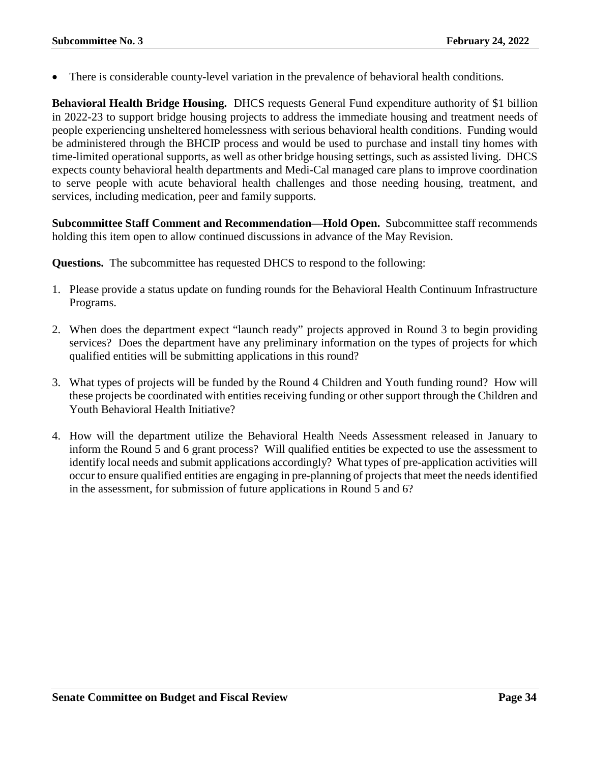There is considerable county-level variation in the prevalence of behavioral health conditions.

**Behavioral Health Bridge Housing.** DHCS requests General Fund expenditure authority of \$1 billion in 2022-23 to support bridge housing projects to address the immediate housing and treatment needs of people experiencing unsheltered homelessness with serious behavioral health conditions. Funding would be administered through the BHCIP process and would be used to purchase and install tiny homes with time-limited operational supports, as well as other bridge housing settings, such as assisted living. DHCS expects county behavioral health departments and Medi-Cal managed care plans to improve coordination to serve people with acute behavioral health challenges and those needing housing, treatment, and services, including medication, peer and family supports.

**Subcommittee Staff Comment and Recommendation—Hold Open.** Subcommittee staff recommends holding this item open to allow continued discussions in advance of the May Revision.

**Questions.** The subcommittee has requested DHCS to respond to the following:

- 1. Please provide a status update on funding rounds for the Behavioral Health Continuum Infrastructure Programs.
- 2. When does the department expect "launch ready" projects approved in Round 3 to begin providing services? Does the department have any preliminary information on the types of projects for which qualified entities will be submitting applications in this round?
- 3. What types of projects will be funded by the Round 4 Children and Youth funding round? How will these projects be coordinated with entities receiving funding or other support through the Children and Youth Behavioral Health Initiative?
- 4. How will the department utilize the Behavioral Health Needs Assessment released in January to inform the Round 5 and 6 grant process? Will qualified entities be expected to use the assessment to identify local needs and submit applications accordingly? What types of pre-application activities will occur to ensure qualified entities are engaging in pre-planning of projects that meet the needs identified in the assessment, for submission of future applications in Round 5 and 6?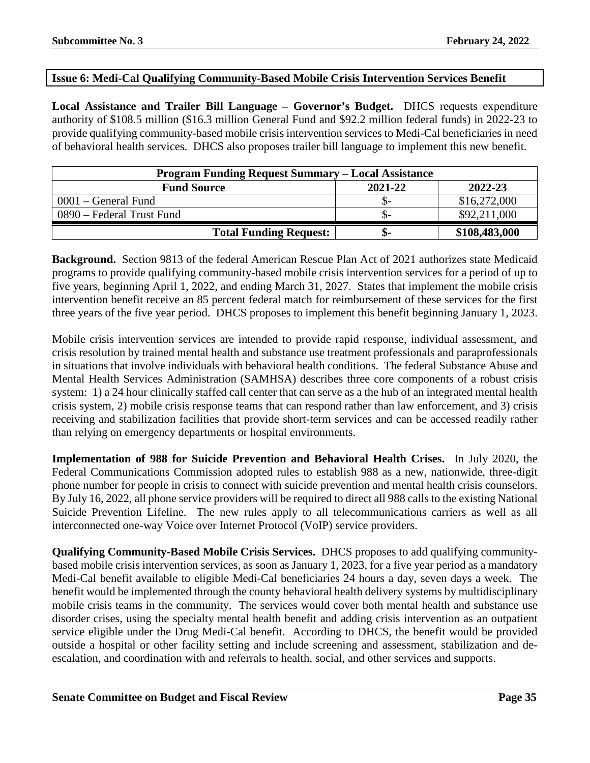#### <span id="page-34-0"></span>**Issue 6: Medi-Cal Qualifying Community-Based Mobile Crisis Intervention Services Benefit**

**Local Assistance and Trailer Bill Language – Governor's Budget.** DHCS requests expenditure authority of \$108.5 million (\$16.3 million General Fund and \$92.2 million federal funds) in 2022-23 to provide qualifying community-based mobile crisis intervention services to Medi-Cal beneficiaries in need of behavioral health services. DHCS also proposes trailer bill language to implement this new benefit.

| <b>Program Funding Request Summary – Local Assistance</b> |         |               |
|-----------------------------------------------------------|---------|---------------|
| <b>Fund Source</b>                                        | 2021-22 | 2022-23       |
| 0001 – General Fund                                       | .Th-    | \$16,272,000  |
| 0890 – Federal Trust Fund                                 | .Th-    | \$92,211,000  |
| <b>Total Funding Request:</b>                             | ው-      | \$108,483,000 |

**Background.** Section 9813 of the federal American Rescue Plan Act of 2021 authorizes state Medicaid programs to provide qualifying community-based mobile crisis intervention services for a period of up to five years, beginning April 1, 2022, and ending March 31, 2027. States that implement the mobile crisis intervention benefit receive an 85 percent federal match for reimbursement of these services for the first three years of the five year period. DHCS proposes to implement this benefit beginning January 1, 2023.

Mobile crisis intervention services are intended to provide rapid response, individual assessment, and crisis resolution by trained mental health and substance use treatment professionals and paraprofessionals in situations that involve individuals with behavioral health conditions. The federal Substance Abuse and Mental Health Services Administration (SAMHSA) describes three core components of a robust crisis system: 1) a 24 hour clinically staffed call center that can serve as a the hub of an integrated mental health crisis system, 2) mobile crisis response teams that can respond rather than law enforcement, and 3) crisis receiving and stabilization facilities that provide short-term services and can be accessed readily rather than relying on emergency departments or hospital environments.

**Implementation of 988 for Suicide Prevention and Behavioral Health Crises.** In July 2020, the Federal Communications Commission adopted rules to establish 988 as a new, nationwide, three-digit phone number for people in crisis to connect with suicide prevention and mental health crisis counselors. By July 16, 2022, all phone service providers will be required to direct all 988 calls to the existing National Suicide Prevention Lifeline. The new rules apply to all telecommunications carriers as well as all interconnected one-way Voice over Internet Protocol (VoIP) service providers.

**Qualifying Community-Based Mobile Crisis Services.** DHCS proposes to add qualifying communitybased mobile crisis intervention services, as soon as January 1, 2023, for a five year period as a mandatory Medi-Cal benefit available to eligible Medi-Cal beneficiaries 24 hours a day, seven days a week. The benefit would be implemented through the county behavioral health delivery systems by multidisciplinary mobile crisis teams in the community. The services would cover both mental health and substance use disorder crises, using the specialty mental health benefit and adding crisis intervention as an outpatient service eligible under the Drug Medi-Cal benefit. According to DHCS, the benefit would be provided outside a hospital or other facility setting and include screening and assessment, stabilization and deescalation, and coordination with and referrals to health, social, and other services and supports.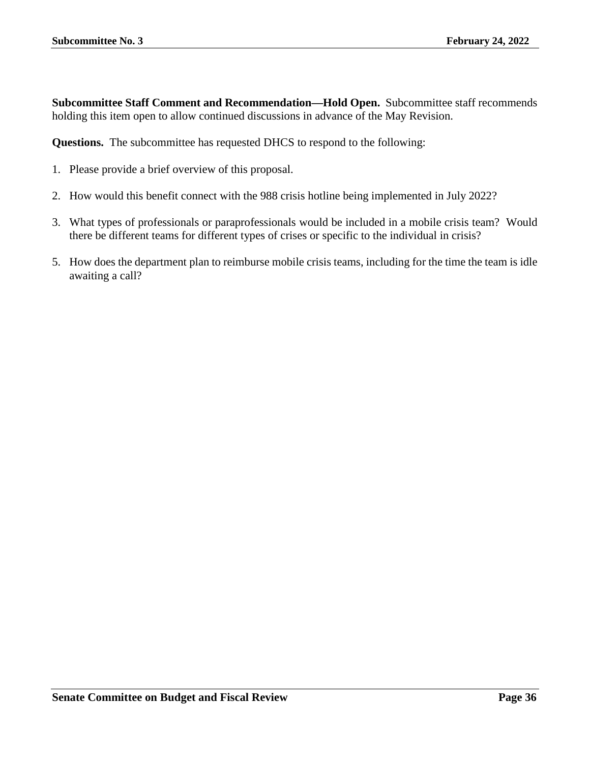**Subcommittee Staff Comment and Recommendation—Hold Open.** Subcommittee staff recommends holding this item open to allow continued discussions in advance of the May Revision.

**Questions.** The subcommittee has requested DHCS to respond to the following:

- 1. Please provide a brief overview of this proposal.
- 2. How would this benefit connect with the 988 crisis hotline being implemented in July 2022?
- 3. What types of professionals or paraprofessionals would be included in a mobile crisis team? Would there be different teams for different types of crises or specific to the individual in crisis?
- 5. How does the department plan to reimburse mobile crisis teams, including for the time the team is idle awaiting a call?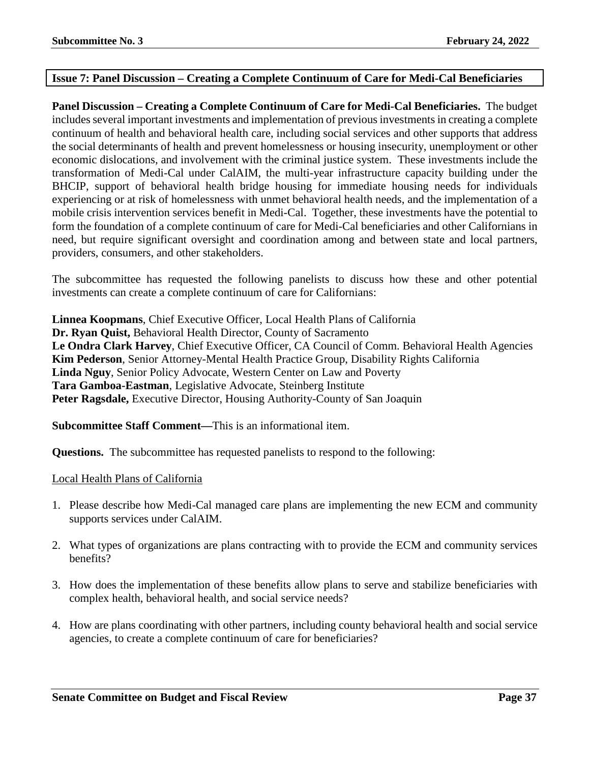### **Issue 7: Panel Discussion – Creating a Complete Continuum of Care for Medi-Cal Beneficiaries**

**Panel Discussion – Creating a Complete Continuum of Care for Medi-Cal Beneficiaries.** The budget includes several important investments and implementation of previous investments in creating a complete continuum of health and behavioral health care, including social services and other supports that address the social determinants of health and prevent homelessness or housing insecurity, unemployment or other economic dislocations, and involvement with the criminal justice system. These investments include the transformation of Medi-Cal under CalAIM, the multi-year infrastructure capacity building under the BHCIP, support of behavioral health bridge housing for immediate housing needs for individuals experiencing or at risk of homelessness with unmet behavioral health needs, and the implementation of a mobile crisis intervention services benefit in Medi-Cal. Together, these investments have the potential to form the foundation of a complete continuum of care for Medi-Cal beneficiaries and other Californians in need, but require significant oversight and coordination among and between state and local partners, providers, consumers, and other stakeholders.

The subcommittee has requested the following panelists to discuss how these and other potential investments can create a complete continuum of care for Californians:

**Linnea Koopmans**, Chief Executive Officer, Local Health Plans of California **Dr. Ryan Quist,** Behavioral Health Director, County of Sacramento **Le Ondra Clark Harvey**, Chief Executive Officer, CA Council of Comm. Behavioral Health Agencies **Kim Pederson**, Senior Attorney-Mental Health Practice Group, Disability Rights California **Linda Nguy**, Senior Policy Advocate, Western Center on Law and Poverty **Tara Gamboa-Eastman**, Legislative Advocate, Steinberg Institute **Peter Ragsdale,** Executive Director, Housing Authority-County of San Joaquin

**Subcommittee Staff Comment—**This is an informational item.

**Questions.** The subcommittee has requested panelists to respond to the following:

### Local Health Plans of California

- 1. Please describe how Medi-Cal managed care plans are implementing the new ECM and community supports services under CalAIM.
- 2. What types of organizations are plans contracting with to provide the ECM and community services benefits?
- 3. How does the implementation of these benefits allow plans to serve and stabilize beneficiaries with complex health, behavioral health, and social service needs?
- 4. How are plans coordinating with other partners, including county behavioral health and social service agencies, to create a complete continuum of care for beneficiaries?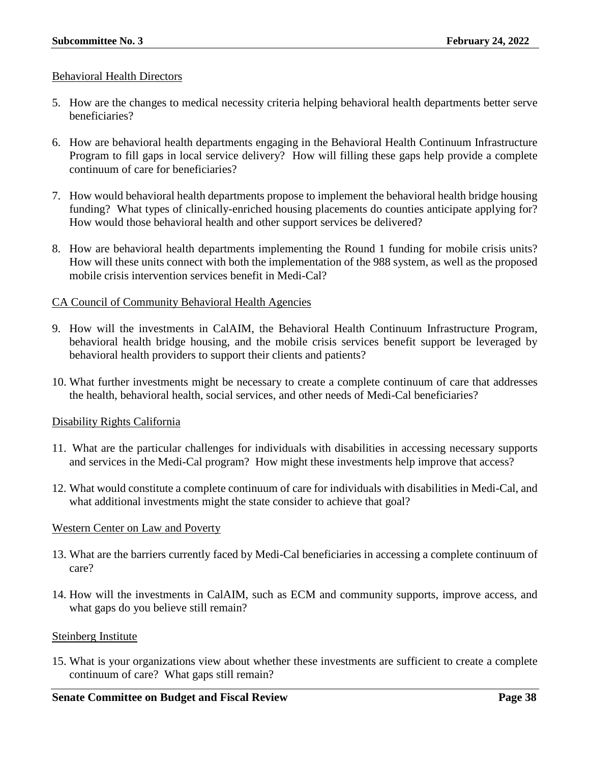### Behavioral Health Directors

- 5. How are the changes to medical necessity criteria helping behavioral health departments better serve beneficiaries?
- 6. How are behavioral health departments engaging in the Behavioral Health Continuum Infrastructure Program to fill gaps in local service delivery? How will filling these gaps help provide a complete continuum of care for beneficiaries?
- 7. How would behavioral health departments propose to implement the behavioral health bridge housing funding? What types of clinically-enriched housing placements do counties anticipate applying for? How would those behavioral health and other support services be delivered?
- 8. How are behavioral health departments implementing the Round 1 funding for mobile crisis units? How will these units connect with both the implementation of the 988 system, as well as the proposed mobile crisis intervention services benefit in Medi-Cal?

## CA Council of Community Behavioral Health Agencies

- 9. How will the investments in CalAIM, the Behavioral Health Continuum Infrastructure Program, behavioral health bridge housing, and the mobile crisis services benefit support be leveraged by behavioral health providers to support their clients and patients?
- 10. What further investments might be necessary to create a complete continuum of care that addresses the health, behavioral health, social services, and other needs of Medi-Cal beneficiaries?

### Disability Rights California

- 11. What are the particular challenges for individuals with disabilities in accessing necessary supports and services in the Medi-Cal program? How might these investments help improve that access?
- 12. What would constitute a complete continuum of care for individuals with disabilities in Medi-Cal, and what additional investments might the state consider to achieve that goal?

### Western Center on Law and Poverty

- 13. What are the barriers currently faced by Medi-Cal beneficiaries in accessing a complete continuum of care?
- 14. How will the investments in CalAIM, such as ECM and community supports, improve access, and what gaps do you believe still remain?

### Steinberg Institute

15. What is your organizations view about whether these investments are sufficient to create a complete continuum of care? What gaps still remain?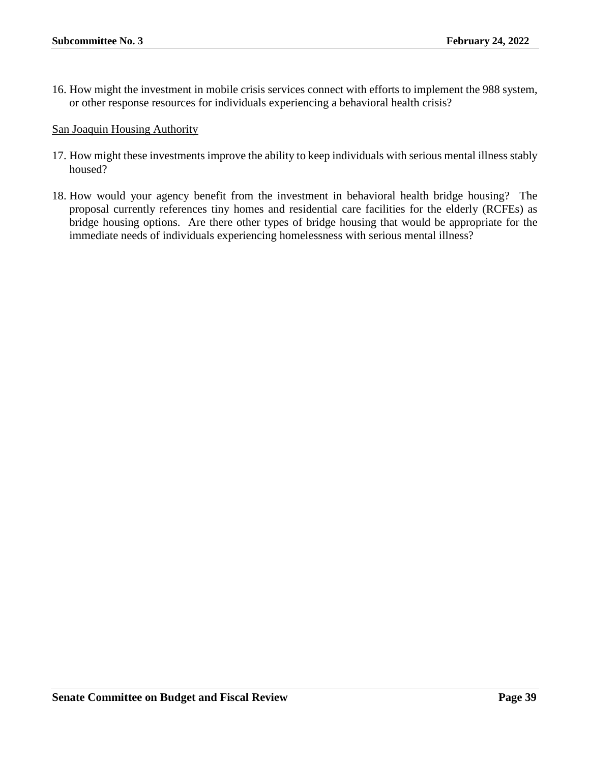16. How might the investment in mobile crisis services connect with efforts to implement the 988 system, or other response resources for individuals experiencing a behavioral health crisis?

San Joaquin Housing Authority

- 17. How might these investments improve the ability to keep individuals with serious mental illness stably housed?
- 18. How would your agency benefit from the investment in behavioral health bridge housing? The proposal currently references tiny homes and residential care facilities for the elderly (RCFEs) as bridge housing options. Are there other types of bridge housing that would be appropriate for the immediate needs of individuals experiencing homelessness with serious mental illness?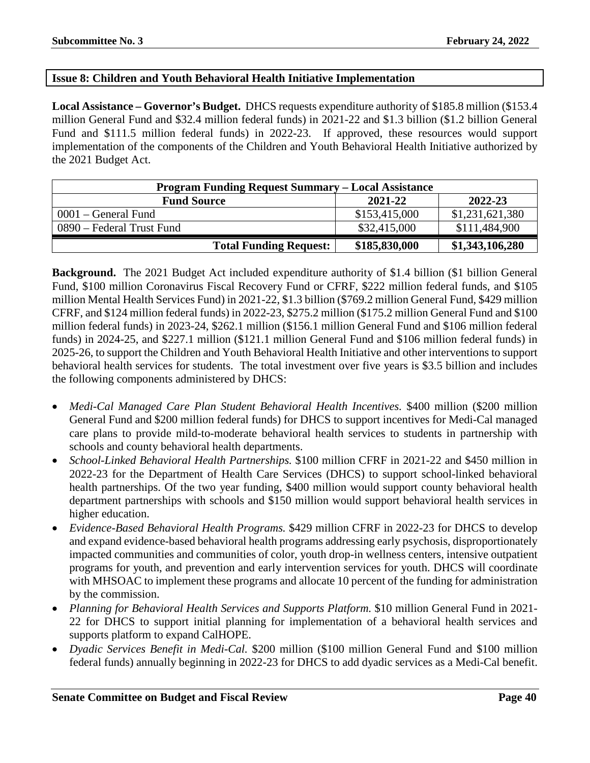## **Issue 8: Children and Youth Behavioral Health Initiative Implementation**

**Local Assistance – Governor's Budget.** DHCS requests expenditure authority of \$185.8 million (\$153.4 million General Fund and \$32.4 million federal funds) in 2021-22 and \$1.3 billion (\$1.2 billion General Fund and \$111.5 million federal funds) in 2022-23. If approved, these resources would support implementation of the components of the Children and Youth Behavioral Health Initiative authorized by the 2021 Budget Act.

| <b>Program Funding Request Summary - Local Assistance</b> |               |                 |  |
|-----------------------------------------------------------|---------------|-----------------|--|
| <b>Fund Source</b>                                        | 2021-22       | 2022-23         |  |
| $0001$ – General Fund                                     | \$153,415,000 | \$1,231,621,380 |  |
| 0890 – Federal Trust Fund                                 | \$32,415,000  | \$111,484,900   |  |
| <b>Total Funding Request:</b>                             | \$185,830,000 | \$1,343,106,280 |  |

**Background.** The 2021 Budget Act included expenditure authority of \$1.4 billion (\$1 billion General Fund, \$100 million Coronavirus Fiscal Recovery Fund or CFRF, \$222 million federal funds, and \$105 million Mental Health Services Fund) in 2021-22, \$1.3 billion (\$769.2 million General Fund, \$429 million CFRF, and \$124 million federal funds) in 2022-23, \$275.2 million (\$175.2 million General Fund and \$100 million federal funds) in 2023-24, \$262.1 million (\$156.1 million General Fund and \$106 million federal funds) in 2024-25, and \$227.1 million (\$121.1 million General Fund and \$106 million federal funds) in 2025-26, to support the Children and Youth Behavioral Health Initiative and other interventions to support behavioral health services for students. The total investment over five years is \$3.5 billion and includes the following components administered by DHCS:

- *Medi-Cal Managed Care Plan Student Behavioral Health Incentives.* \$400 million (\$200 million General Fund and \$200 million federal funds) for DHCS to support incentives for Medi-Cal managed care plans to provide mild-to-moderate behavioral health services to students in partnership with schools and county behavioral health departments.
- *School-Linked Behavioral Health Partnerships.* \$100 million CFRF in 2021-22 and \$450 million in 2022-23 for the Department of Health Care Services (DHCS) to support school-linked behavioral health partnerships. Of the two year funding, \$400 million would support county behavioral health department partnerships with schools and \$150 million would support behavioral health services in higher education.
- *Evidence-Based Behavioral Health Programs.* \$429 million CFRF in 2022-23 for DHCS to develop and expand evidence-based behavioral health programs addressing early psychosis, disproportionately impacted communities and communities of color, youth drop-in wellness centers, intensive outpatient programs for youth, and prevention and early intervention services for youth. DHCS will coordinate with MHSOAC to implement these programs and allocate 10 percent of the funding for administration by the commission.
- *Planning for Behavioral Health Services and Supports Platform.* \$10 million General Fund in 2021- 22 for DHCS to support initial planning for implementation of a behavioral health services and supports platform to expand CalHOPE.
- *Dyadic Services Benefit in Medi-Cal.* \$200 million (\$100 million General Fund and \$100 million federal funds) annually beginning in 2022-23 for DHCS to add dyadic services as a Medi-Cal benefit.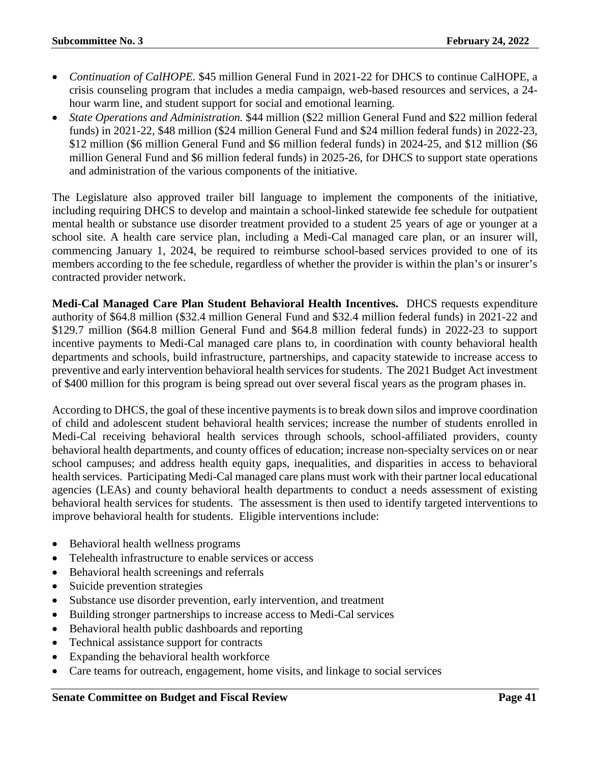- *Continuation of CalHOPE*. \$45 million General Fund in 2021-22 for DHCS to continue CalHOPE, a crisis counseling program that includes a media campaign, web-based resources and services, a 24 hour warm line, and student support for social and emotional learning.
- *State Operations and Administration.* \$44 million (\$22 million General Fund and \$22 million federal funds) in 2021-22, \$48 million (\$24 million General Fund and \$24 million federal funds) in 2022-23, \$12 million (\$6 million General Fund and \$6 million federal funds) in 2024-25, and \$12 million (\$6 million General Fund and \$6 million federal funds) in 2025-26, for DHCS to support state operations and administration of the various components of the initiative.

The Legislature also approved trailer bill language to implement the components of the initiative, including requiring DHCS to develop and maintain a school-linked statewide fee schedule for outpatient mental health or substance use disorder treatment provided to a student 25 years of age or younger at a school site. A health care service plan, including a Medi-Cal managed care plan, or an insurer will, commencing January 1, 2024, be required to reimburse school-based services provided to one of its members according to the fee schedule, regardless of whether the provider is within the plan's or insurer's contracted provider network.

**Medi-Cal Managed Care Plan Student Behavioral Health Incentives.** DHCS requests expenditure authority of \$64.8 million (\$32.4 million General Fund and \$32.4 million federal funds) in 2021-22 and \$129.7 million (\$64.8 million General Fund and \$64.8 million federal funds) in 2022-23 to support incentive payments to Medi-Cal managed care plans to, in coordination with county behavioral health departments and schools, build infrastructure, partnerships, and capacity statewide to increase access to preventive and early intervention behavioral health services for students. The 2021 Budget Act investment of \$400 million for this program is being spread out over several fiscal years as the program phases in.

According to DHCS, the goal of these incentive payments is to break down silos and improve coordination of child and adolescent student behavioral health services; increase the number of students enrolled in Medi-Cal receiving behavioral health services through schools, school-affiliated providers, county behavioral health departments, and county offices of education; increase non-specialty services on or near school campuses; and address health equity gaps, inequalities, and disparities in access to behavioral health services. Participating Medi-Cal managed care plans must work with their partner local educational agencies (LEAs) and county behavioral health departments to conduct a needs assessment of existing behavioral health services for students. The assessment is then used to identify targeted interventions to improve behavioral health for students. Eligible interventions include:

- Behavioral health wellness programs
- Telehealth infrastructure to enable services or access
- Behavioral health screenings and referrals
- Suicide prevention strategies
- Substance use disorder prevention, early intervention, and treatment
- Building stronger partnerships to increase access to Medi-Cal services
- Behavioral health public dashboards and reporting
- Technical assistance support for contracts
- Expanding the behavioral health workforce
- Care teams for outreach, engagement, home visits, and linkage to social services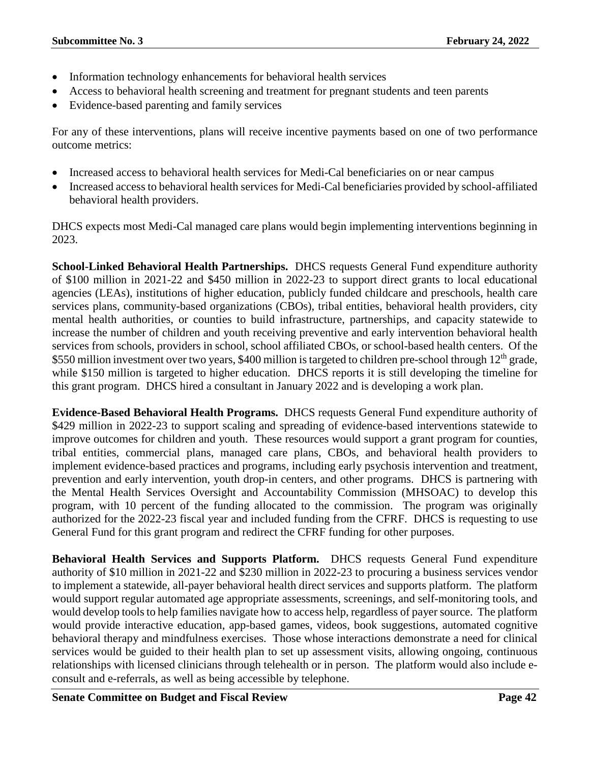- Information technology enhancements for behavioral health services
- Access to behavioral health screening and treatment for pregnant students and teen parents
- Evidence-based parenting and family services

For any of these interventions, plans will receive incentive payments based on one of two performance outcome metrics:

- Increased access to behavioral health services for Medi-Cal beneficiaries on or near campus
- Increased access to behavioral health services for Medi-Cal beneficiaries provided by school-affiliated behavioral health providers.

DHCS expects most Medi-Cal managed care plans would begin implementing interventions beginning in 2023.

**School-Linked Behavioral Health Partnerships.** DHCS requests General Fund expenditure authority of \$100 million in 2021-22 and \$450 million in 2022-23 to support direct grants to local educational agencies (LEAs), institutions of higher education, publicly funded childcare and preschools, health care services plans, community-based organizations (CBOs), tribal entities, behavioral health providers, city mental health authorities, or counties to build infrastructure, partnerships, and capacity statewide to increase the number of children and youth receiving preventive and early intervention behavioral health services from schools, providers in school, school affiliated CBOs, or school-based health centers. Of the \$550 million investment over two years, \$400 million is targeted to children pre-school through 12<sup>th</sup> grade, while \$150 million is targeted to higher education. DHCS reports it is still developing the timeline for this grant program. DHCS hired a consultant in January 2022 and is developing a work plan.

**Evidence-Based Behavioral Health Programs.** DHCS requests General Fund expenditure authority of \$429 million in 2022-23 to support scaling and spreading of evidence-based interventions statewide to improve outcomes for children and youth. These resources would support a grant program for counties, tribal entities, commercial plans, managed care plans, CBOs, and behavioral health providers to implement evidence-based practices and programs, including early psychosis intervention and treatment, prevention and early intervention, youth drop-in centers, and other programs. DHCS is partnering with the Mental Health Services Oversight and Accountability Commission (MHSOAC) to develop this program, with 10 percent of the funding allocated to the commission. The program was originally authorized for the 2022-23 fiscal year and included funding from the CFRF. DHCS is requesting to use General Fund for this grant program and redirect the CFRF funding for other purposes.

**Behavioral Health Services and Supports Platform.** DHCS requests General Fund expenditure authority of \$10 million in 2021-22 and \$230 million in 2022-23 to procuring a business services vendor to implement a statewide, all-payer behavioral health direct services and supports platform. The platform would support regular automated age appropriate assessments, screenings, and self-monitoring tools, and would develop tools to help families navigate how to access help, regardless of payer source. The platform would provide interactive education, app-based games, videos, book suggestions, automated cognitive behavioral therapy and mindfulness exercises. Those whose interactions demonstrate a need for clinical services would be guided to their health plan to set up assessment visits, allowing ongoing, continuous relationships with licensed clinicians through telehealth or in person. The platform would also include econsult and e-referrals, as well as being accessible by telephone.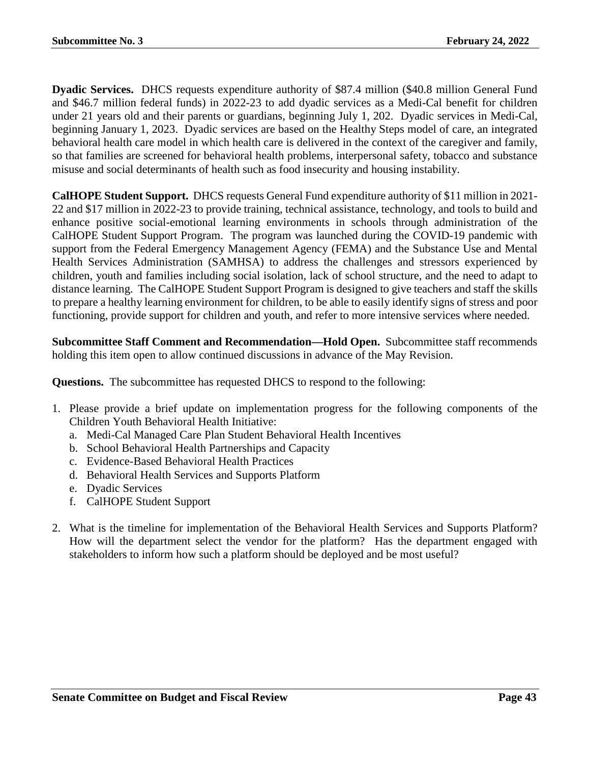**Dyadic Services.** DHCS requests expenditure authority of \$87.4 million (\$40.8 million General Fund and \$46.7 million federal funds) in 2022-23 to add dyadic services as a Medi-Cal benefit for children under 21 years old and their parents or guardians, beginning July 1, 202. Dyadic services in Medi-Cal, beginning January 1, 2023. Dyadic services are based on the Healthy Steps model of care, an integrated behavioral health care model in which health care is delivered in the context of the caregiver and family, so that families are screened for behavioral health problems, interpersonal safety, tobacco and substance misuse and social determinants of health such as food insecurity and housing instability.

**CalHOPE Student Support.** DHCS requests General Fund expenditure authority of \$11 million in 2021- 22 and \$17 million in 2022-23 to provide training, technical assistance, technology, and tools to build and enhance positive social-emotional learning environments in schools through administration of the CalHOPE Student Support Program. The program was launched during the COVID-19 pandemic with support from the Federal Emergency Management Agency (FEMA) and the Substance Use and Mental Health Services Administration (SAMHSA) to address the challenges and stressors experienced by children, youth and families including social isolation, lack of school structure, and the need to adapt to distance learning. The CalHOPE Student Support Program is designed to give teachers and staff the skills to prepare a healthy learning environment for children, to be able to easily identify signs of stress and poor functioning, provide support for children and youth, and refer to more intensive services where needed.

**Subcommittee Staff Comment and Recommendation—Hold Open.** Subcommittee staff recommends holding this item open to allow continued discussions in advance of the May Revision.

- 1. Please provide a brief update on implementation progress for the following components of the Children Youth Behavioral Health Initiative:
	- a. Medi-Cal Managed Care Plan Student Behavioral Health Incentives
	- b. School Behavioral Health Partnerships and Capacity
	- c. Evidence-Based Behavioral Health Practices
	- d. Behavioral Health Services and Supports Platform
	- e. Dyadic Services
	- f. CalHOPE Student Support
- 2. What is the timeline for implementation of the Behavioral Health Services and Supports Platform? How will the department select the vendor for the platform? Has the department engaged with stakeholders to inform how such a platform should be deployed and be most useful?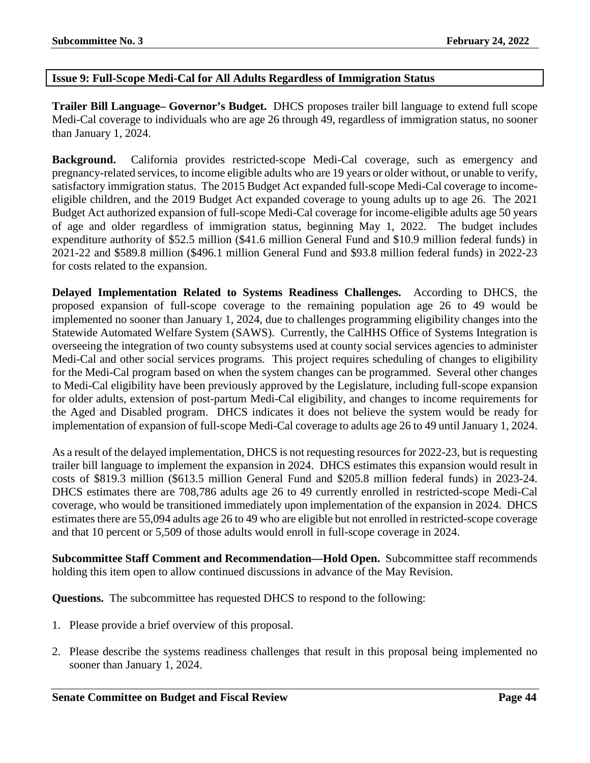## **Issue 9: Full-Scope Medi-Cal for All Adults Regardless of Immigration Status**

**Trailer Bill Language– Governor's Budget.** DHCS proposes trailer bill language to extend full scope Medi-Cal coverage to individuals who are age 26 through 49, regardless of immigration status, no sooner than January 1, 2024.

**Background.** California provides restricted-scope Medi-Cal coverage, such as emergency and pregnancy-related services, to income eligible adults who are 19 years or older without, or unable to verify, satisfactory immigration status. The 2015 Budget Act expanded full-scope Medi-Cal coverage to incomeeligible children, and the 2019 Budget Act expanded coverage to young adults up to age 26. The 2021 Budget Act authorized expansion of full-scope Medi-Cal coverage for income-eligible adults age 50 years of age and older regardless of immigration status, beginning May 1, 2022. The budget includes expenditure authority of \$52.5 million (\$41.6 million General Fund and \$10.9 million federal funds) in 2021-22 and \$589.8 million (\$496.1 million General Fund and \$93.8 million federal funds) in 2022-23 for costs related to the expansion.

**Delayed Implementation Related to Systems Readiness Challenges.** According to DHCS, the proposed expansion of full-scope coverage to the remaining population age 26 to 49 would be implemented no sooner than January 1, 2024, due to challenges programming eligibility changes into the Statewide Automated Welfare System (SAWS). Currently, the CalHHS Office of Systems Integration is overseeing the integration of two county subsystems used at county social services agencies to administer Medi-Cal and other social services programs. This project requires scheduling of changes to eligibility for the Medi-Cal program based on when the system changes can be programmed. Several other changes to Medi-Cal eligibility have been previously approved by the Legislature, including full-scope expansion for older adults, extension of post-partum Medi-Cal eligibility, and changes to income requirements for the Aged and Disabled program. DHCS indicates it does not believe the system would be ready for implementation of expansion of full-scope Medi-Cal coverage to adults age 26 to 49 until January 1, 2024.

As a result of the delayed implementation, DHCS is not requesting resources for 2022-23, but is requesting trailer bill language to implement the expansion in 2024. DHCS estimates this expansion would result in costs of \$819.3 million (\$613.5 million General Fund and \$205.8 million federal funds) in 2023-24. DHCS estimates there are 708,786 adults age 26 to 49 currently enrolled in restricted-scope Medi-Cal coverage, who would be transitioned immediately upon implementation of the expansion in 2024. DHCS estimates there are 55,094 adults age 26 to 49 who are eligible but not enrolled in restricted-scope coverage and that 10 percent or 5,509 of those adults would enroll in full-scope coverage in 2024.

**Subcommittee Staff Comment and Recommendation—Hold Open.** Subcommittee staff recommends holding this item open to allow continued discussions in advance of the May Revision.

- 1. Please provide a brief overview of this proposal.
- 2. Please describe the systems readiness challenges that result in this proposal being implemented no sooner than January 1, 2024.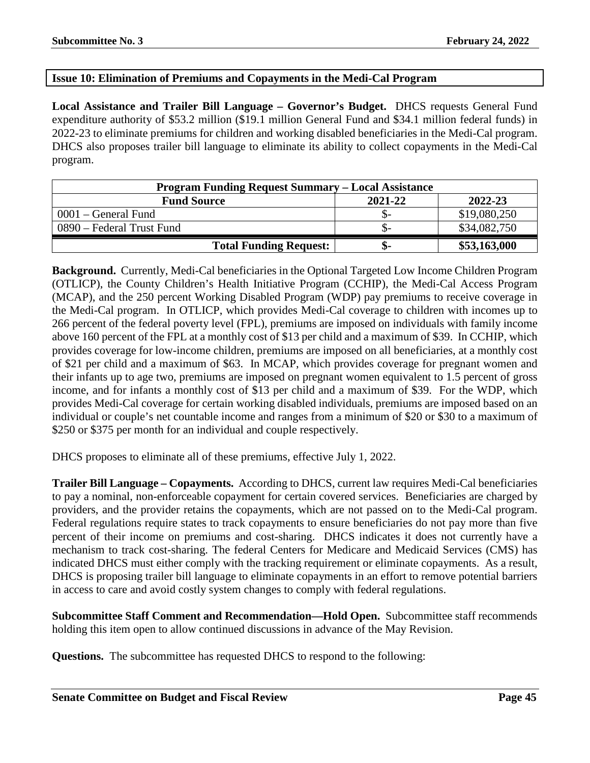## **Issue 10: Elimination of Premiums and Copayments in the Medi-Cal Program**

**Local Assistance and Trailer Bill Language – Governor's Budget.** DHCS requests General Fund expenditure authority of \$53.2 million (\$19.1 million General Fund and \$34.1 million federal funds) in 2022-23 to eliminate premiums for children and working disabled beneficiaries in the Medi-Cal program. DHCS also proposes trailer bill language to eliminate its ability to collect copayments in the Medi-Cal program.

| <b>Program Funding Request Summary – Local Assistance</b> |         |              |  |
|-----------------------------------------------------------|---------|--------------|--|
| <b>Fund Source</b>                                        | 2021-22 | 2022-23      |  |
| $0001$ – General Fund                                     | .১–     | \$19,080,250 |  |
| 0890 – Federal Trust Fund                                 | .১–     | \$34,082,750 |  |
| <b>Total Funding Request:</b>                             | .ზ-     | \$53,163,000 |  |

**Background.** Currently, Medi-Cal beneficiaries in the Optional Targeted Low Income Children Program (OTLICP), the County Children's Health Initiative Program (CCHIP), the Medi-Cal Access Program (MCAP), and the 250 percent Working Disabled Program (WDP) pay premiums to receive coverage in the Medi-Cal program. In OTLICP, which provides Medi-Cal coverage to children with incomes up to 266 percent of the federal poverty level (FPL), premiums are imposed on individuals with family income above 160 percent of the FPL at a monthly cost of \$13 per child and a maximum of \$39. In CCHIP, which provides coverage for low-income children, premiums are imposed on all beneficiaries, at a monthly cost of \$21 per child and a maximum of \$63. In MCAP, which provides coverage for pregnant women and their infants up to age two, premiums are imposed on pregnant women equivalent to 1.5 percent of gross income, and for infants a monthly cost of \$13 per child and a maximum of \$39. For the WDP, which provides Medi-Cal coverage for certain working disabled individuals, premiums are imposed based on an individual or couple's net countable income and ranges from a minimum of \$20 or \$30 to a maximum of \$250 or \$375 per month for an individual and couple respectively.

DHCS proposes to eliminate all of these premiums, effective July 1, 2022.

**Trailer Bill Language – Copayments.** According to DHCS, current law requires Medi-Cal beneficiaries to pay a nominal, non-enforceable copayment for certain covered services. Beneficiaries are charged by providers, and the provider retains the copayments, which are not passed on to the Medi-Cal program. Federal regulations require states to track copayments to ensure beneficiaries do not pay more than five percent of their income on premiums and cost-sharing. DHCS indicates it does not currently have a mechanism to track cost-sharing. The federal Centers for Medicare and Medicaid Services (CMS) has indicated DHCS must either comply with the tracking requirement or eliminate copayments. As a result, DHCS is proposing trailer bill language to eliminate copayments in an effort to remove potential barriers in access to care and avoid costly system changes to comply with federal regulations.

**Subcommittee Staff Comment and Recommendation—Hold Open.** Subcommittee staff recommends holding this item open to allow continued discussions in advance of the May Revision.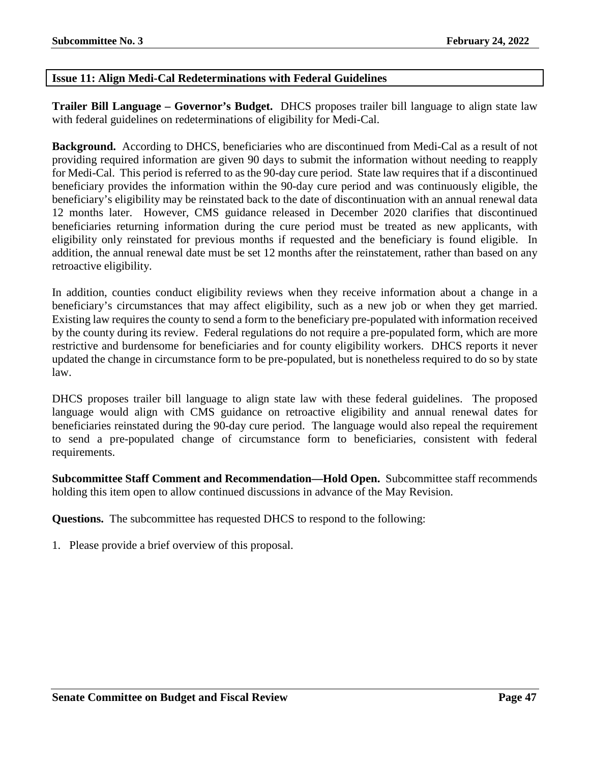# **Issue 11: Align Medi-Cal Redeterminations with Federal Guidelines**

**Trailer Bill Language – Governor's Budget.** DHCS proposes trailer bill language to align state law with federal guidelines on redeterminations of eligibility for Medi-Cal.

**Background.** According to DHCS, beneficiaries who are discontinued from Medi-Cal as a result of not providing required information are given 90 days to submit the information without needing to reapply for Medi-Cal. This period is referred to as the 90-day cure period. State law requires that if a discontinued beneficiary provides the information within the 90-day cure period and was continuously eligible, the beneficiary's eligibility may be reinstated back to the date of discontinuation with an annual renewal data 12 months later. However, CMS guidance released in December 2020 clarifies that discontinued beneficiaries returning information during the cure period must be treated as new applicants, with eligibility only reinstated for previous months if requested and the beneficiary is found eligible. In addition, the annual renewal date must be set 12 months after the reinstatement, rather than based on any retroactive eligibility.

In addition, counties conduct eligibility reviews when they receive information about a change in a beneficiary's circumstances that may affect eligibility, such as a new job or when they get married. Existing law requires the county to send a form to the beneficiary pre-populated with information received by the county during its review. Federal regulations do not require a pre-populated form, which are more restrictive and burdensome for beneficiaries and for county eligibility workers. DHCS reports it never updated the change in circumstance form to be pre-populated, but is nonetheless required to do so by state law.

DHCS proposes trailer bill language to align state law with these federal guidelines. The proposed language would align with CMS guidance on retroactive eligibility and annual renewal dates for beneficiaries reinstated during the 90-day cure period. The language would also repeal the requirement to send a pre-populated change of circumstance form to beneficiaries, consistent with federal requirements.

**Subcommittee Staff Comment and Recommendation—Hold Open.** Subcommittee staff recommends holding this item open to allow continued discussions in advance of the May Revision.

**Questions.** The subcommittee has requested DHCS to respond to the following: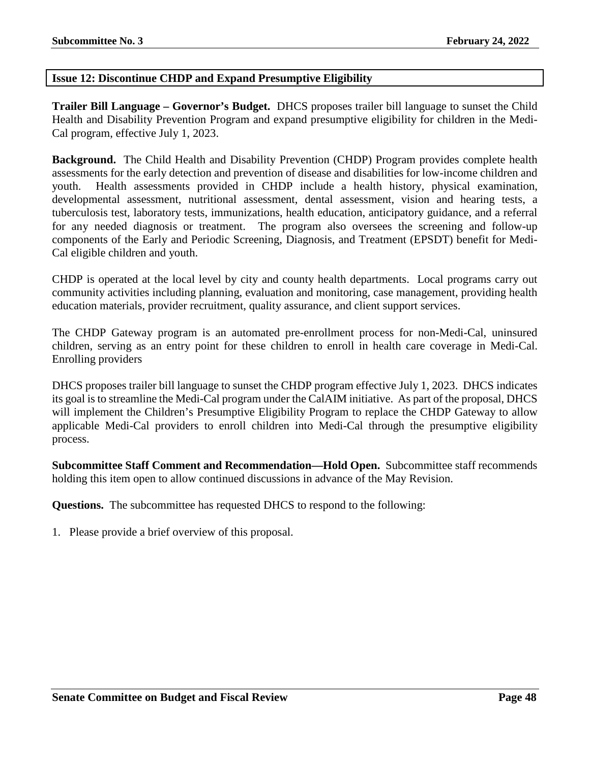# **Issue 12: Discontinue CHDP and Expand Presumptive Eligibility**

**Trailer Bill Language – Governor's Budget.** DHCS proposes trailer bill language to sunset the Child Health and Disability Prevention Program and expand presumptive eligibility for children in the Medi-Cal program, effective July 1, 2023.

**Background.** The Child Health and Disability Prevention (CHDP) Program provides complete health assessments for the early detection and prevention of disease and disabilities for low-income children and youth. Health assessments provided in CHDP include a health history, physical examination, developmental assessment, nutritional assessment, dental assessment, vision and hearing tests, a tuberculosis test, laboratory tests, immunizations, health education, anticipatory guidance, and a referral for any needed diagnosis or treatment. The program also oversees the screening and follow-up components of the Early and Periodic Screening, Diagnosis, and Treatment (EPSDT) benefit for Medi-Cal eligible children and youth.

CHDP is operated at the local level by city and county health departments. Local programs carry out community activities including planning, evaluation and monitoring, case management, providing health education materials, provider recruitment, quality assurance, and client support services.

The CHDP Gateway program is an automated pre-enrollment process for non-Medi-Cal, uninsured children, serving as an entry point for these children to enroll in health care coverage in Medi-Cal. Enrolling providers

DHCS proposes trailer bill language to sunset the CHDP program effective July 1, 2023. DHCS indicates its goal is to streamline the Medi-Cal program under the CalAIM initiative. As part of the proposal, DHCS will implement the Children's Presumptive Eligibility Program to replace the CHDP Gateway to allow applicable Medi-Cal providers to enroll children into Medi-Cal through the presumptive eligibility process.

**Subcommittee Staff Comment and Recommendation—Hold Open.** Subcommittee staff recommends holding this item open to allow continued discussions in advance of the May Revision.

**Questions.** The subcommittee has requested DHCS to respond to the following: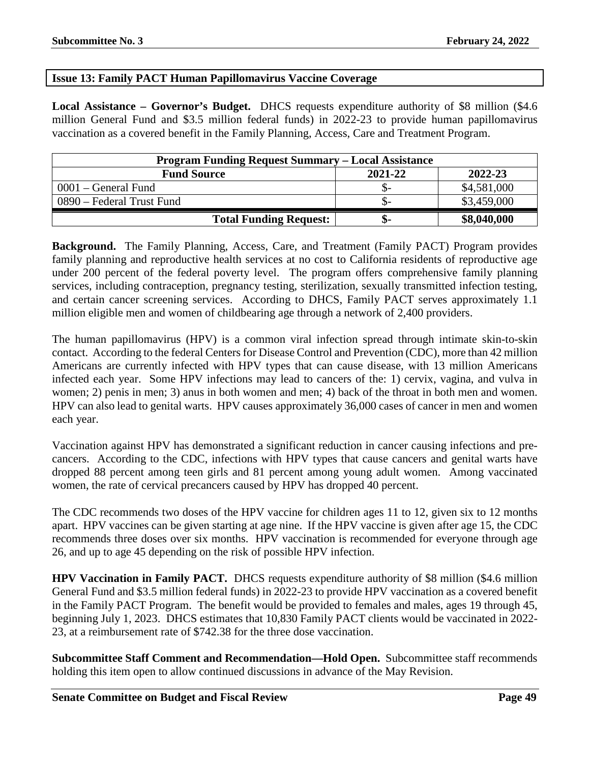# **Issue 13: Family PACT Human Papillomavirus Vaccine Coverage**

**Local Assistance – Governor's Budget.** DHCS requests expenditure authority of \$8 million (\$4.6 million General Fund and \$3.5 million federal funds) in 2022-23 to provide human papillomavirus vaccination as a covered benefit in the Family Planning, Access, Care and Treatment Program.

| <b>Program Funding Request Summary – Local Assistance</b> |         |             |  |
|-----------------------------------------------------------|---------|-------------|--|
| <b>Fund Source</b>                                        | 2021-22 | 2022-23     |  |
| $0001$ – General Fund                                     | .৯–     | \$4,581,000 |  |
| 0890 – Federal Trust Fund                                 |         | \$3,459,000 |  |
| <b>Total Funding Request:</b>                             | ক্ৰ-    | \$8,040,000 |  |

**Background.** The Family Planning, Access, Care, and Treatment (Family PACT) Program provides family planning and reproductive health services at no cost to California residents of reproductive age under 200 percent of the federal poverty level. The program offers comprehensive family planning services, including contraception, pregnancy testing, sterilization, sexually transmitted infection testing, and certain cancer screening services. According to DHCS, Family PACT serves approximately 1.1 million eligible men and women of childbearing age through a network of 2,400 providers.

The human papillomavirus (HPV) is a common viral infection spread through intimate skin-to-skin contact. According to the federal Centers for Disease Control and Prevention (CDC), more than 42 million Americans are currently infected with HPV types that can cause disease, with 13 million Americans infected each year. Some HPV infections may lead to cancers of the: 1) cervix, vagina, and vulva in women; 2) penis in men; 3) anus in both women and men; 4) back of the throat in both men and women. HPV can also lead to genital warts. HPV causes approximately 36,000 cases of cancer in men and women each year.

Vaccination against HPV has demonstrated a significant reduction in cancer causing infections and precancers. According to the CDC, infections with HPV types that cause cancers and genital warts have dropped 88 percent among teen girls and 81 percent among young adult women. Among vaccinated women, the rate of cervical precancers caused by HPV has dropped 40 percent.

The CDC recommends two doses of the HPV vaccine for children ages 11 to 12, given six to 12 months apart. HPV vaccines can be given starting at age nine. If the HPV vaccine is given after age 15, the CDC recommends three doses over six months. HPV vaccination is recommended for everyone through age 26, and up to age 45 depending on the risk of possible HPV infection.

**HPV Vaccination in Family PACT.** DHCS requests expenditure authority of \$8 million (\$4.6 million General Fund and \$3.5 million federal funds) in 2022-23 to provide HPV vaccination as a covered benefit in the Family PACT Program. The benefit would be provided to females and males, ages 19 through 45, beginning July 1, 2023. DHCS estimates that 10,830 Family PACT clients would be vaccinated in 2022- 23, at a reimbursement rate of \$742.38 for the three dose vaccination.

**Subcommittee Staff Comment and Recommendation—Hold Open.** Subcommittee staff recommends holding this item open to allow continued discussions in advance of the May Revision.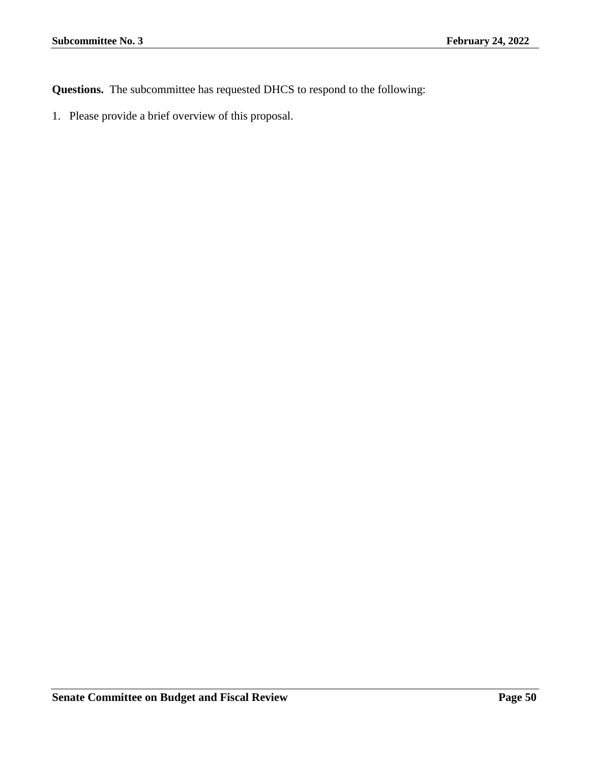**Questions.** The subcommittee has requested DHCS to respond to the following: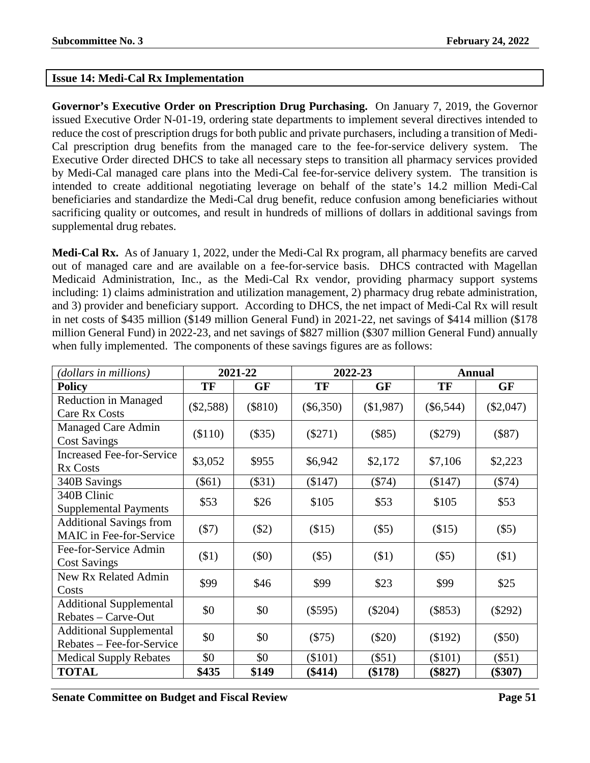# **Issue 14: Medi-Cal Rx Implementation**

**Governor's Executive Order on Prescription Drug Purchasing.** On January 7, 2019, the Governor issued Executive Order N-01-19, ordering state departments to implement several directives intended to reduce the cost of prescription drugs for both public and private purchasers, including a transition of Medi-Cal prescription drug benefits from the managed care to the fee-for-service delivery system. The Executive Order directed DHCS to take all necessary steps to transition all pharmacy services provided by Medi-Cal managed care plans into the Medi-Cal fee-for-service delivery system. The transition is intended to create additional negotiating leverage on behalf of the state's 14.2 million Medi-Cal beneficiaries and standardize the Medi-Cal drug benefit, reduce confusion among beneficiaries without sacrificing quality or outcomes, and result in hundreds of millions of dollars in additional savings from supplemental drug rebates.

**Medi-Cal Rx.** As of January 1, 2022, under the Medi-Cal Rx program, all pharmacy benefits are carved out of managed care and are available on a fee-for-service basis. DHCS contracted with Magellan Medicaid Administration, Inc., as the Medi-Cal Rx vendor, providing pharmacy support systems including: 1) claims administration and utilization management, 2) pharmacy drug rebate administration, and 3) provider and beneficiary support. According to DHCS, the net impact of Medi-Cal Rx will result in net costs of \$435 million (\$149 million General Fund) in 2021-22, net savings of \$414 million (\$178 million General Fund) in 2022-23, and net savings of \$827 million (\$307 million General Fund) annually when fully implemented. The components of these savings figures are as follows:

| (dollars in millions)            |             | 2021-22   | 2022-23     |           | <b>Annual</b> |             |  |  |  |
|----------------------------------|-------------|-----------|-------------|-----------|---------------|-------------|--|--|--|
| <b>Policy</b>                    | TF          | GF        | TF          | GF        | TF            | GF          |  |  |  |
| Reduction in Managed             |             |           |             |           |               |             |  |  |  |
| Care Rx Costs                    | $(\$2,588)$ | $(\$810)$ | $(\$6,350)$ | (\$1,987) | $(\$6,544)$   | $(\$2,047)$ |  |  |  |
| Managed Care Admin               | \$110)      | $(\$35)$  | $(\$271)$   | (\$85)    | $(\$279)$     | $(\$87)$    |  |  |  |
| <b>Cost Savings</b>              |             |           |             |           |               |             |  |  |  |
| <b>Increased Fee-for-Service</b> | \$3,052     | \$955     | \$6,942     | \$2,172   | \$7,106       | \$2,223     |  |  |  |
| <b>Rx Costs</b>                  |             |           |             |           |               |             |  |  |  |
| 340B Savings                     | $(\$61)$    | $(\$31)$  | (\$147)     | $(\$74)$  | (\$147)       | $(\$74)$    |  |  |  |
| 340B Clinic                      | \$53        | \$26      | \$105       | \$53      | \$105         | \$53        |  |  |  |
| <b>Supplemental Payments</b>     |             |           |             |           |               |             |  |  |  |
| <b>Additional Savings from</b>   | $(\$7)$     | $(\$2)$   | (\$15)      | (\$5)     | (\$15)        | $(\$5)$     |  |  |  |
| MAIC in Fee-for-Service          |             |           |             |           |               |             |  |  |  |
| Fee-for-Service Admin            | $($ \$1)    | $(\$0)$   | $(\$5)$     | (\$1)     | (\$5)         | \$1)        |  |  |  |
| <b>Cost Savings</b>              |             |           |             |           |               |             |  |  |  |
| <b>New Rx Related Admin</b>      | \$99        | \$46      | \$99        | \$23      | \$99          | \$25        |  |  |  |
| Costs                            |             |           |             |           |               |             |  |  |  |
| <b>Additional Supplemental</b>   | \$0         | \$0       | $(\$595)$   | $(\$204)$ | (\$853)       | $(\$292)$   |  |  |  |
| Rebates - Carve-Out              |             |           |             |           |               |             |  |  |  |
| <b>Additional Supplemental</b>   | \$0         | \$0       | $(\$75)$    | $(\$20)$  | (\$192)       | $(\$50)$    |  |  |  |
| Rebates – Fee-for-Service        |             |           |             |           |               |             |  |  |  |
| <b>Medical Supply Rebates</b>    | \$0         | \$0       | (\$101)     | $(\$51)$  | (\$101)       | $(\$51)$    |  |  |  |
| <b>TOTAL</b>                     | \$435       | \$149     | $(\$414)$   | (\$178)   | $(\$827)$     | $(\$307)$   |  |  |  |

**Senate Committee on Budget and Fiscal Review Page 51**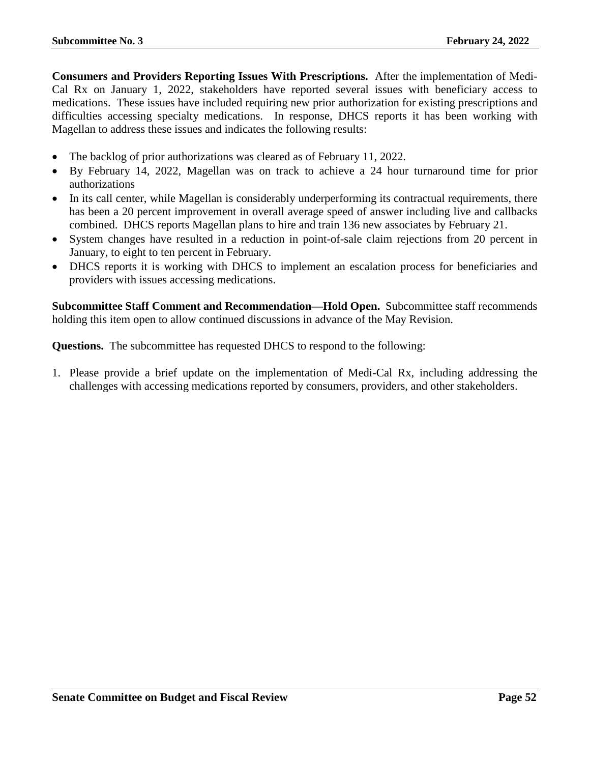**Consumers and Providers Reporting Issues With Prescriptions.** After the implementation of Medi-Cal Rx on January 1, 2022, stakeholders have reported several issues with beneficiary access to medications. These issues have included requiring new prior authorization for existing prescriptions and difficulties accessing specialty medications. In response, DHCS reports it has been working with Magellan to address these issues and indicates the following results:

- The backlog of prior authorizations was cleared as of February 11, 2022.
- By February 14, 2022, Magellan was on track to achieve a 24 hour turnaround time for prior authorizations
- In its call center, while Magellan is considerably underperforming its contractual requirements, there has been a 20 percent improvement in overall average speed of answer including live and callbacks combined. DHCS reports Magellan plans to hire and train 136 new associates by February 21.
- System changes have resulted in a reduction in point-of-sale claim rejections from 20 percent in January, to eight to ten percent in February.
- DHCS reports it is working with DHCS to implement an escalation process for beneficiaries and providers with issues accessing medications.

**Subcommittee Staff Comment and Recommendation—Hold Open.** Subcommittee staff recommends holding this item open to allow continued discussions in advance of the May Revision.

**Questions.** The subcommittee has requested DHCS to respond to the following:

1. Please provide a brief update on the implementation of Medi-Cal Rx, including addressing the challenges with accessing medications reported by consumers, providers, and other stakeholders.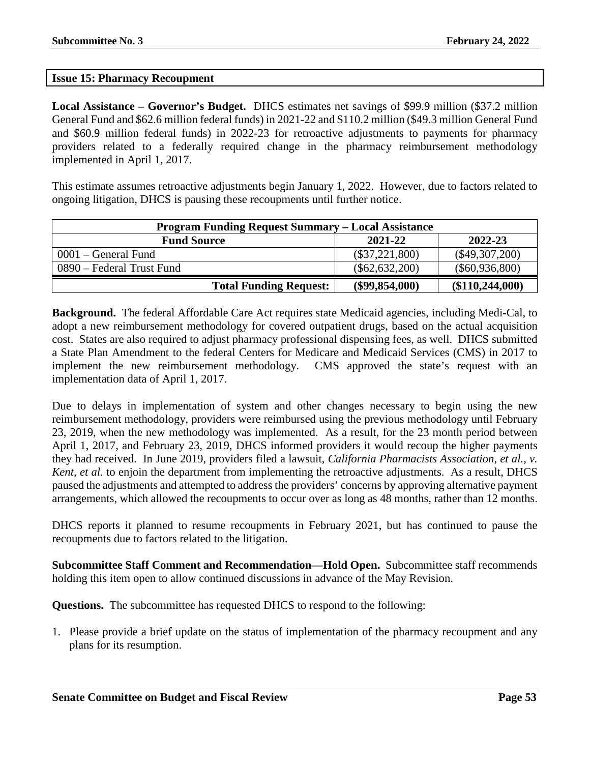### **Issue 15: Pharmacy Recoupment**

**Local Assistance – Governor's Budget.** DHCS estimates net savings of \$99.9 million (\$37.2 million General Fund and \$62.6 million federal funds) in 2021-22 and \$110.2 million (\$49.3 million General Fund and \$60.9 million federal funds) in 2022-23 for retroactive adjustments to payments for pharmacy providers related to a federally required change in the pharmacy reimbursement methodology implemented in April 1, 2017.

This estimate assumes retroactive adjustments begin January 1, 2022. However, due to factors related to ongoing litigation, DHCS is pausing these recoupments until further notice.

| <b>Program Funding Request Summary – Local Assistance</b> |                  |                   |  |
|-----------------------------------------------------------|------------------|-------------------|--|
| <b>Fund Source</b>                                        | 2021-22          | 2022-23           |  |
| 0001 – General Fund                                       | $(\$37,221,800)$ | $(\$49,307,200)$  |  |
| 0890 – Federal Trust Fund                                 | $(\$62,632,200)$ | $(\$60,936,800)$  |  |
| <b>Total Funding Request:</b>                             | $(\$99,854,000)$ | (\$110, 244, 000) |  |

**Background.** The federal Affordable Care Act requires state Medicaid agencies, including Medi-Cal, to adopt a new reimbursement methodology for covered outpatient drugs, based on the actual acquisition cost. States are also required to adjust pharmacy professional dispensing fees, as well. DHCS submitted a State Plan Amendment to the federal Centers for Medicare and Medicaid Services (CMS) in 2017 to implement the new reimbursement methodology. CMS approved the state's request with an implementation data of April 1, 2017.

Due to delays in implementation of system and other changes necessary to begin using the new reimbursement methodology, providers were reimbursed using the previous methodology until February 23, 2019, when the new methodology was implemented. As a result, for the 23 month period between April 1, 2017, and February 23, 2019, DHCS informed providers it would recoup the higher payments they had received. In June 2019, providers filed a lawsuit, *California Pharmacists Association, et al., v. Kent, et al.* to enjoin the department from implementing the retroactive adjustments. As a result, DHCS paused the adjustments and attempted to address the providers' concerns by approving alternative payment arrangements, which allowed the recoupments to occur over as long as 48 months, rather than 12 months.

DHCS reports it planned to resume recoupments in February 2021, but has continued to pause the recoupments due to factors related to the litigation.

**Subcommittee Staff Comment and Recommendation—Hold Open.** Subcommittee staff recommends holding this item open to allow continued discussions in advance of the May Revision.

**Questions.** The subcommittee has requested DHCS to respond to the following:

1. Please provide a brief update on the status of implementation of the pharmacy recoupment and any plans for its resumption.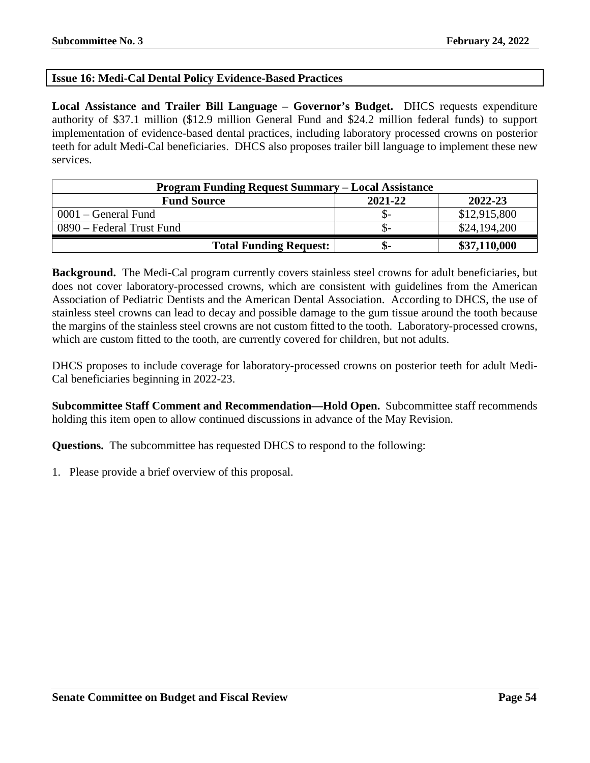# **Issue 16: Medi-Cal Dental Policy Evidence-Based Practices**

**Local Assistance and Trailer Bill Language – Governor's Budget.** DHCS requests expenditure authority of \$37.1 million (\$12.9 million General Fund and \$24.2 million federal funds) to support implementation of evidence-based dental practices, including laboratory processed crowns on posterior teeth for adult Medi-Cal beneficiaries. DHCS also proposes trailer bill language to implement these new services.

| <b>Program Funding Request Summary – Local Assistance</b> |         |              |  |
|-----------------------------------------------------------|---------|--------------|--|
| <b>Fund Source</b>                                        | 2021-22 | 2022-23      |  |
| 0001 – General Fund                                       | . Tr    | \$12,915,800 |  |
| 0890 – Federal Trust Fund                                 | .D-     | \$24,194,200 |  |
| <b>Total Funding Request:</b>                             | -ው      | \$37,110,000 |  |

**Background.** The Medi-Cal program currently covers stainless steel crowns for adult beneficiaries, but does not cover laboratory-processed crowns, which are consistent with guidelines from the American Association of Pediatric Dentists and the American Dental Association. According to DHCS, the use of stainless steel crowns can lead to decay and possible damage to the gum tissue around the tooth because the margins of the stainless steel crowns are not custom fitted to the tooth. Laboratory-processed crowns, which are custom fitted to the tooth, are currently covered for children, but not adults.

DHCS proposes to include coverage for laboratory-processed crowns on posterior teeth for adult Medi-Cal beneficiaries beginning in 2022-23.

**Subcommittee Staff Comment and Recommendation—Hold Open.** Subcommittee staff recommends holding this item open to allow continued discussions in advance of the May Revision.

**Questions.** The subcommittee has requested DHCS to respond to the following: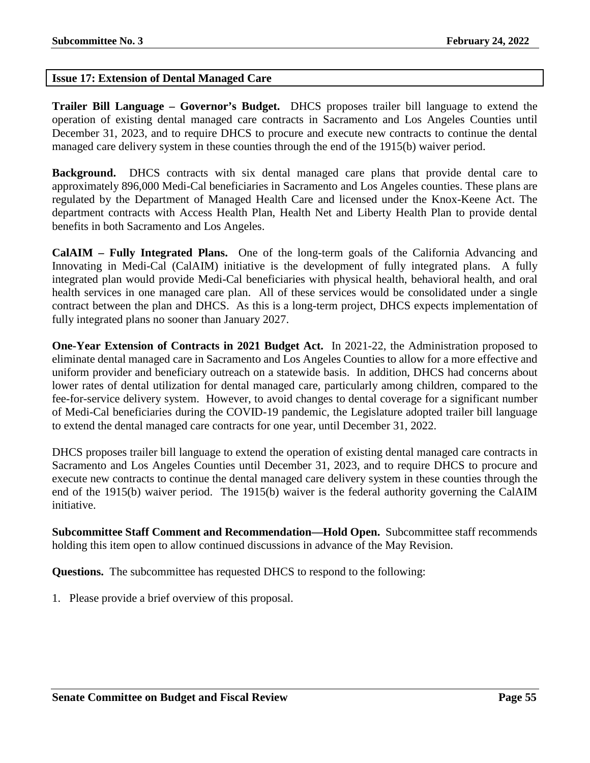# **Issue 17: Extension of Dental Managed Care**

**Trailer Bill Language – Governor's Budget.** DHCS proposes trailer bill language to extend the operation of existing dental managed care contracts in Sacramento and Los Angeles Counties until December 31, 2023, and to require DHCS to procure and execute new contracts to continue the dental managed care delivery system in these counties through the end of the 1915(b) waiver period.

**Background.** DHCS contracts with six dental managed care plans that provide dental care to approximately 896,000 Medi-Cal beneficiaries in Sacramento and Los Angeles counties. These plans are regulated by the Department of Managed Health Care and licensed under the Knox-Keene Act. The department contracts with Access Health Plan, Health Net and Liberty Health Plan to provide dental benefits in both Sacramento and Los Angeles.

**CalAIM – Fully Integrated Plans.** One of the long-term goals of the California Advancing and Innovating in Medi-Cal (CalAIM) initiative is the development of fully integrated plans. A fully integrated plan would provide Medi-Cal beneficiaries with physical health, behavioral health, and oral health services in one managed care plan. All of these services would be consolidated under a single contract between the plan and DHCS. As this is a long-term project, DHCS expects implementation of fully integrated plans no sooner than January 2027.

**One-Year Extension of Contracts in 2021 Budget Act.** In 2021-22, the Administration proposed to eliminate dental managed care in Sacramento and Los Angeles Counties to allow for a more effective and uniform provider and beneficiary outreach on a statewide basis. In addition, DHCS had concerns about lower rates of dental utilization for dental managed care, particularly among children, compared to the fee-for-service delivery system. However, to avoid changes to dental coverage for a significant number of Medi-Cal beneficiaries during the COVID-19 pandemic, the Legislature adopted trailer bill language to extend the dental managed care contracts for one year, until December 31, 2022.

DHCS proposes trailer bill language to extend the operation of existing dental managed care contracts in Sacramento and Los Angeles Counties until December 31, 2023, and to require DHCS to procure and execute new contracts to continue the dental managed care delivery system in these counties through the end of the 1915(b) waiver period. The 1915(b) waiver is the federal authority governing the CalAIM initiative.

**Subcommittee Staff Comment and Recommendation—Hold Open.** Subcommittee staff recommends holding this item open to allow continued discussions in advance of the May Revision.

**Questions.** The subcommittee has requested DHCS to respond to the following: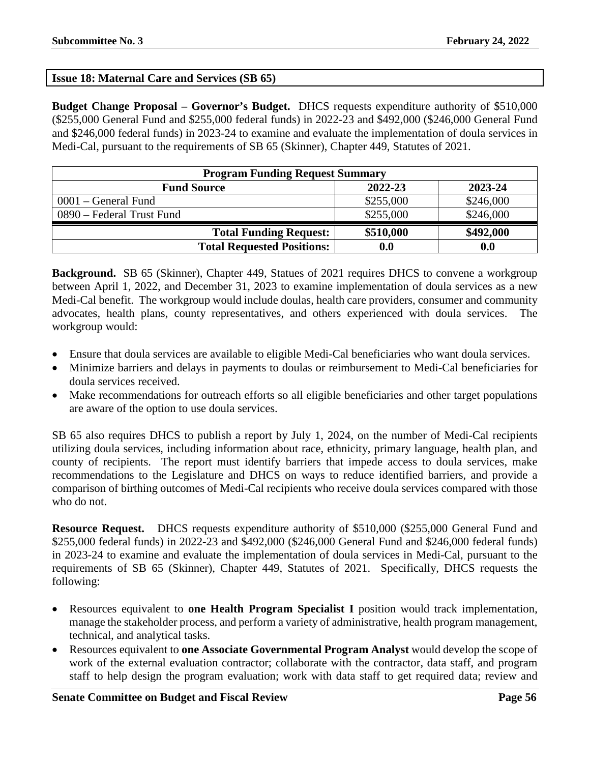# **Issue 18: Maternal Care and Services (SB 65)**

**Budget Change Proposal – Governor's Budget.** DHCS requests expenditure authority of \$510,000 (\$255,000 General Fund and \$255,000 federal funds) in 2022-23 and \$492,000 (\$246,000 General Fund and \$246,000 federal funds) in 2023-24 to examine and evaluate the implementation of doula services in Medi-Cal, pursuant to the requirements of SB 65 (Skinner), Chapter 449, Statutes of 2021.

| <b>Program Funding Request Summary</b>   |                    |           |  |  |  |
|------------------------------------------|--------------------|-----------|--|--|--|
| 2022-23<br>2023-24<br><b>Fund Source</b> |                    |           |  |  |  |
| $0001$ – General Fund                    | \$255,000          | \$246,000 |  |  |  |
| 0890 – Federal Trust Fund                | \$255,000          | \$246,000 |  |  |  |
| <b>Total Funding Request:</b>            | \$510,000          | \$492,000 |  |  |  |
| <b>Total Requested Positions:</b>        | $\boldsymbol{0.0}$ | 0.0       |  |  |  |

**Background.** SB 65 (Skinner), Chapter 449, Statues of 2021 requires DHCS to convene a workgroup between April 1, 2022, and December 31, 2023 to examine implementation of doula services as a new Medi-Cal benefit. The workgroup would include doulas, health care providers, consumer and community advocates, health plans, county representatives, and others experienced with doula services. The workgroup would:

- Ensure that doula services are available to eligible Medi-Cal beneficiaries who want doula services.
- Minimize barriers and delays in payments to doulas or reimbursement to Medi-Cal beneficiaries for doula services received.
- Make recommendations for outreach efforts so all eligible beneficiaries and other target populations are aware of the option to use doula services.

SB 65 also requires DHCS to publish a report by July 1, 2024, on the number of Medi-Cal recipients utilizing doula services, including information about race, ethnicity, primary language, health plan, and county of recipients. The report must identify barriers that impede access to doula services, make recommendations to the Legislature and DHCS on ways to reduce identified barriers, and provide a comparison of birthing outcomes of Medi-Cal recipients who receive doula services compared with those who do not.

**Resource Request.** DHCS requests expenditure authority of \$510,000 (\$255,000 General Fund and \$255,000 federal funds) in 2022-23 and \$492,000 (\$246,000 General Fund and \$246,000 federal funds) in 2023-24 to examine and evaluate the implementation of doula services in Medi-Cal, pursuant to the requirements of SB 65 (Skinner), Chapter 449, Statutes of 2021. Specifically, DHCS requests the following:

- Resources equivalent to **one Health Program Specialist I** position would track implementation, manage the stakeholder process, and perform a variety of administrative, health program management, technical, and analytical tasks.
- Resources equivalent to **one Associate Governmental Program Analyst** would develop the scope of work of the external evaluation contractor; collaborate with the contractor, data staff, and program staff to help design the program evaluation; work with data staff to get required data; review and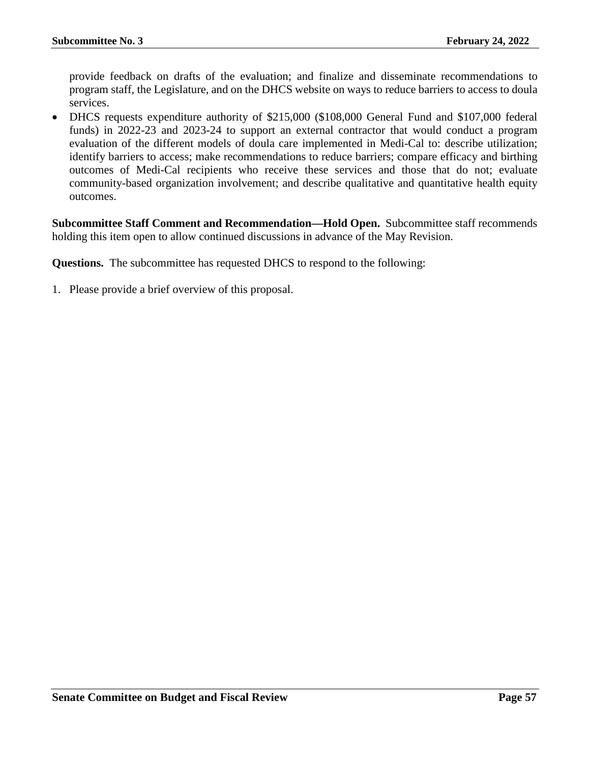provide feedback on drafts of the evaluation; and finalize and disseminate recommendations to program staff, the Legislature, and on the DHCS website on ways to reduce barriers to access to doula services.

• DHCS requests expenditure authority of \$215,000 (\$108,000 General Fund and \$107,000 federal funds) in 2022-23 and 2023-24 to support an external contractor that would conduct a program evaluation of the different models of doula care implemented in Medi-Cal to: describe utilization; identify barriers to access; make recommendations to reduce barriers; compare efficacy and birthing outcomes of Medi-Cal recipients who receive these services and those that do not; evaluate community-based organization involvement; and describe qualitative and quantitative health equity outcomes.

**Subcommittee Staff Comment and Recommendation—Hold Open.** Subcommittee staff recommends holding this item open to allow continued discussions in advance of the May Revision.

**Questions.** The subcommittee has requested DHCS to respond to the following: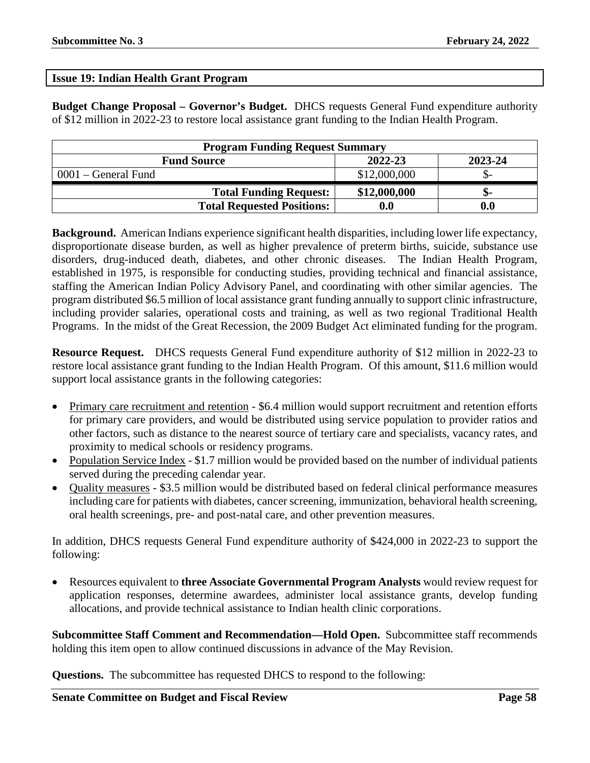### **Issue 19: Indian Health Grant Program**

**Budget Change Proposal – Governor's Budget.** DHCS requests General Fund expenditure authority of \$12 million in 2022-23 to restore local assistance grant funding to the Indian Health Program.

| <b>Program Funding Request Summary</b>   |                    |                    |  |  |  |
|------------------------------------------|--------------------|--------------------|--|--|--|
| 2022-23<br>2023-24<br><b>Fund Source</b> |                    |                    |  |  |  |
| $0001$ – General Fund                    | \$12,000,000       |                    |  |  |  |
| <b>Total Funding Request:</b>            | \$12,000,000       | ת-                 |  |  |  |
| <b>Total Requested Positions:</b>        | $\boldsymbol{0.0}$ | $\boldsymbol{0.0}$ |  |  |  |

**Background.** American Indians experience significant health disparities, including lower life expectancy, disproportionate disease burden, as well as higher prevalence of preterm births, suicide, substance use disorders, drug-induced death, diabetes, and other chronic diseases. The Indian Health Program, established in 1975, is responsible for conducting studies, providing technical and financial assistance, staffing the American Indian Policy Advisory Panel, and coordinating with other similar agencies. The program distributed \$6.5 million of local assistance grant funding annually to support clinic infrastructure, including provider salaries, operational costs and training, as well as two regional Traditional Health Programs. In the midst of the Great Recession, the 2009 Budget Act eliminated funding for the program.

**Resource Request.** DHCS requests General Fund expenditure authority of \$12 million in 2022-23 to restore local assistance grant funding to the Indian Health Program. Of this amount, \$11.6 million would support local assistance grants in the following categories:

- Primary care recruitment and retention \$6.4 million would support recruitment and retention efforts for primary care providers, and would be distributed using service population to provider ratios and other factors, such as distance to the nearest source of tertiary care and specialists, vacancy rates, and proximity to medical schools or residency programs.
- Population Service Index \$1.7 million would be provided based on the number of individual patients served during the preceding calendar year.
- Quality measures \$3.5 million would be distributed based on federal clinical performance measures including care for patients with diabetes, cancer screening, immunization, behavioral health screening, oral health screenings, pre- and post-natal care, and other prevention measures.

In addition, DHCS requests General Fund expenditure authority of \$424,000 in 2022-23 to support the following:

• Resources equivalent to **three Associate Governmental Program Analysts** would review request for application responses, determine awardees, administer local assistance grants, develop funding allocations, and provide technical assistance to Indian health clinic corporations.

**Subcommittee Staff Comment and Recommendation—Hold Open.** Subcommittee staff recommends holding this item open to allow continued discussions in advance of the May Revision.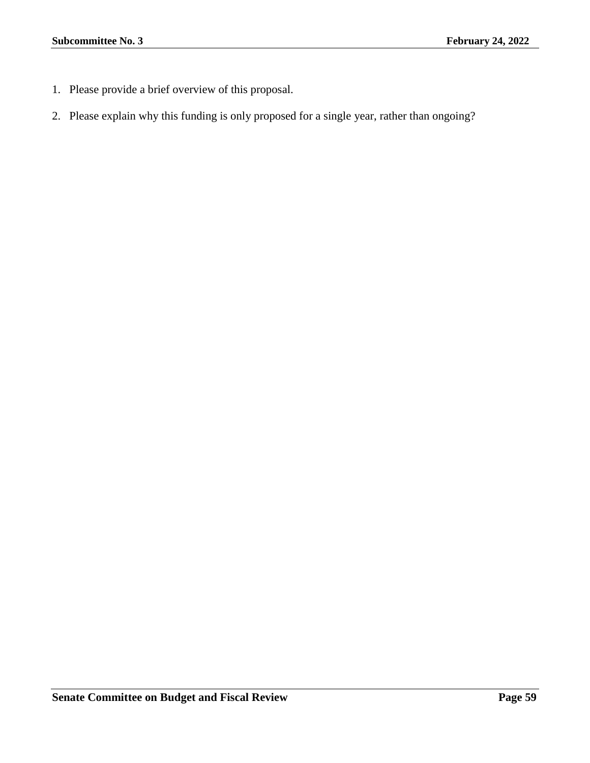- 1. Please provide a brief overview of this proposal.
- 2. Please explain why this funding is only proposed for a single year, rather than ongoing?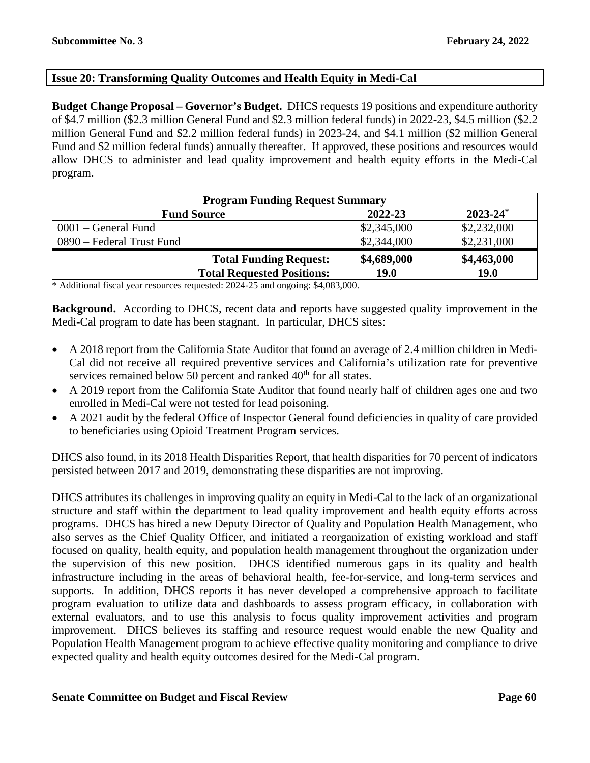# **Issue 20: Transforming Quality Outcomes and Health Equity in Medi-Cal**

**Budget Change Proposal – Governor's Budget.** DHCS requests 19 positions and expenditure authority of \$4.7 million (\$2.3 million General Fund and \$2.3 million federal funds) in 2022-23, \$4.5 million (\$2.2 million General Fund and \$2.2 million federal funds) in 2023-24, and \$4.1 million (\$2 million General Fund and \$2 million federal funds) annually thereafter. If approved, these positions and resources would allow DHCS to administer and lead quality improvement and health equity efforts in the Medi-Cal program.

| <b>Program Funding Request Summary</b>                    |             |             |  |  |
|-----------------------------------------------------------|-------------|-------------|--|--|
| $2023 - 24$ <sup>*</sup><br>2022-23<br><b>Fund Source</b> |             |             |  |  |
| $0001$ – General Fund                                     | \$2,345,000 | \$2,232,000 |  |  |
| 0890 – Federal Trust Fund                                 | \$2,344,000 | \$2,231,000 |  |  |
| <b>Total Funding Request:</b>                             | \$4,689,000 | \$4,463,000 |  |  |
| <b>Total Requested Positions:</b>                         | <b>19.0</b> | <b>19.0</b> |  |  |

\* Additional fiscal year resources requested: 2024-25 and ongoing: \$4,083,000.

**Background.** According to DHCS, recent data and reports have suggested quality improvement in the Medi-Cal program to date has been stagnant. In particular, DHCS sites:

- A 2018 report from the California State Auditor that found an average of 2.4 million children in Medi-Cal did not receive all required preventive services and California's utilization rate for preventive services remained below 50 percent and ranked  $40<sup>th</sup>$  for all states.
- A 2019 report from the California State Auditor that found nearly half of children ages one and two enrolled in Medi-Cal were not tested for lead poisoning.
- A 2021 audit by the federal Office of Inspector General found deficiencies in quality of care provided to beneficiaries using Opioid Treatment Program services.

DHCS also found, in its 2018 Health Disparities Report, that health disparities for 70 percent of indicators persisted between 2017 and 2019, demonstrating these disparities are not improving.

DHCS attributes its challenges in improving quality an equity in Medi-Cal to the lack of an organizational structure and staff within the department to lead quality improvement and health equity efforts across programs. DHCS has hired a new Deputy Director of Quality and Population Health Management, who also serves as the Chief Quality Officer, and initiated a reorganization of existing workload and staff focused on quality, health equity, and population health management throughout the organization under the supervision of this new position. DHCS identified numerous gaps in its quality and health infrastructure including in the areas of behavioral health, fee-for-service, and long-term services and supports. In addition, DHCS reports it has never developed a comprehensive approach to facilitate program evaluation to utilize data and dashboards to assess program efficacy, in collaboration with external evaluators, and to use this analysis to focus quality improvement activities and program improvement. DHCS believes its staffing and resource request would enable the new Quality and Population Health Management program to achieve effective quality monitoring and compliance to drive expected quality and health equity outcomes desired for the Medi-Cal program.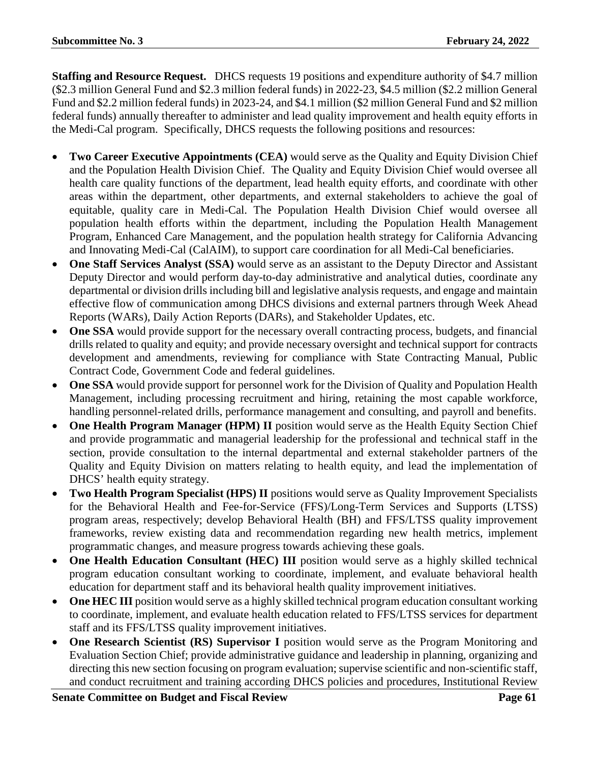**Staffing and Resource Request.** DHCS requests 19 positions and expenditure authority of \$4.7 million (\$2.3 million General Fund and \$2.3 million federal funds) in 2022-23, \$4.5 million (\$2.2 million General Fund and \$2.2 million federal funds) in 2023-24, and \$4.1 million (\$2 million General Fund and \$2 million federal funds) annually thereafter to administer and lead quality improvement and health equity efforts in the Medi-Cal program. Specifically, DHCS requests the following positions and resources:

- **Two Career Executive Appointments (CEA)** would serve as the Quality and Equity Division Chief and the Population Health Division Chief. The Quality and Equity Division Chief would oversee all health care quality functions of the department, lead health equity efforts, and coordinate with other areas within the department, other departments, and external stakeholders to achieve the goal of equitable, quality care in Medi-Cal. The Population Health Division Chief would oversee all population health efforts within the department, including the Population Health Management Program, Enhanced Care Management, and the population health strategy for California Advancing and Innovating Medi-Cal (CalAIM), to support care coordination for all Medi-Cal beneficiaries.
- **One Staff Services Analyst (SSA)** would serve as an assistant to the Deputy Director and Assistant Deputy Director and would perform day-to-day administrative and analytical duties, coordinate any departmental or division drills including bill and legislative analysis requests, and engage and maintain effective flow of communication among DHCS divisions and external partners through Week Ahead Reports (WARs), Daily Action Reports (DARs), and Stakeholder Updates, etc.
- **One SSA** would provide support for the necessary overall contracting process, budgets, and financial drills related to quality and equity; and provide necessary oversight and technical support for contracts development and amendments, reviewing for compliance with State Contracting Manual, Public Contract Code, Government Code and federal guidelines.
- **One SSA** would provide support for personnel work for the Division of Quality and Population Health Management, including processing recruitment and hiring, retaining the most capable workforce, handling personnel-related drills, performance management and consulting, and payroll and benefits.
- **One Health Program Manager (HPM) II** position would serve as the Health Equity Section Chief and provide programmatic and managerial leadership for the professional and technical staff in the section, provide consultation to the internal departmental and external stakeholder partners of the Quality and Equity Division on matters relating to health equity, and lead the implementation of DHCS' health equity strategy.
- **Two Health Program Specialist (HPS) II** positions would serve as Quality Improvement Specialists for the Behavioral Health and Fee-for-Service (FFS)/Long-Term Services and Supports (LTSS) program areas, respectively; develop Behavioral Health (BH) and FFS/LTSS quality improvement frameworks, review existing data and recommendation regarding new health metrics, implement programmatic changes, and measure progress towards achieving these goals.
- **One Health Education Consultant (HEC) III** position would serve as a highly skilled technical program education consultant working to coordinate, implement, and evaluate behavioral health education for department staff and its behavioral health quality improvement initiatives.
- **One HEC III** position would serve as a highly skilled technical program education consultant working to coordinate, implement, and evaluate health education related to FFS/LTSS services for department staff and its FFS/LTSS quality improvement initiatives.
- **One Research Scientist (RS) Supervisor I** position would serve as the Program Monitoring and Evaluation Section Chief; provide administrative guidance and leadership in planning, organizing and directing this new section focusing on program evaluation; supervise scientific and non-scientific staff, and conduct recruitment and training according DHCS policies and procedures, Institutional Review

**Senate Committee on Budget and Fiscal Review <b>Page 61**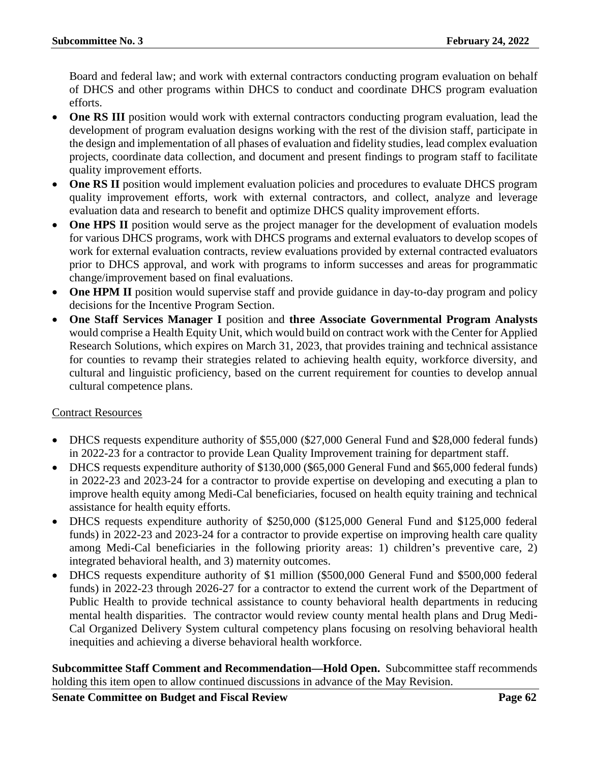Board and federal law; and work with external contractors conducting program evaluation on behalf of DHCS and other programs within DHCS to conduct and coordinate DHCS program evaluation efforts.

- **One RS III** position would work with external contractors conducting program evaluation, lead the development of program evaluation designs working with the rest of the division staff, participate in the design and implementation of all phases of evaluation and fidelity studies, lead complex evaluation projects, coordinate data collection, and document and present findings to program staff to facilitate quality improvement efforts.
- **One RS II** position would implement evaluation policies and procedures to evaluate DHCS program quality improvement efforts, work with external contractors, and collect, analyze and leverage evaluation data and research to benefit and optimize DHCS quality improvement efforts.
- **One HPS II** position would serve as the project manager for the development of evaluation models for various DHCS programs, work with DHCS programs and external evaluators to develop scopes of work for external evaluation contracts, review evaluations provided by external contracted evaluators prior to DHCS approval, and work with programs to inform successes and areas for programmatic change/improvement based on final evaluations.
- One HPM II position would supervise staff and provide guidance in day-to-day program and policy decisions for the Incentive Program Section.
- **One Staff Services Manager I** position and **three Associate Governmental Program Analysts** would comprise a Health Equity Unit, which would build on contract work with the Center for Applied Research Solutions, which expires on March 31, 2023, that provides training and technical assistance for counties to revamp their strategies related to achieving health equity, workforce diversity, and cultural and linguistic proficiency, based on the current requirement for counties to develop annual cultural competence plans.

# Contract Resources

- DHCS requests expenditure authority of \$55,000 (\$27,000 General Fund and \$28,000 federal funds) in 2022-23 for a contractor to provide Lean Quality Improvement training for department staff.
- DHCS requests expenditure authority of \$130,000 (\$65,000 General Fund and \$65,000 federal funds) in 2022-23 and 2023-24 for a contractor to provide expertise on developing and executing a plan to improve health equity among Medi-Cal beneficiaries, focused on health equity training and technical assistance for health equity efforts.
- DHCS requests expenditure authority of \$250,000 (\$125,000 General Fund and \$125,000 federal funds) in 2022-23 and 2023-24 for a contractor to provide expertise on improving health care quality among Medi-Cal beneficiaries in the following priority areas: 1) children's preventive care, 2) integrated behavioral health, and 3) maternity outcomes.
- DHCS requests expenditure authority of \$1 million (\$500,000 General Fund and \$500,000 federal funds) in 2022-23 through 2026-27 for a contractor to extend the current work of the Department of Public Health to provide technical assistance to county behavioral health departments in reducing mental health disparities. The contractor would review county mental health plans and Drug Medi-Cal Organized Delivery System cultural competency plans focusing on resolving behavioral health inequities and achieving a diverse behavioral health workforce.

**Subcommittee Staff Comment and Recommendation—Hold Open.** Subcommittee staff recommends holding this item open to allow continued discussions in advance of the May Revision.

**Senate Committee on Budget and Fiscal Review <b>Page 62 Page 62**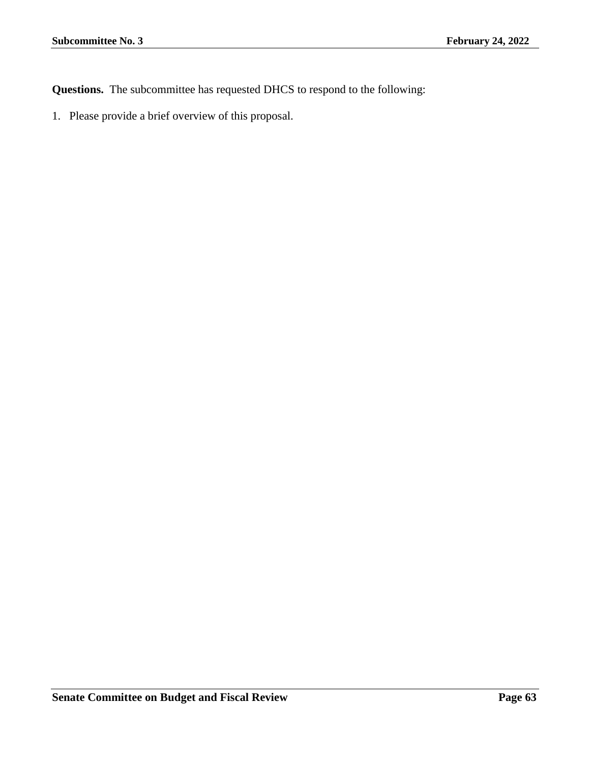**Questions.** The subcommittee has requested DHCS to respond to the following: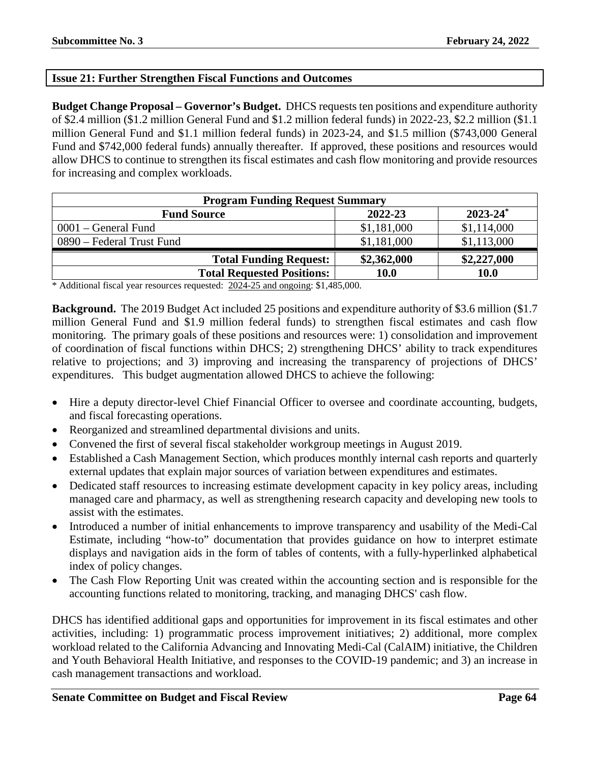# **Issue 21: Further Strengthen Fiscal Functions and Outcomes**

**Budget Change Proposal – Governor's Budget.** DHCS requests ten positions and expenditure authority of \$2.4 million (\$1.2 million General Fund and \$1.2 million federal funds) in 2022-23, \$2.2 million (\$1.1 million General Fund and \$1.1 million federal funds) in 2023-24, and \$1.5 million (\$743,000 General Fund and \$742,000 federal funds) annually thereafter. If approved, these positions and resources would allow DHCS to continue to strengthen its fiscal estimates and cash flow monitoring and provide resources for increasing and complex workloads.

| <b>Program Funding Request Summary</b>         |             |             |  |  |  |
|------------------------------------------------|-------------|-------------|--|--|--|
| $2023 - 24^*$<br>2022-23<br><b>Fund Source</b> |             |             |  |  |  |
| $0001$ – General Fund                          | \$1,181,000 | \$1,114,000 |  |  |  |
| 0890 – Federal Trust Fund                      | \$1,181,000 | \$1,113,000 |  |  |  |
| <b>Total Funding Request:</b>                  | \$2,362,000 | \$2,227,000 |  |  |  |
| <b>Total Requested Positions:</b>              | 10.0        | <b>10.0</b> |  |  |  |

\* Additional fiscal year resources requested: 2024-25 and ongoing: \$1,485,000.

**Background.** The 2019 Budget Act included 25 positions and expenditure authority of \$3.6 million (\$1.7 million General Fund and \$1.9 million federal funds) to strengthen fiscal estimates and cash flow monitoring. The primary goals of these positions and resources were: 1) consolidation and improvement of coordination of fiscal functions within DHCS; 2) strengthening DHCS' ability to track expenditures relative to projections; and 3) improving and increasing the transparency of projections of DHCS' expenditures. This budget augmentation allowed DHCS to achieve the following:

- Hire a deputy director-level Chief Financial Officer to oversee and coordinate accounting, budgets, and fiscal forecasting operations.
- Reorganized and streamlined departmental divisions and units.
- Convened the first of several fiscal stakeholder workgroup meetings in August 2019.
- Established a Cash Management Section, which produces monthly internal cash reports and quarterly external updates that explain major sources of variation between expenditures and estimates.
- Dedicated staff resources to increasing estimate development capacity in key policy areas, including managed care and pharmacy, as well as strengthening research capacity and developing new tools to assist with the estimates.
- Introduced a number of initial enhancements to improve transparency and usability of the Medi-Cal Estimate, including "how-to" documentation that provides guidance on how to interpret estimate displays and navigation aids in the form of tables of contents, with a fully-hyperlinked alphabetical index of policy changes.
- The Cash Flow Reporting Unit was created within the accounting section and is responsible for the accounting functions related to monitoring, tracking, and managing DHCS' cash flow.

DHCS has identified additional gaps and opportunities for improvement in its fiscal estimates and other activities, including: 1) programmatic process improvement initiatives; 2) additional, more complex workload related to the California Advancing and Innovating Medi-Cal (CalAIM) initiative, the Children and Youth Behavioral Health Initiative, and responses to the COVID-19 pandemic; and 3) an increase in cash management transactions and workload.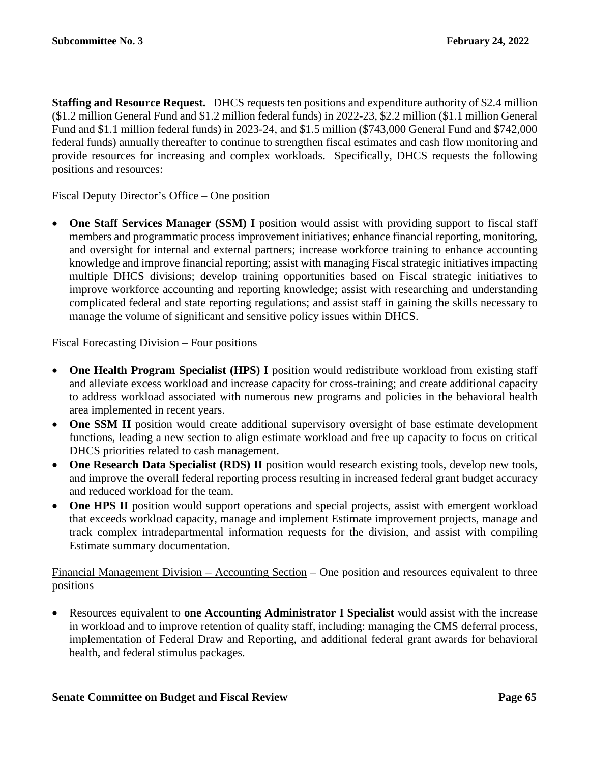**Staffing and Resource Request.** DHCS requests ten positions and expenditure authority of \$2.4 million (\$1.2 million General Fund and \$1.2 million federal funds) in 2022-23, \$2.2 million (\$1.1 million General Fund and \$1.1 million federal funds) in 2023-24, and \$1.5 million (\$743,000 General Fund and \$742,000 federal funds) annually thereafter to continue to strengthen fiscal estimates and cash flow monitoring and provide resources for increasing and complex workloads. Specifically, DHCS requests the following positions and resources:

# Fiscal Deputy Director's Office – One position

• **One Staff Services Manager (SSM) I** position would assist with providing support to fiscal staff members and programmatic process improvement initiatives; enhance financial reporting, monitoring, and oversight for internal and external partners; increase workforce training to enhance accounting knowledge and improve financial reporting; assist with managing Fiscal strategic initiatives impacting multiple DHCS divisions; develop training opportunities based on Fiscal strategic initiatives to improve workforce accounting and reporting knowledge; assist with researching and understanding complicated federal and state reporting regulations; and assist staff in gaining the skills necessary to manage the volume of significant and sensitive policy issues within DHCS.

## Fiscal Forecasting Division – Four positions

- **One Health Program Specialist (HPS) I** position would redistribute workload from existing staff and alleviate excess workload and increase capacity for cross-training; and create additional capacity to address workload associated with numerous new programs and policies in the behavioral health area implemented in recent years.
- **One SSM II** position would create additional supervisory oversight of base estimate development functions, leading a new section to align estimate workload and free up capacity to focus on critical DHCS priorities related to cash management.
- **One Research Data Specialist (RDS) II** position would research existing tools, develop new tools, and improve the overall federal reporting process resulting in increased federal grant budget accuracy and reduced workload for the team.
- **One HPS II** position would support operations and special projects, assist with emergent workload that exceeds workload capacity, manage and implement Estimate improvement projects, manage and track complex intradepartmental information requests for the division, and assist with compiling Estimate summary documentation.

Financial Management Division – Accounting Section – One position and resources equivalent to three positions

• Resources equivalent to **one Accounting Administrator I Specialist** would assist with the increase in workload and to improve retention of quality staff, including: managing the CMS deferral process, implementation of Federal Draw and Reporting, and additional federal grant awards for behavioral health, and federal stimulus packages.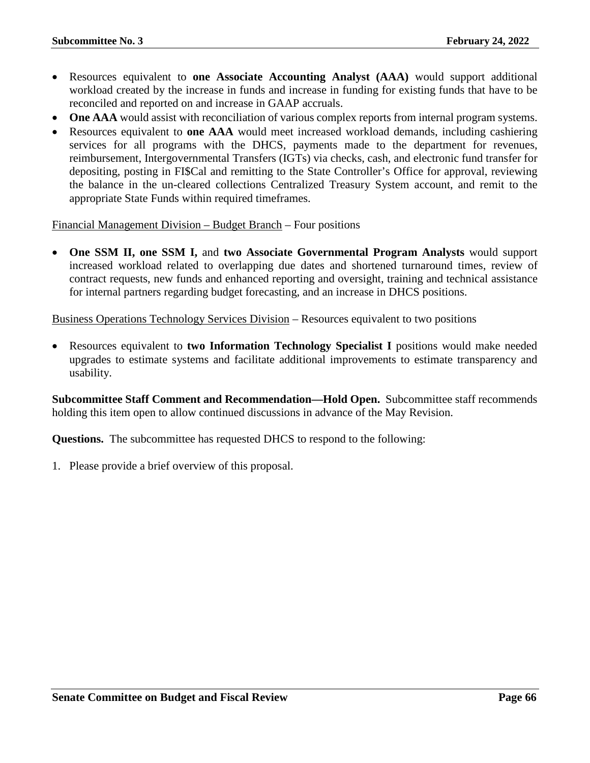- Resources equivalent to **one Associate Accounting Analyst (AAA)** would support additional workload created by the increase in funds and increase in funding for existing funds that have to be reconciled and reported on and increase in GAAP accruals.
- One AAA would assist with reconciliation of various complex reports from internal program systems.
- Resources equivalent to **one AAA** would meet increased workload demands, including cashiering services for all programs with the DHCS, payments made to the department for revenues, reimbursement, Intergovernmental Transfers (IGTs) via checks, cash, and electronic fund transfer for depositing, posting in FI\$Cal and remitting to the State Controller's Office for approval, reviewing the balance in the un-cleared collections Centralized Treasury System account, and remit to the appropriate State Funds within required timeframes.

Financial Management Division – Budget Branch – Four positions

• **One SSM II, one SSM I,** and **two Associate Governmental Program Analysts** would support increased workload related to overlapping due dates and shortened turnaround times, review of contract requests, new funds and enhanced reporting and oversight, training and technical assistance for internal partners regarding budget forecasting, and an increase in DHCS positions.

Business Operations Technology Services Division – Resources equivalent to two positions

• Resources equivalent to **two Information Technology Specialist I** positions would make needed upgrades to estimate systems and facilitate additional improvements to estimate transparency and usability.

**Subcommittee Staff Comment and Recommendation—Hold Open.** Subcommittee staff recommends holding this item open to allow continued discussions in advance of the May Revision.

**Questions.** The subcommittee has requested DHCS to respond to the following: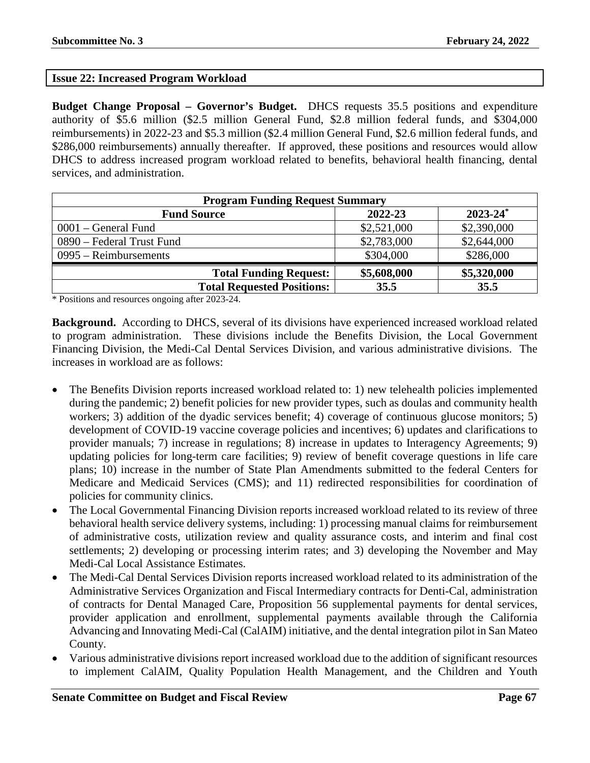## **Issue 22: Increased Program Workload**

**Budget Change Proposal – Governor's Budget.** DHCS requests 35.5 positions and expenditure authority of \$5.6 million (\$2.5 million General Fund, \$2.8 million federal funds, and \$304,000 reimbursements) in 2022-23 and \$5.3 million (\$2.4 million General Fund, \$2.6 million federal funds, and \$286,000 reimbursements) annually thereafter. If approved, these positions and resources would allow DHCS to address increased program workload related to benefits, behavioral health financing, dental services, and administration.

| <b>Program Funding Request Summary</b> |             |               |  |
|----------------------------------------|-------------|---------------|--|
| <b>Fund Source</b>                     | 2022-23     | $2023 - 24^*$ |  |
| $0001 - \text{General Fund}$           | \$2,521,000 | \$2,390,000   |  |
| 0890 – Federal Trust Fund              | \$2,783,000 | \$2,644,000   |  |
| $0995 - Reimbursements$                | \$304,000   | \$286,000     |  |
| <b>Total Funding Request:</b>          | \$5,608,000 | \$5,320,000   |  |
| <b>Total Requested Positions:</b>      | 35.5        | 35.5          |  |

\* Positions and resources ongoing after 2023-24.

**Background.** According to DHCS, several of its divisions have experienced increased workload related to program administration. These divisions include the Benefits Division, the Local Government Financing Division, the Medi-Cal Dental Services Division, and various administrative divisions. The increases in workload are as follows:

- The Benefits Division reports increased workload related to: 1) new telehealth policies implemented during the pandemic; 2) benefit policies for new provider types, such as doulas and community health workers; 3) addition of the dyadic services benefit; 4) coverage of continuous glucose monitors; 5) development of COVID-19 vaccine coverage policies and incentives; 6) updates and clarifications to provider manuals; 7) increase in regulations; 8) increase in updates to Interagency Agreements; 9) updating policies for long-term care facilities; 9) review of benefit coverage questions in life care plans; 10) increase in the number of State Plan Amendments submitted to the federal Centers for Medicare and Medicaid Services (CMS); and 11) redirected responsibilities for coordination of policies for community clinics.
- The Local Governmental Financing Division reports increased workload related to its review of three behavioral health service delivery systems, including: 1) processing manual claims for reimbursement of administrative costs, utilization review and quality assurance costs, and interim and final cost settlements; 2) developing or processing interim rates; and 3) developing the November and May Medi-Cal Local Assistance Estimates.
- The Medi-Cal Dental Services Division reports increased workload related to its administration of the Administrative Services Organization and Fiscal Intermediary contracts for Denti-Cal, administration of contracts for Dental Managed Care, Proposition 56 supplemental payments for dental services, provider application and enrollment, supplemental payments available through the California Advancing and Innovating Medi-Cal (CalAIM) initiative, and the dental integration pilot in San Mateo County.
- Various administrative divisions report increased workload due to the addition of significant resources to implement CalAIM, Quality Population Health Management, and the Children and Youth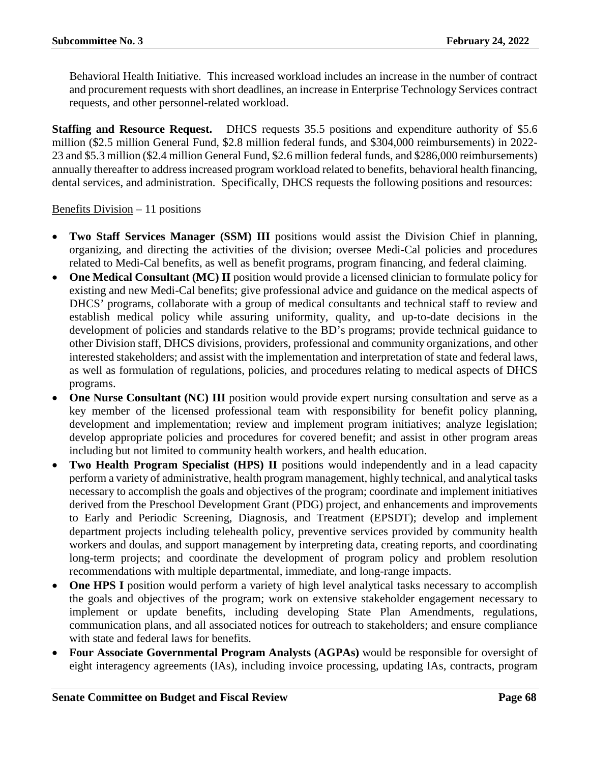Behavioral Health Initiative. This increased workload includes an increase in the number of contract and procurement requests with short deadlines, an increase in Enterprise Technology Services contract requests, and other personnel-related workload.

**Staffing and Resource Request.** DHCS requests 35.5 positions and expenditure authority of \$5.6 million (\$2.5 million General Fund, \$2.8 million federal funds, and \$304,000 reimbursements) in 2022- 23 and \$5.3 million (\$2.4 million General Fund, \$2.6 million federal funds, and \$286,000 reimbursements) annually thereafter to address increased program workload related to benefits, behavioral health financing, dental services, and administration. Specifically, DHCS requests the following positions and resources:

### Benefits Division  $-11$  positions

- **Two Staff Services Manager (SSM) III** positions would assist the Division Chief in planning, organizing, and directing the activities of the division; oversee Medi-Cal policies and procedures related to Medi-Cal benefits, as well as benefit programs, program financing, and federal claiming.
- **One Medical Consultant (MC) II** position would provide a licensed clinician to formulate policy for existing and new Medi-Cal benefits; give professional advice and guidance on the medical aspects of DHCS' programs, collaborate with a group of medical consultants and technical staff to review and establish medical policy while assuring uniformity, quality, and up-to-date decisions in the development of policies and standards relative to the BD's programs; provide technical guidance to other Division staff, DHCS divisions, providers, professional and community organizations, and other interested stakeholders; and assist with the implementation and interpretation of state and federal laws, as well as formulation of regulations, policies, and procedures relating to medical aspects of DHCS programs.
- **One Nurse Consultant (NC) III** position would provide expert nursing consultation and serve as a key member of the licensed professional team with responsibility for benefit policy planning, development and implementation; review and implement program initiatives; analyze legislation; develop appropriate policies and procedures for covered benefit; and assist in other program areas including but not limited to community health workers, and health education.
- **Two Health Program Specialist (HPS) II** positions would independently and in a lead capacity perform a variety of administrative, health program management, highly technical, and analytical tasks necessary to accomplish the goals and objectives of the program; coordinate and implement initiatives derived from the Preschool Development Grant (PDG) project, and enhancements and improvements to Early and Periodic Screening, Diagnosis, and Treatment (EPSDT); develop and implement department projects including telehealth policy, preventive services provided by community health workers and doulas, and support management by interpreting data, creating reports, and coordinating long-term projects; and coordinate the development of program policy and problem resolution recommendations with multiple departmental, immediate, and long-range impacts.
- **One HPS I** position would perform a variety of high level analytical tasks necessary to accomplish the goals and objectives of the program; work on extensive stakeholder engagement necessary to implement or update benefits, including developing State Plan Amendments, regulations, communication plans, and all associated notices for outreach to stakeholders; and ensure compliance with state and federal laws for benefits.
- **Four Associate Governmental Program Analysts (AGPAs)** would be responsible for oversight of eight interagency agreements (IAs), including invoice processing, updating IAs, contracts, program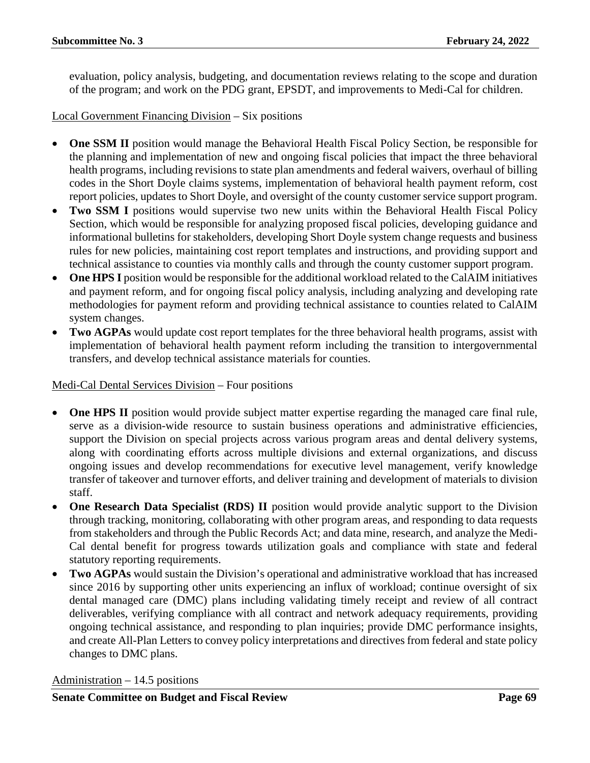evaluation, policy analysis, budgeting, and documentation reviews relating to the scope and duration of the program; and work on the PDG grant, EPSDT, and improvements to Medi-Cal for children.

Local Government Financing Division – Six positions

- **One SSM II** position would manage the Behavioral Health Fiscal Policy Section, be responsible for the planning and implementation of new and ongoing fiscal policies that impact the three behavioral health programs, including revisions to state plan amendments and federal waivers, overhaul of billing codes in the Short Doyle claims systems, implementation of behavioral health payment reform, cost report policies, updates to Short Doyle, and oversight of the county customer service support program.
- **Two SSM I** positions would supervise two new units within the Behavioral Health Fiscal Policy Section, which would be responsible for analyzing proposed fiscal policies, developing guidance and informational bulletins for stakeholders, developing Short Doyle system change requests and business rules for new policies, maintaining cost report templates and instructions, and providing support and technical assistance to counties via monthly calls and through the county customer support program.
- **One HPS I** position would be responsible for the additional workload related to the CalAIM initiatives and payment reform, and for ongoing fiscal policy analysis, including analyzing and developing rate methodologies for payment reform and providing technical assistance to counties related to CalAIM system changes.
- **Two AGPAs** would update cost report templates for the three behavioral health programs, assist with implementation of behavioral health payment reform including the transition to intergovernmental transfers, and develop technical assistance materials for counties.

### Medi-Cal Dental Services Division – Four positions

- **One HPS II** position would provide subject matter expertise regarding the managed care final rule, serve as a division-wide resource to sustain business operations and administrative efficiencies, support the Division on special projects across various program areas and dental delivery systems, along with coordinating efforts across multiple divisions and external organizations, and discuss ongoing issues and develop recommendations for executive level management, verify knowledge transfer of takeover and turnover efforts, and deliver training and development of materials to division staff.
- **One Research Data Specialist (RDS) II** position would provide analytic support to the Division through tracking, monitoring, collaborating with other program areas, and responding to data requests from stakeholders and through the Public Records Act; and data mine, research, and analyze the Medi-Cal dental benefit for progress towards utilization goals and compliance with state and federal statutory reporting requirements.
- **Two AGPAs** would sustain the Division's operational and administrative workload that has increased since 2016 by supporting other units experiencing an influx of workload; continue oversight of six dental managed care (DMC) plans including validating timely receipt and review of all contract deliverables, verifying compliance with all contract and network adequacy requirements, providing ongoing technical assistance, and responding to plan inquiries; provide DMC performance insights, and create All-Plan Letters to convey policy interpretations and directives from federal and state policy changes to DMC plans.

Administration – 14.5 positions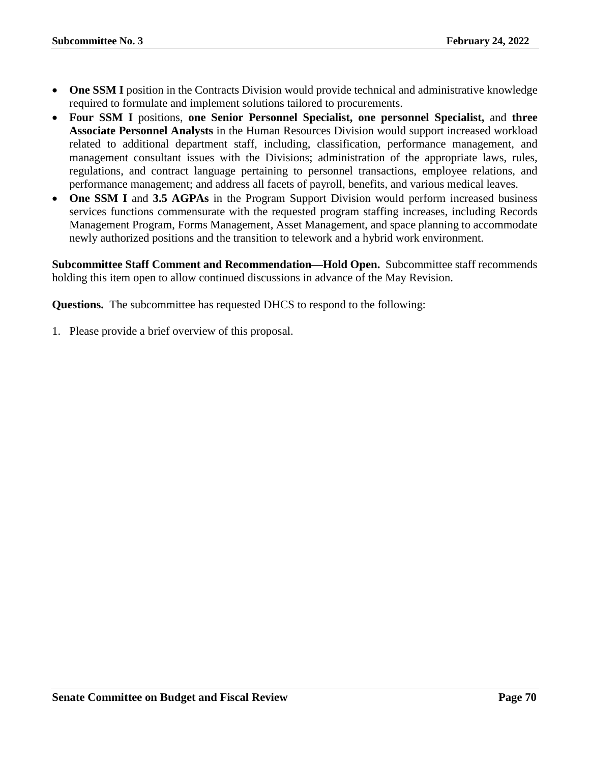- **One SSM I** position in the Contracts Division would provide technical and administrative knowledge required to formulate and implement solutions tailored to procurements.
- **Four SSM I** positions, **one Senior Personnel Specialist, one personnel Specialist,** and **three Associate Personnel Analysts** in the Human Resources Division would support increased workload related to additional department staff, including, classification, performance management, and management consultant issues with the Divisions; administration of the appropriate laws, rules, regulations, and contract language pertaining to personnel transactions, employee relations, and performance management; and address all facets of payroll, benefits, and various medical leaves.
- **One SSM I** and **3.5 AGPAs** in the Program Support Division would perform increased business services functions commensurate with the requested program staffing increases, including Records Management Program, Forms Management, Asset Management, and space planning to accommodate newly authorized positions and the transition to telework and a hybrid work environment.

**Subcommittee Staff Comment and Recommendation—Hold Open.** Subcommittee staff recommends holding this item open to allow continued discussions in advance of the May Revision.

**Questions.** The subcommittee has requested DHCS to respond to the following: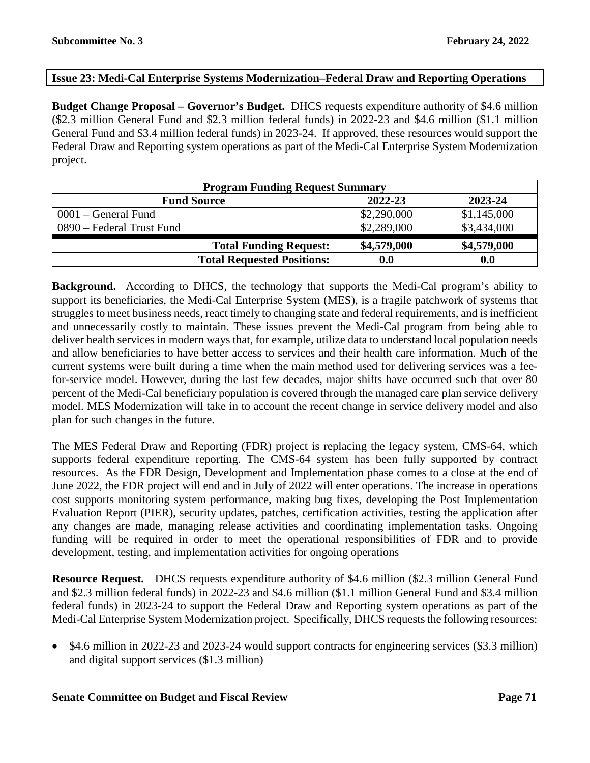### **Issue 23: Medi-Cal Enterprise Systems Modernization–Federal Draw and Reporting Operations**

**Budget Change Proposal – Governor's Budget.** DHCS requests expenditure authority of \$4.6 million (\$2.3 million General Fund and \$2.3 million federal funds) in 2022-23 and \$4.6 million (\$1.1 million General Fund and \$3.4 million federal funds) in 2023-24. If approved, these resources would support the Federal Draw and Reporting system operations as part of the Medi-Cal Enterprise System Modernization project.

| <b>Program Funding Request Summary</b>   |             |             |  |  |
|------------------------------------------|-------------|-------------|--|--|
| 2022-23<br>2023-24<br><b>Fund Source</b> |             |             |  |  |
| $0001 - \text{General Fund}$             | \$2,290,000 | \$1,145,000 |  |  |
| 0890 – Federal Trust Fund                | \$2,289,000 | \$3,434,000 |  |  |
| <b>Total Funding Request:</b>            | \$4,579,000 | \$4,579,000 |  |  |
| <b>Total Requested Positions:</b>        | 0.0         | 0.0         |  |  |

**Background.** According to DHCS, the technology that supports the Medi-Cal program's ability to support its beneficiaries, the Medi-Cal Enterprise System (MES), is a fragile patchwork of systems that struggles to meet business needs, react timely to changing state and federal requirements, and is inefficient and unnecessarily costly to maintain. These issues prevent the Medi-Cal program from being able to deliver health services in modern ways that, for example, utilize data to understand local population needs and allow beneficiaries to have better access to services and their health care information. Much of the current systems were built during a time when the main method used for delivering services was a feefor-service model. However, during the last few decades, major shifts have occurred such that over 80 percent of the Medi-Cal beneficiary population is covered through the managed care plan service delivery model. MES Modernization will take in to account the recent change in service delivery model and also plan for such changes in the future.

The MES Federal Draw and Reporting (FDR) project is replacing the legacy system, CMS-64, which supports federal expenditure reporting. The CMS-64 system has been fully supported by contract resources. As the FDR Design, Development and Implementation phase comes to a close at the end of June 2022, the FDR project will end and in July of 2022 will enter operations. The increase in operations cost supports monitoring system performance, making bug fixes, developing the Post Implementation Evaluation Report (PIER), security updates, patches, certification activities, testing the application after any changes are made, managing release activities and coordinating implementation tasks. Ongoing funding will be required in order to meet the operational responsibilities of FDR and to provide development, testing, and implementation activities for ongoing operations

**Resource Request.** DHCS requests expenditure authority of \$4.6 million (\$2.3 million General Fund and \$2.3 million federal funds) in 2022-23 and \$4.6 million (\$1.1 million General Fund and \$3.4 million federal funds) in 2023-24 to support the Federal Draw and Reporting system operations as part of the Medi-Cal Enterprise System Modernization project. Specifically, DHCS requests the following resources:

• \$4.6 million in 2022-23 and 2023-24 would support contracts for engineering services (\$3.3 million) and digital support services (\$1.3 million)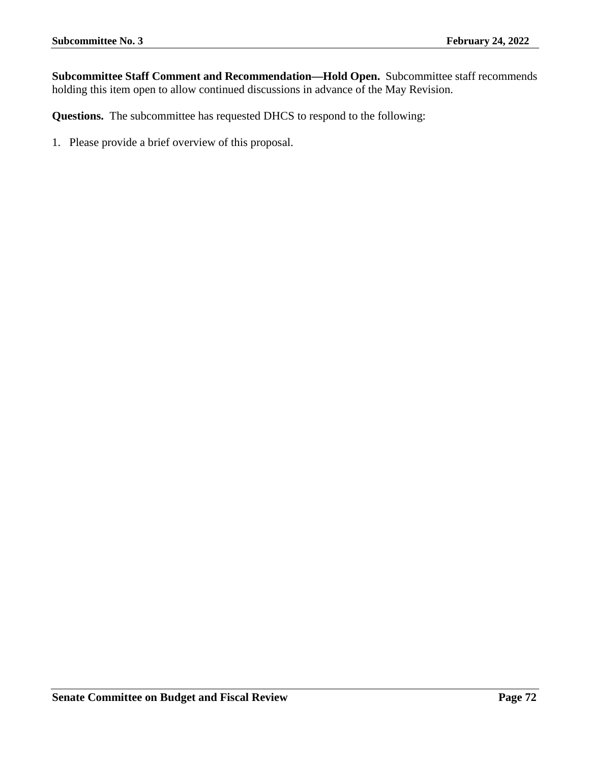**Subcommittee Staff Comment and Recommendation—Hold Open.** Subcommittee staff recommends holding this item open to allow continued discussions in advance of the May Revision.

**Questions.** The subcommittee has requested DHCS to respond to the following: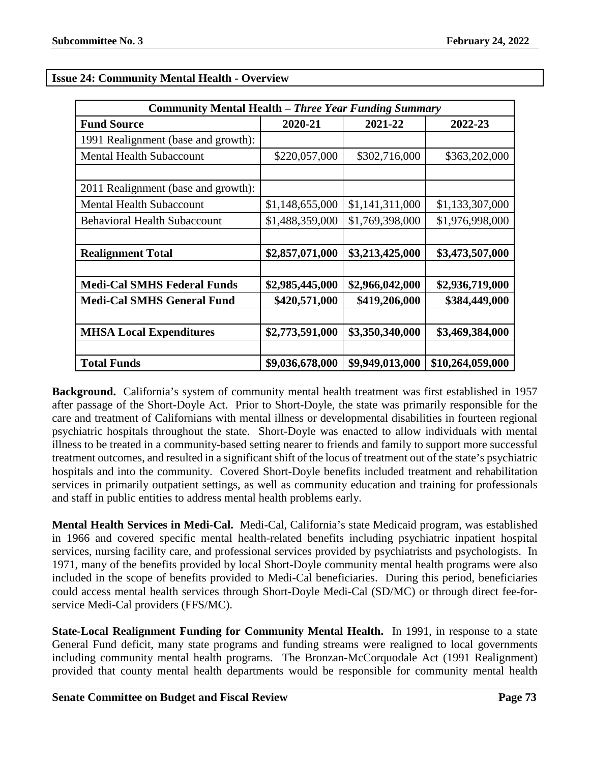| <b>Community Mental Health – Three Year Funding Summary</b> |                 |                 |                  |
|-------------------------------------------------------------|-----------------|-----------------|------------------|
| <b>Fund Source</b>                                          | 2020-21         | 2021-22         | 2022-23          |
| 1991 Realignment (base and growth):                         |                 |                 |                  |
| <b>Mental Health Subaccount</b>                             | \$220,057,000   | \$302,716,000   | \$363,202,000    |
|                                                             |                 |                 |                  |
| 2011 Realignment (base and growth):                         |                 |                 |                  |
| <b>Mental Health Subaccount</b>                             | \$1,148,655,000 | \$1,141,311,000 | \$1,133,307,000  |
| <b>Behavioral Health Subaccount</b>                         | \$1,488,359,000 | \$1,769,398,000 | \$1,976,998,000  |
|                                                             |                 |                 |                  |
| <b>Realignment Total</b>                                    | \$2,857,071,000 | \$3,213,425,000 | \$3,473,507,000  |
|                                                             |                 |                 |                  |
| <b>Medi-Cal SMHS Federal Funds</b>                          | \$2,985,445,000 | \$2,966,042,000 | \$2,936,719,000  |
| <b>Medi-Cal SMHS General Fund</b>                           | \$420,571,000   | \$419,206,000   | \$384,449,000    |
|                                                             |                 |                 |                  |
| <b>MHSA Local Expenditures</b>                              | \$2,773,591,000 | \$3,350,340,000 | \$3,469,384,000  |
|                                                             |                 |                 |                  |
| <b>Total Funds</b>                                          | \$9,036,678,000 | \$9,949,013,000 | \$10,264,059,000 |

# **Issue 24: Community Mental Health - Overview**

**Background.** California's system of community mental health treatment was first established in 1957 after passage of the Short-Doyle Act. Prior to Short-Doyle, the state was primarily responsible for the care and treatment of Californians with mental illness or developmental disabilities in fourteen regional psychiatric hospitals throughout the state. Short-Doyle was enacted to allow individuals with mental illness to be treated in a community-based setting nearer to friends and family to support more successful treatment outcomes, and resulted in a significant shift of the locus of treatment out of the state's psychiatric hospitals and into the community. Covered Short-Doyle benefits included treatment and rehabilitation services in primarily outpatient settings, as well as community education and training for professionals and staff in public entities to address mental health problems early.

**Mental Health Services in Medi-Cal.** Medi-Cal, California's state Medicaid program, was established in 1966 and covered specific mental health-related benefits including psychiatric inpatient hospital services, nursing facility care, and professional services provided by psychiatrists and psychologists. In 1971, many of the benefits provided by local Short-Doyle community mental health programs were also included in the scope of benefits provided to Medi-Cal beneficiaries. During this period, beneficiaries could access mental health services through Short-Doyle Medi-Cal (SD/MC) or through direct fee-forservice Medi-Cal providers (FFS/MC).

**State-Local Realignment Funding for Community Mental Health.** In 1991, in response to a state General Fund deficit, many state programs and funding streams were realigned to local governments including community mental health programs. The Bronzan-McCorquodale Act (1991 Realignment) provided that county mental health departments would be responsible for community mental health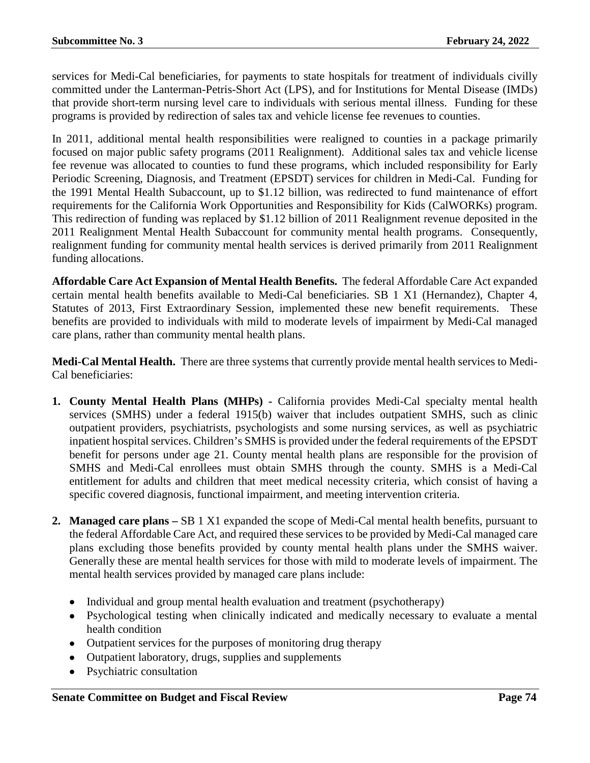services for Medi-Cal beneficiaries, for payments to state hospitals for treatment of individuals civilly committed under the Lanterman-Petris-Short Act (LPS), and for Institutions for Mental Disease (IMDs) that provide short-term nursing level care to individuals with serious mental illness. Funding for these programs is provided by redirection of sales tax and vehicle license fee revenues to counties.

In 2011, additional mental health responsibilities were realigned to counties in a package primarily focused on major public safety programs (2011 Realignment). Additional sales tax and vehicle license fee revenue was allocated to counties to fund these programs, which included responsibility for Early Periodic Screening, Diagnosis, and Treatment (EPSDT) services for children in Medi-Cal. Funding for the 1991 Mental Health Subaccount, up to \$1.12 billion, was redirected to fund maintenance of effort requirements for the California Work Opportunities and Responsibility for Kids (CalWORKs) program. This redirection of funding was replaced by \$1.12 billion of 2011 Realignment revenue deposited in the 2011 Realignment Mental Health Subaccount for community mental health programs. Consequently, realignment funding for community mental health services is derived primarily from 2011 Realignment funding allocations.

**Affordable Care Act Expansion of Mental Health Benefits.** The federal Affordable Care Act expanded certain mental health benefits available to Medi-Cal beneficiaries. SB 1 X1 (Hernandez), Chapter 4, Statutes of 2013, First Extraordinary Session, implemented these new benefit requirements. These benefits are provided to individuals with mild to moderate levels of impairment by Medi-Cal managed care plans, rather than community mental health plans.

**Medi-Cal Mental Health.** There are three systems that currently provide mental health services to Medi-Cal beneficiaries:

- **1. County Mental Health Plans (MHPs) -** California provides Medi-Cal specialty mental health services (SMHS) under a federal 1915(b) waiver that includes outpatient SMHS, such as clinic outpatient providers, psychiatrists, psychologists and some nursing services, as well as psychiatric inpatient hospital services. Children's SMHS is provided under the federal requirements of the EPSDT benefit for persons under age 21. County mental health plans are responsible for the provision of SMHS and Medi-Cal enrollees must obtain SMHS through the county. SMHS is a Medi-Cal entitlement for adults and children that meet medical necessity criteria, which consist of having a specific covered diagnosis, functional impairment, and meeting intervention criteria.
- **2. Managed care plans –** SB 1 X1 expanded the scope of Medi-Cal mental health benefits, pursuant to the federal Affordable Care Act, and required these services to be provided by Medi-Cal managed care plans excluding those benefits provided by county mental health plans under the SMHS waiver. Generally these are mental health services for those with mild to moderate levels of impairment. The mental health services provided by managed care plans include:
	- Individual and group mental health evaluation and treatment (psychotherapy)
	- Psychological testing when clinically indicated and medically necessary to evaluate a mental health condition
	- Outpatient services for the purposes of monitoring drug therapy
	- Outpatient laboratory, drugs, supplies and supplements
	- Psychiatric consultation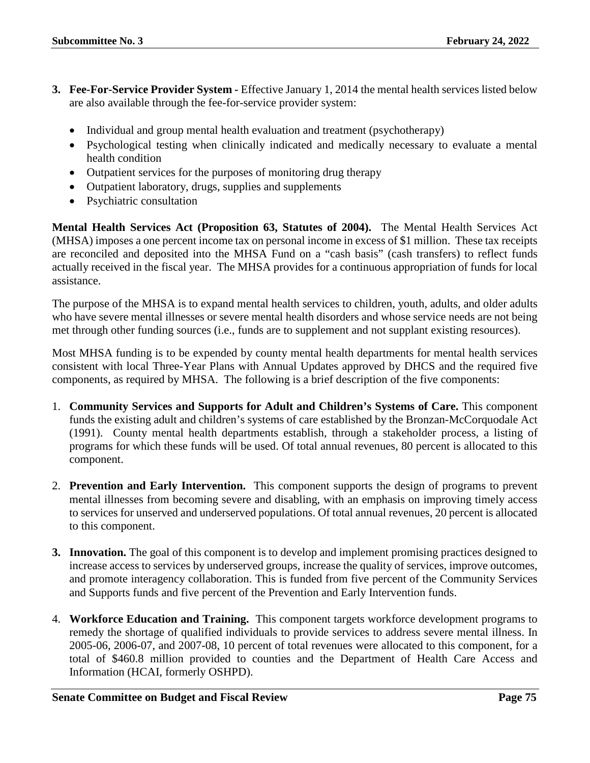- **3. Fee-For-Service Provider System -** Effective January 1, 2014 the mental health services listed below are also available through the fee-for-service provider system:
	- Individual and group mental health evaluation and treatment (psychotherapy)
	- Psychological testing when clinically indicated and medically necessary to evaluate a mental health condition
	- Outpatient services for the purposes of monitoring drug therapy
	- Outpatient laboratory, drugs, supplies and supplements
	- Psychiatric consultation

**Mental Health Services Act (Proposition 63, Statutes of 2004).** The Mental Health Services Act (MHSA) imposes a one percent income tax on personal income in excess of \$1 million. These tax receipts are reconciled and deposited into the MHSA Fund on a "cash basis" (cash transfers) to reflect funds actually received in the fiscal year. The MHSA provides for a continuous appropriation of funds for local assistance.

The purpose of the MHSA is to expand mental health services to children, youth, adults, and older adults who have severe mental illnesses or severe mental health disorders and whose service needs are not being met through other funding sources (i.e., funds are to supplement and not supplant existing resources).

Most MHSA funding is to be expended by county mental health departments for mental health services consistent with local Three-Year Plans with Annual Updates approved by DHCS and the required five components, as required by MHSA. The following is a brief description of the five components:

- 1. **Community Services and Supports for Adult and Children's Systems of Care.** This component funds the existing adult and children's systems of care established by the Bronzan-McCorquodale Act (1991). County mental health departments establish, through a stakeholder process, a listing of programs for which these funds will be used. Of total annual revenues, 80 percent is allocated to this component.
- 2. **Prevention and Early Intervention.** This component supports the design of programs to prevent mental illnesses from becoming severe and disabling, with an emphasis on improving timely access to services for unserved and underserved populations. Of total annual revenues, 20 percent is allocated to this component.
- **3. Innovation.** The goal of this component is to develop and implement promising practices designed to increase access to services by underserved groups, increase the quality of services, improve outcomes, and promote interagency collaboration. This is funded from five percent of the Community Services and Supports funds and five percent of the Prevention and Early Intervention funds.
- 4. **Workforce Education and Training.** This component targets workforce development programs to remedy the shortage of qualified individuals to provide services to address severe mental illness. In 2005-06, 2006-07, and 2007-08, 10 percent of total revenues were allocated to this component, for a total of \$460.8 million provided to counties and the Department of Health Care Access and Information (HCAI, formerly OSHPD).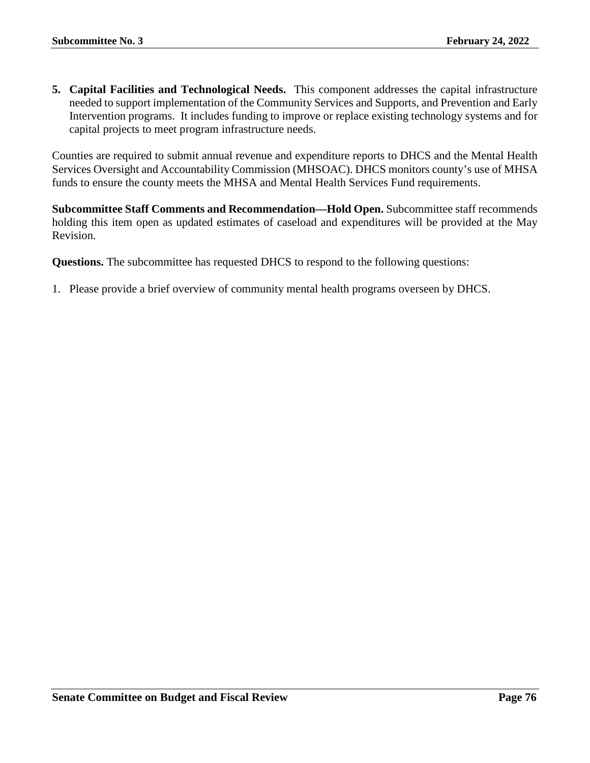**5. Capital Facilities and Technological Needs.** This component addresses the capital infrastructure needed to support implementation of the Community Services and Supports, and Prevention and Early Intervention programs. It includes funding to improve or replace existing technology systems and for capital projects to meet program infrastructure needs.

Counties are required to submit annual revenue and expenditure reports to DHCS and the Mental Health Services Oversight and Accountability Commission (MHSOAC). DHCS monitors county's use of MHSA funds to ensure the county meets the MHSA and Mental Health Services Fund requirements.

**Subcommittee Staff Comments and Recommendation—Hold Open.** Subcommittee staff recommends holding this item open as updated estimates of caseload and expenditures will be provided at the May Revision.

**Questions.** The subcommittee has requested DHCS to respond to the following questions:

1. Please provide a brief overview of community mental health programs overseen by DHCS.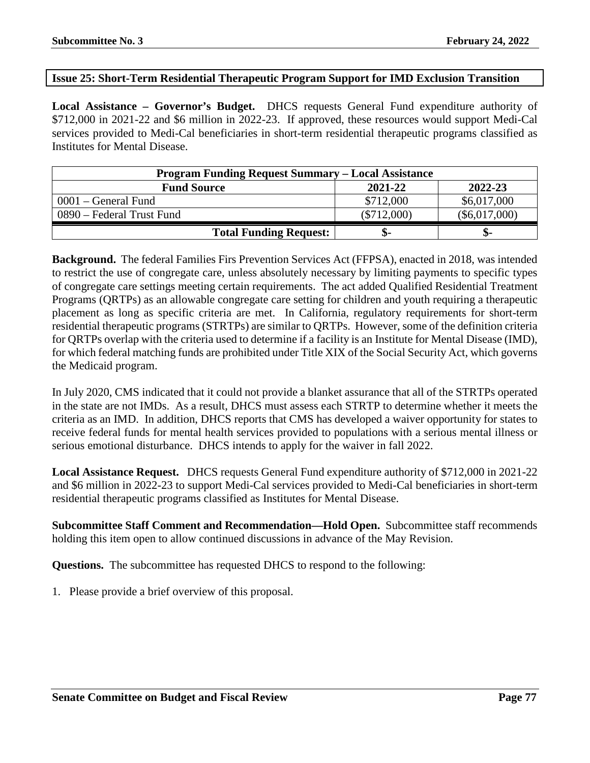#### **Issue 25: Short-Term Residential Therapeutic Program Support for IMD Exclusion Transition**

**Local Assistance – Governor's Budget.** DHCS requests General Fund expenditure authority of \$712,000 in 2021-22 and \$6 million in 2022-23. If approved, these resources would support Medi-Cal services provided to Medi-Cal beneficiaries in short-term residential therapeutic programs classified as Institutes for Mental Disease.

| <b>Program Funding Request Summary – Local Assistance</b> |               |                 |  |
|-----------------------------------------------------------|---------------|-----------------|--|
| <b>Fund Source</b>                                        | 2021-22       | 2022-23         |  |
| $0001$ – General Fund                                     | \$712,000     | \$6,017,000     |  |
| 0890 – Federal Trust Fund                                 | $(\$712,000)$ | $(\$6,017,000)$ |  |
| <b>Total Funding Request:</b>                             | ক্ত-          | ক-              |  |

**Background.** The federal Families Firs Prevention Services Act (FFPSA), enacted in 2018, was intended to restrict the use of congregate care, unless absolutely necessary by limiting payments to specific types of congregate care settings meeting certain requirements. The act added Qualified Residential Treatment Programs (QRTPs) as an allowable congregate care setting for children and youth requiring a therapeutic placement as long as specific criteria are met. In California, regulatory requirements for short-term residential therapeutic programs (STRTPs) are similar to QRTPs. However, some of the definition criteria for QRTPs overlap with the criteria used to determine if a facility is an Institute for Mental Disease (IMD), for which federal matching funds are prohibited under Title XIX of the Social Security Act, which governs the Medicaid program.

In July 2020, CMS indicated that it could not provide a blanket assurance that all of the STRTPs operated in the state are not IMDs. As a result, DHCS must assess each STRTP to determine whether it meets the criteria as an IMD. In addition, DHCS reports that CMS has developed a waiver opportunity for states to receive federal funds for mental health services provided to populations with a serious mental illness or serious emotional disturbance. DHCS intends to apply for the waiver in fall 2022.

**Local Assistance Request.** DHCS requests General Fund expenditure authority of \$712,000 in 2021-22 and \$6 million in 2022-23 to support Medi-Cal services provided to Medi-Cal beneficiaries in short-term residential therapeutic programs classified as Institutes for Mental Disease.

**Subcommittee Staff Comment and Recommendation—Hold Open.** Subcommittee staff recommends holding this item open to allow continued discussions in advance of the May Revision.

**Questions.** The subcommittee has requested DHCS to respond to the following: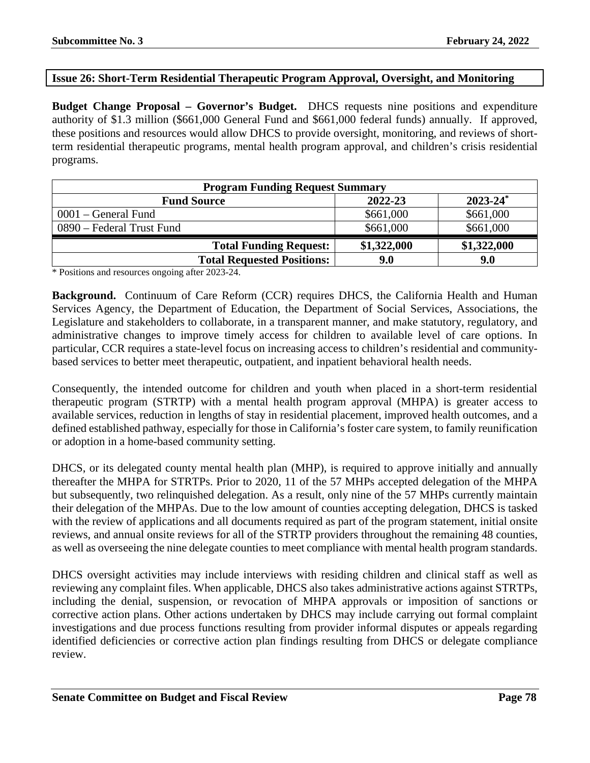### **Issue 26: Short-Term Residential Therapeutic Program Approval, Oversight, and Monitoring**

**Budget Change Proposal – Governor's Budget.** DHCS requests nine positions and expenditure authority of \$1.3 million (\$661,000 General Fund and \$661,000 federal funds) annually. If approved, these positions and resources would allow DHCS to provide oversight, monitoring, and reviews of shortterm residential therapeutic programs, mental health program approval, and children's crisis residential programs.

| <b>Program Funding Request Summary</b> |             |                          |
|----------------------------------------|-------------|--------------------------|
| <b>Fund Source</b>                     | 2022-23     | $2023 - 24$ <sup>*</sup> |
| $0001$ – General Fund                  | \$661,000   | \$661,000                |
| 0890 – Federal Trust Fund              | \$661,000   | \$661,000                |
| <b>Total Funding Request:</b>          | \$1,322,000 | \$1,322,000              |
| <b>Total Requested Positions:</b>      | 9.0         | 9.0                      |

\* Positions and resources ongoing after 2023-24.

**Background.** Continuum of Care Reform (CCR) requires DHCS, the California Health and Human Services Agency, the Department of Education, the Department of Social Services, Associations, the Legislature and stakeholders to collaborate, in a transparent manner, and make statutory, regulatory, and administrative changes to improve timely access for children to available level of care options. In particular, CCR requires a state-level focus on increasing access to children's residential and communitybased services to better meet therapeutic, outpatient, and inpatient behavioral health needs.

Consequently, the intended outcome for children and youth when placed in a short-term residential therapeutic program (STRTP) with a mental health program approval (MHPA) is greater access to available services, reduction in lengths of stay in residential placement, improved health outcomes, and a defined established pathway, especially for those in California's foster care system, to family reunification or adoption in a home-based community setting.

DHCS, or its delegated county mental health plan (MHP), is required to approve initially and annually thereafter the MHPA for STRTPs. Prior to 2020, 11 of the 57 MHPs accepted delegation of the MHPA but subsequently, two relinquished delegation. As a result, only nine of the 57 MHPs currently maintain their delegation of the MHPAs. Due to the low amount of counties accepting delegation, DHCS is tasked with the review of applications and all documents required as part of the program statement, initial onsite reviews, and annual onsite reviews for all of the STRTP providers throughout the remaining 48 counties, as well as overseeing the nine delegate counties to meet compliance with mental health program standards.

DHCS oversight activities may include interviews with residing children and clinical staff as well as reviewing any complaint files. When applicable, DHCS also takes administrative actions against STRTPs, including the denial, suspension, or revocation of MHPA approvals or imposition of sanctions or corrective action plans. Other actions undertaken by DHCS may include carrying out formal complaint investigations and due process functions resulting from provider informal disputes or appeals regarding identified deficiencies or corrective action plan findings resulting from DHCS or delegate compliance review.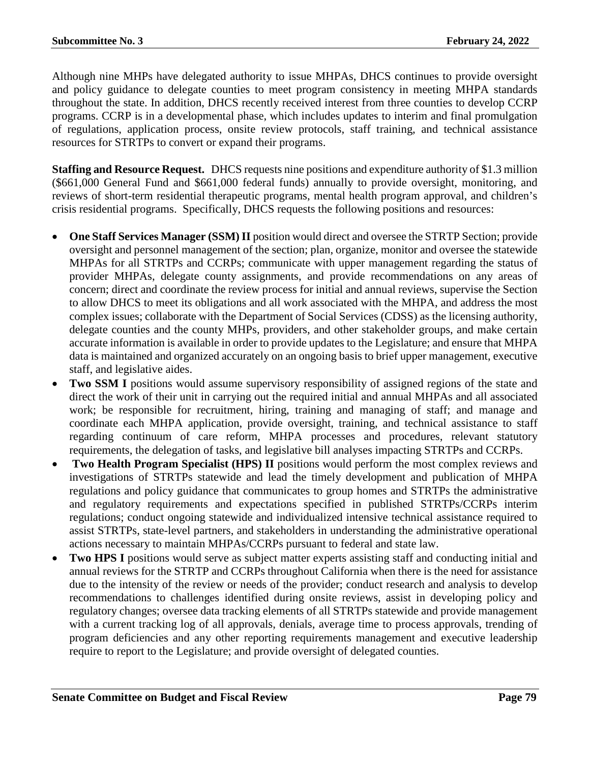Although nine MHPs have delegated authority to issue MHPAs, DHCS continues to provide oversight and policy guidance to delegate counties to meet program consistency in meeting MHPA standards throughout the state. In addition, DHCS recently received interest from three counties to develop CCRP programs. CCRP is in a developmental phase, which includes updates to interim and final promulgation of regulations, application process, onsite review protocols, staff training, and technical assistance resources for STRTPs to convert or expand their programs.

**Staffing and Resource Request.** DHCS requests nine positions and expenditure authority of \$1.3 million (\$661,000 General Fund and \$661,000 federal funds) annually to provide oversight, monitoring, and reviews of short-term residential therapeutic programs, mental health program approval, and children's crisis residential programs. Specifically, DHCS requests the following positions and resources:

- **One Staff Services Manager (SSM) II** position would direct and oversee the STRTP Section; provide oversight and personnel management of the section; plan, organize, monitor and oversee the statewide MHPAs for all STRTPs and CCRPs; communicate with upper management regarding the status of provider MHPAs, delegate county assignments, and provide recommendations on any areas of concern; direct and coordinate the review process for initial and annual reviews, supervise the Section to allow DHCS to meet its obligations and all work associated with the MHPA, and address the most complex issues; collaborate with the Department of Social Services (CDSS) as the licensing authority, delegate counties and the county MHPs, providers, and other stakeholder groups, and make certain accurate information is available in order to provide updates to the Legislature; and ensure that MHPA data is maintained and organized accurately on an ongoing basis to brief upper management, executive staff, and legislative aides.
- **Two SSM I** positions would assume supervisory responsibility of assigned regions of the state and direct the work of their unit in carrying out the required initial and annual MHPAs and all associated work; be responsible for recruitment, hiring, training and managing of staff; and manage and coordinate each MHPA application, provide oversight, training, and technical assistance to staff regarding continuum of care reform, MHPA processes and procedures, relevant statutory requirements, the delegation of tasks, and legislative bill analyses impacting STRTPs and CCRPs.
- **Two Health Program Specialist (HPS) II** positions would perform the most complex reviews and investigations of STRTPs statewide and lead the timely development and publication of MHPA regulations and policy guidance that communicates to group homes and STRTPs the administrative and regulatory requirements and expectations specified in published STRTPs/CCRPs interim regulations; conduct ongoing statewide and individualized intensive technical assistance required to assist STRTPs, state-level partners, and stakeholders in understanding the administrative operational actions necessary to maintain MHPAs/CCRPs pursuant to federal and state law.
- **Two HPS I** positions would serve as subject matter experts assisting staff and conducting initial and annual reviews for the STRTP and CCRPs throughout California when there is the need for assistance due to the intensity of the review or needs of the provider; conduct research and analysis to develop recommendations to challenges identified during onsite reviews, assist in developing policy and regulatory changes; oversee data tracking elements of all STRTPs statewide and provide management with a current tracking log of all approvals, denials, average time to process approvals, trending of program deficiencies and any other reporting requirements management and executive leadership require to report to the Legislature; and provide oversight of delegated counties.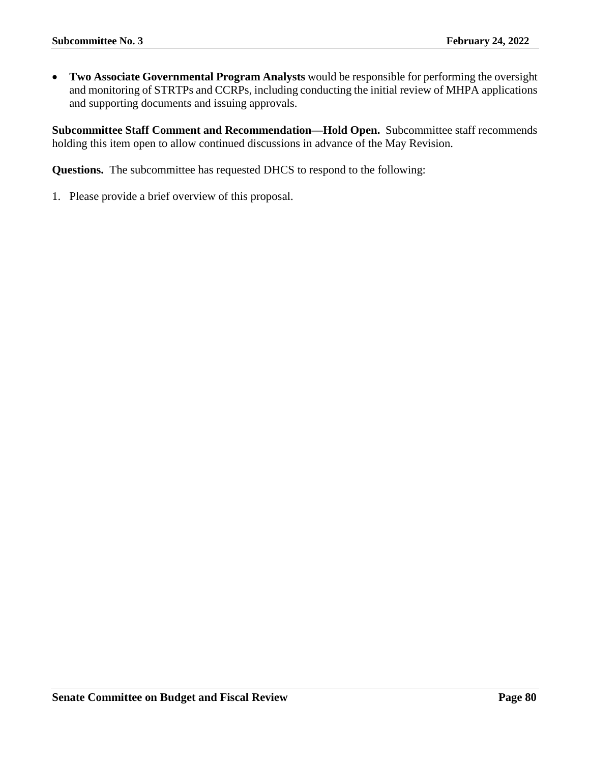• **Two Associate Governmental Program Analysts** would be responsible for performing the oversight and monitoring of STRTPs and CCRPs, including conducting the initial review of MHPA applications and supporting documents and issuing approvals.

**Subcommittee Staff Comment and Recommendation—Hold Open.** Subcommittee staff recommends holding this item open to allow continued discussions in advance of the May Revision.

**Questions.** The subcommittee has requested DHCS to respond to the following: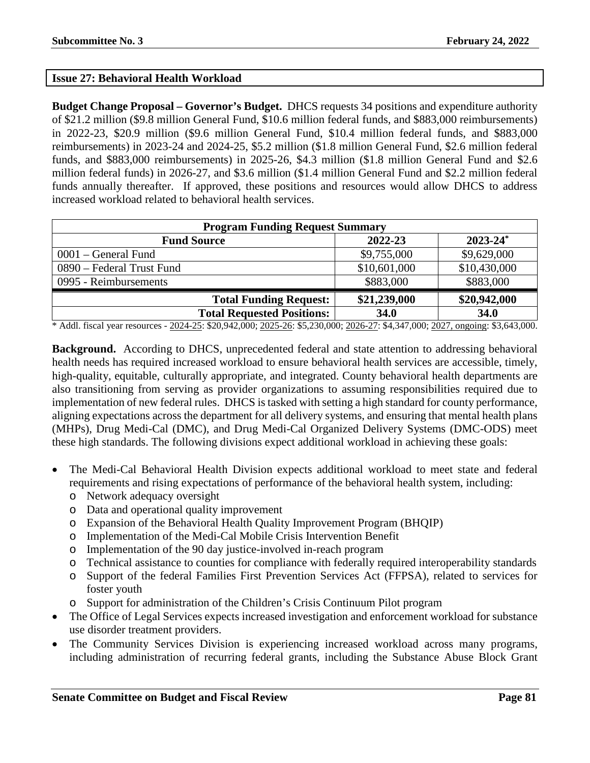## **Issue 27: Behavioral Health Workload**

**Budget Change Proposal – Governor's Budget.** DHCS requests 34 positions and expenditure authority of \$21.2 million (\$9.8 million General Fund, \$10.6 million federal funds, and \$883,000 reimbursements) in 2022-23, \$20.9 million (\$9.6 million General Fund, \$10.4 million federal funds, and \$883,000 reimbursements) in 2023-24 and 2024-25, \$5.2 million (\$1.8 million General Fund, \$2.6 million federal funds, and \$883,000 reimbursements) in 2025-26, \$4.3 million (\$1.8 million General Fund and \$2.6 million federal funds) in 2026-27, and \$3.6 million (\$1.4 million General Fund and \$2.2 million federal funds annually thereafter. If approved, these positions and resources would allow DHCS to address increased workload related to behavioral health services.

| <b>Program Funding Request Summary</b> |              |                          |
|----------------------------------------|--------------|--------------------------|
| <b>Fund Source</b>                     | 2022-23      | $2023 - 24$ <sup>*</sup> |
| $0001$ – General Fund                  | \$9,755,000  | \$9,629,000              |
| 0890 – Federal Trust Fund              | \$10,601,000 | \$10,430,000             |
| 0995 - Reimbursements                  | \$883,000    | \$883,000                |
| <b>Total Funding Request:</b>          | \$21,239,000 | \$20,942,000             |
| <b>Total Requested Positions:</b>      | 34.0         | 34.0                     |

\* Addl. fiscal year resources - 2024-25: \$20,942,000; 2025-26: \$5,230,000; 2026-27: \$4,347,000; 2027, ongoing: \$3,643,000.

**Background.** According to DHCS, unprecedented federal and state attention to addressing behavioral health needs has required increased workload to ensure behavioral health services are accessible, timely, high-quality, equitable, culturally appropriate, and integrated. County behavioral health departments are also transitioning from serving as provider organizations to assuming responsibilities required due to implementation of new federal rules. DHCS is tasked with setting a high standard for county performance, aligning expectations across the department for all delivery systems, and ensuring that mental health plans (MHPs), Drug Medi-Cal (DMC), and Drug Medi-Cal Organized Delivery Systems (DMC-ODS) meet these high standards. The following divisions expect additional workload in achieving these goals:

- The Medi-Cal Behavioral Health Division expects additional workload to meet state and federal requirements and rising expectations of performance of the behavioral health system, including:
	- o Network adequacy oversight
	- o Data and operational quality improvement
	- o Expansion of the Behavioral Health Quality Improvement Program (BHQIP)
	- o Implementation of the Medi-Cal Mobile Crisis Intervention Benefit
	- o Implementation of the 90 day justice-involved in-reach program
	- o Technical assistance to counties for compliance with federally required interoperability standards
	- o Support of the federal Families First Prevention Services Act (FFPSA), related to services for foster youth
	- o Support for administration of the Children's Crisis Continuum Pilot program
- The Office of Legal Services expects increased investigation and enforcement workload for substance use disorder treatment providers.
- The Community Services Division is experiencing increased workload across many programs, including administration of recurring federal grants, including the Substance Abuse Block Grant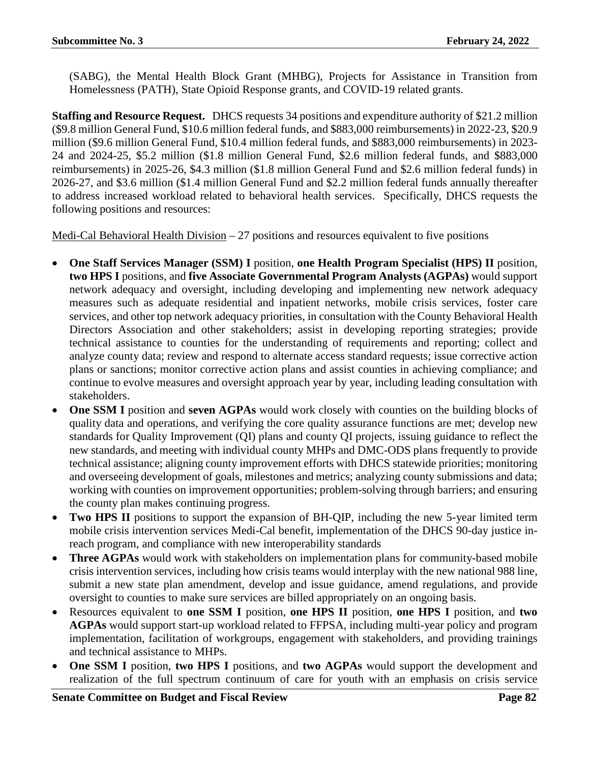(SABG), the Mental Health Block Grant (MHBG), Projects for Assistance in Transition from Homelessness (PATH), State Opioid Response grants, and COVID-19 related grants.

**Staffing and Resource Request.** DHCS requests 34 positions and expenditure authority of \$21.2 million (\$9.8 million General Fund, \$10.6 million federal funds, and \$883,000 reimbursements) in 2022-23, \$20.9 million (\$9.6 million General Fund, \$10.4 million federal funds, and \$883,000 reimbursements) in 2023- 24 and 2024-25, \$5.2 million (\$1.8 million General Fund, \$2.6 million federal funds, and \$883,000 reimbursements) in 2025-26, \$4.3 million (\$1.8 million General Fund and \$2.6 million federal funds) in 2026-27, and \$3.6 million (\$1.4 million General Fund and \$2.2 million federal funds annually thereafter to address increased workload related to behavioral health services. Specifically, DHCS requests the following positions and resources:

Medi-Cal Behavioral Health Division – 27 positions and resources equivalent to five positions

- **One Staff Services Manager (SSM) I** position, **one Health Program Specialist (HPS) II** position, **two HPS I** positions, and **five Associate Governmental Program Analysts (AGPAs)** would support network adequacy and oversight, including developing and implementing new network adequacy measures such as adequate residential and inpatient networks, mobile crisis services, foster care services, and other top network adequacy priorities, in consultation with the County Behavioral Health Directors Association and other stakeholders; assist in developing reporting strategies; provide technical assistance to counties for the understanding of requirements and reporting; collect and analyze county data; review and respond to alternate access standard requests; issue corrective action plans or sanctions; monitor corrective action plans and assist counties in achieving compliance; and continue to evolve measures and oversight approach year by year, including leading consultation with stakeholders.
- **One SSM I** position and **seven AGPAs** would work closely with counties on the building blocks of quality data and operations, and verifying the core quality assurance functions are met; develop new standards for Quality Improvement (QI) plans and county QI projects, issuing guidance to reflect the new standards, and meeting with individual county MHPs and DMC-ODS plans frequently to provide technical assistance; aligning county improvement efforts with DHCS statewide priorities; monitoring and overseeing development of goals, milestones and metrics; analyzing county submissions and data; working with counties on improvement opportunities; problem-solving through barriers; and ensuring the county plan makes continuing progress.
- **Two HPS II** positions to support the expansion of BH-QIP, including the new 5-year limited term mobile crisis intervention services Medi-Cal benefit, implementation of the DHCS 90-day justice inreach program, and compliance with new interoperability standards
- **Three AGPAs** would work with stakeholders on implementation plans for community-based mobile crisis intervention services, including how crisis teams would interplay with the new national 988 line, submit a new state plan amendment, develop and issue guidance, amend regulations, and provide oversight to counties to make sure services are billed appropriately on an ongoing basis.
- Resources equivalent to **one SSM I** position, **one HPS II** position, **one HPS I** position, and **two AGPAs** would support start-up workload related to FFPSA, including multi-year policy and program implementation, facilitation of workgroups, engagement with stakeholders, and providing trainings and technical assistance to MHPs.
- **One SSM I** position, **two HPS I** positions, and **two AGPAs** would support the development and realization of the full spectrum continuum of care for youth with an emphasis on crisis service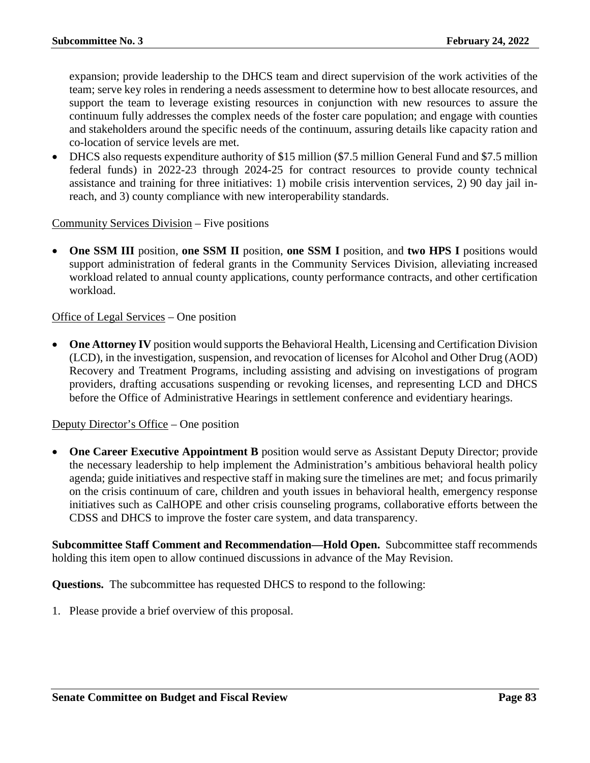expansion; provide leadership to the DHCS team and direct supervision of the work activities of the team; serve key roles in rendering a needs assessment to determine how to best allocate resources, and support the team to leverage existing resources in conjunction with new resources to assure the continuum fully addresses the complex needs of the foster care population; and engage with counties and stakeholders around the specific needs of the continuum, assuring details like capacity ration and co-location of service levels are met.

• DHCS also requests expenditure authority of \$15 million (\$7.5 million General Fund and \$7.5 million federal funds) in 2022-23 through 2024-25 for contract resources to provide county technical assistance and training for three initiatives: 1) mobile crisis intervention services, 2) 90 day jail inreach, and 3) county compliance with new interoperability standards.

Community Services Division – Five positions

• **One SSM III** position, **one SSM II** position, **one SSM I** position, and **two HPS I** positions would support administration of federal grants in the Community Services Division, alleviating increased workload related to annual county applications, county performance contracts, and other certification workload.

#### Office of Legal Services – One position

• **One Attorney IV** position would supports the Behavioral Health, Licensing and Certification Division (LCD), in the investigation, suspension, and revocation of licenses for Alcohol and Other Drug (AOD) Recovery and Treatment Programs, including assisting and advising on investigations of program providers, drafting accusations suspending or revoking licenses, and representing LCD and DHCS before the Office of Administrative Hearings in settlement conference and evidentiary hearings.

#### Deputy Director's Office – One position

• **One Career Executive Appointment B** position would serve as Assistant Deputy Director; provide the necessary leadership to help implement the Administration's ambitious behavioral health policy agenda; guide initiatives and respective staff in making sure the timelines are met; and focus primarily on the crisis continuum of care, children and youth issues in behavioral health, emergency response initiatives such as CalHOPE and other crisis counseling programs, collaborative efforts between the CDSS and DHCS to improve the foster care system, and data transparency.

**Subcommittee Staff Comment and Recommendation—Hold Open.** Subcommittee staff recommends holding this item open to allow continued discussions in advance of the May Revision.

**Questions.** The subcommittee has requested DHCS to respond to the following: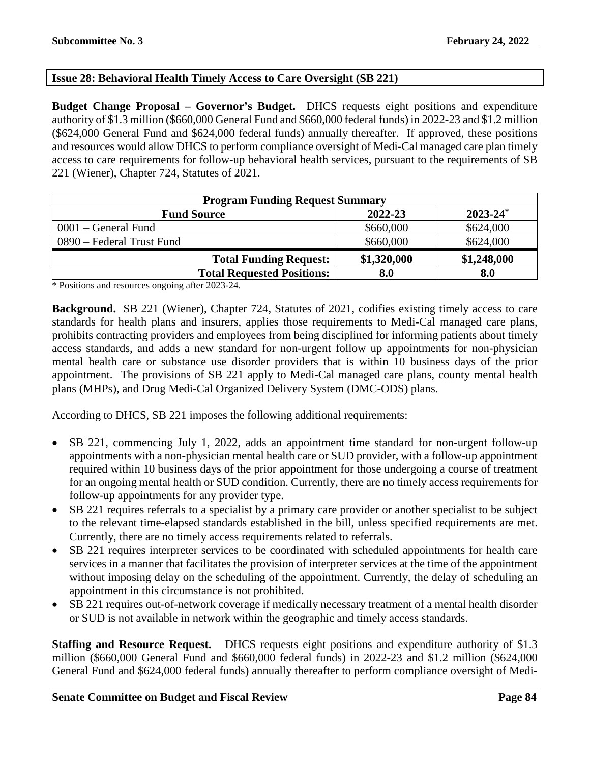# **Issue 28: Behavioral Health Timely Access to Care Oversight (SB 221)**

**Budget Change Proposal – Governor's Budget.** DHCS requests eight positions and expenditure authority of \$1.3 million (\$660,000 General Fund and \$660,000 federal funds) in 2022-23 and \$1.2 million (\$624,000 General Fund and \$624,000 federal funds) annually thereafter. If approved, these positions and resources would allow DHCS to perform compliance oversight of Medi-Cal managed care plan timely access to care requirements for follow-up behavioral health services, pursuant to the requirements of SB 221 (Wiener), Chapter 724, Statutes of 2021.

| <b>Program Funding Request Summary</b> |             |               |
|----------------------------------------|-------------|---------------|
| <b>Fund Source</b>                     | 2022-23     | $2023 - 24^*$ |
| $0001$ – General Fund                  | \$660,000   | \$624,000     |
| 0890 – Federal Trust Fund              | \$660,000   | \$624,000     |
| <b>Total Funding Request:</b>          | \$1,320,000 | \$1,248,000   |
| <b>Total Requested Positions:</b>      | 8.0         | 8.0           |

\* Positions and resources ongoing after 2023-24.

**Background.** SB 221 (Wiener), Chapter 724, Statutes of 2021, codifies existing timely access to care standards for health plans and insurers, applies those requirements to Medi-Cal managed care plans, prohibits contracting providers and employees from being disciplined for informing patients about timely access standards, and adds a new standard for non-urgent follow up appointments for non-physician mental health care or substance use disorder providers that is within 10 business days of the prior appointment. The provisions of SB 221 apply to Medi-Cal managed care plans, county mental health plans (MHPs), and Drug Medi-Cal Organized Delivery System (DMC-ODS) plans.

According to DHCS, SB 221 imposes the following additional requirements:

- SB 221, commencing July 1, 2022, adds an appointment time standard for non-urgent follow-up appointments with a non-physician mental health care or SUD provider, with a follow-up appointment required within 10 business days of the prior appointment for those undergoing a course of treatment for an ongoing mental health or SUD condition. Currently, there are no timely access requirements for follow-up appointments for any provider type.
- SB 221 requires referrals to a specialist by a primary care provider or another specialist to be subject to the relevant time-elapsed standards established in the bill, unless specified requirements are met. Currently, there are no timely access requirements related to referrals.
- SB 221 requires interpreter services to be coordinated with scheduled appointments for health care services in a manner that facilitates the provision of interpreter services at the time of the appointment without imposing delay on the scheduling of the appointment. Currently, the delay of scheduling an appointment in this circumstance is not prohibited.
- SB 221 requires out-of-network coverage if medically necessary treatment of a mental health disorder or SUD is not available in network within the geographic and timely access standards.

**Staffing and Resource Request.** DHCS requests eight positions and expenditure authority of \$1.3 million (\$660,000 General Fund and \$660,000 federal funds) in 2022-23 and \$1.2 million (\$624,000 General Fund and \$624,000 federal funds) annually thereafter to perform compliance oversight of Medi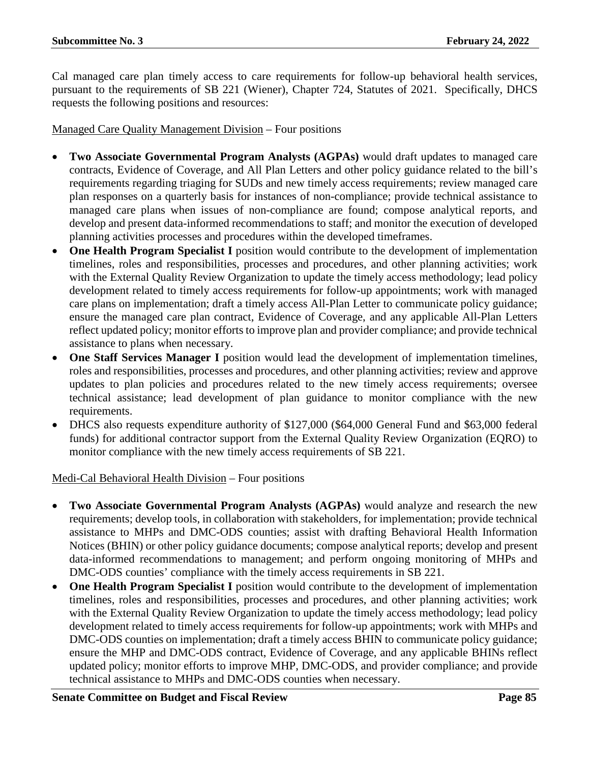Cal managed care plan timely access to care requirements for follow-up behavioral health services, pursuant to the requirements of SB 221 (Wiener), Chapter 724, Statutes of 2021. Specifically, DHCS requests the following positions and resources:

Managed Care Quality Management Division – Four positions

- **Two Associate Governmental Program Analysts (AGPAs)** would draft updates to managed care contracts, Evidence of Coverage, and All Plan Letters and other policy guidance related to the bill's requirements regarding triaging for SUDs and new timely access requirements; review managed care plan responses on a quarterly basis for instances of non-compliance; provide technical assistance to managed care plans when issues of non-compliance are found; compose analytical reports, and develop and present data-informed recommendations to staff; and monitor the execution of developed planning activities processes and procedures within the developed timeframes.
- **One Health Program Specialist I** position would contribute to the development of implementation timelines, roles and responsibilities, processes and procedures, and other planning activities; work with the External Quality Review Organization to update the timely access methodology; lead policy development related to timely access requirements for follow-up appointments; work with managed care plans on implementation; draft a timely access All-Plan Letter to communicate policy guidance; ensure the managed care plan contract, Evidence of Coverage, and any applicable All-Plan Letters reflect updated policy; monitor efforts to improve plan and provider compliance; and provide technical assistance to plans when necessary.
- **One Staff Services Manager I** position would lead the development of implementation timelines, roles and responsibilities, processes and procedures, and other planning activities; review and approve updates to plan policies and procedures related to the new timely access requirements; oversee technical assistance; lead development of plan guidance to monitor compliance with the new requirements.
- DHCS also requests expenditure authority of \$127,000 (\$64,000 General Fund and \$63,000 federal funds) for additional contractor support from the External Quality Review Organization (EQRO) to monitor compliance with the new timely access requirements of SB 221.

Medi-Cal Behavioral Health Division – Four positions

- **Two Associate Governmental Program Analysts (AGPAs)** would analyze and research the new requirements; develop tools, in collaboration with stakeholders, for implementation; provide technical assistance to MHPs and DMC-ODS counties; assist with drafting Behavioral Health Information Notices (BHIN) or other policy guidance documents; compose analytical reports; develop and present data-informed recommendations to management; and perform ongoing monitoring of MHPs and DMC-ODS counties' compliance with the timely access requirements in SB 221.
- One Health Program Specialist I position would contribute to the development of implementation timelines, roles and responsibilities, processes and procedures, and other planning activities; work with the External Quality Review Organization to update the timely access methodology; lead policy development related to timely access requirements for follow-up appointments; work with MHPs and DMC-ODS counties on implementation; draft a timely access BHIN to communicate policy guidance; ensure the MHP and DMC-ODS contract, Evidence of Coverage, and any applicable BHINs reflect updated policy; monitor efforts to improve MHP, DMC-ODS, and provider compliance; and provide technical assistance to MHPs and DMC-ODS counties when necessary.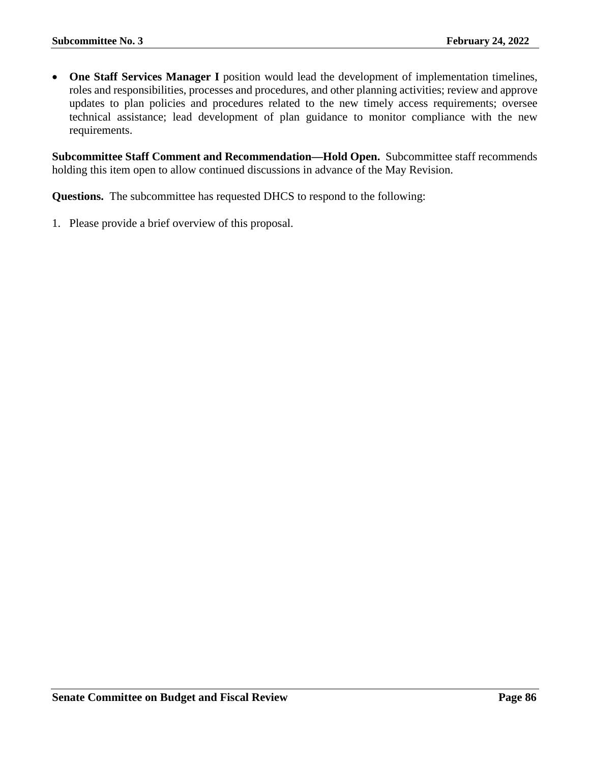• **One Staff Services Manager I** position would lead the development of implementation timelines, roles and responsibilities, processes and procedures, and other planning activities; review and approve updates to plan policies and procedures related to the new timely access requirements; oversee technical assistance; lead development of plan guidance to monitor compliance with the new requirements.

**Subcommittee Staff Comment and Recommendation—Hold Open.** Subcommittee staff recommends holding this item open to allow continued discussions in advance of the May Revision.

**Questions.** The subcommittee has requested DHCS to respond to the following: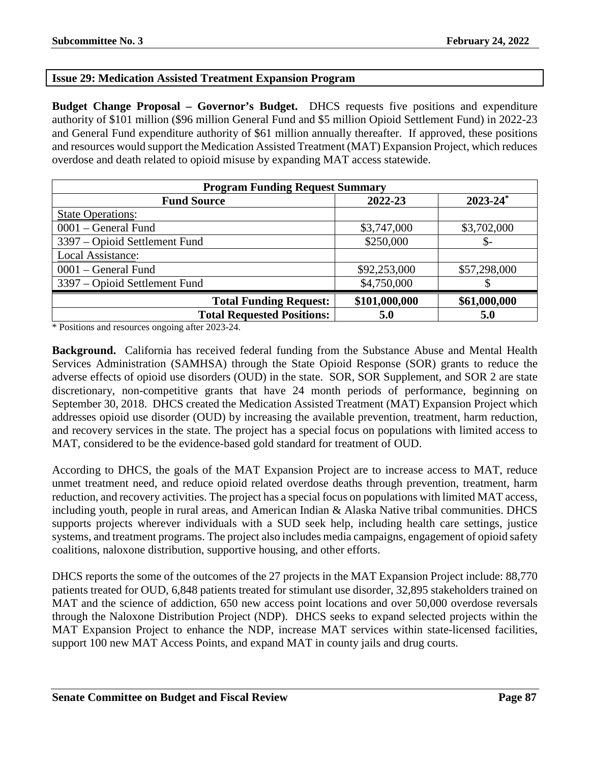## **Issue 29: Medication Assisted Treatment Expansion Program**

**Budget Change Proposal – Governor's Budget.** DHCS requests five positions and expenditure authority of \$101 million (\$96 million General Fund and \$5 million Opioid Settlement Fund) in 2022-23 and General Fund expenditure authority of \$61 million annually thereafter. If approved, these positions and resources would support the Medication Assisted Treatment (MAT) Expansion Project, which reduces overdose and death related to opioid misuse by expanding MAT access statewide.

| <b>Program Funding Request Summary</b> |               |                          |
|----------------------------------------|---------------|--------------------------|
| <b>Fund Source</b>                     | 2022-23       | $2023 - 24$ <sup>*</sup> |
| <b>State Operations:</b>               |               |                          |
| 0001 – General Fund                    | \$3,747,000   | \$3,702,000              |
| 3397 – Opioid Settlement Fund          | \$250,000     | $\mathcal{S}$ -          |
| Local Assistance:                      |               |                          |
| 0001 – General Fund                    | \$92,253,000  | \$57,298,000             |
| 3397 – Opioid Settlement Fund          | \$4,750,000   |                          |
| <b>Total Funding Request:</b>          | \$101,000,000 | \$61,000,000             |
| <b>Total Requested Positions:</b>      | 5.0           | 5.0                      |

\* Positions and resources ongoing after 2023-24.

**Background.** California has received federal funding from the Substance Abuse and Mental Health Services Administration (SAMHSA) through the State Opioid Response (SOR) grants to reduce the adverse effects of opioid use disorders (OUD) in the state. SOR, SOR Supplement, and SOR 2 are state discretionary, non-competitive grants that have 24 month periods of performance, beginning on September 30, 2018. DHCS created the Medication Assisted Treatment (MAT) Expansion Project which addresses opioid use disorder (OUD) by increasing the available prevention, treatment, harm reduction, and recovery services in the state. The project has a special focus on populations with limited access to MAT, considered to be the evidence-based gold standard for treatment of OUD.

According to DHCS, the goals of the MAT Expansion Project are to increase access to MAT, reduce unmet treatment need, and reduce opioid related overdose deaths through prevention, treatment, harm reduction, and recovery activities. The project has a special focus on populations with limited MAT access, including youth, people in rural areas, and American Indian & Alaska Native tribal communities. DHCS supports projects wherever individuals with a SUD seek help, including health care settings, justice systems, and treatment programs. The project also includes media campaigns, engagement of opioid safety coalitions, naloxone distribution, supportive housing, and other efforts.

DHCS reports the some of the outcomes of the 27 projects in the MAT Expansion Project include: 88,770 patients treated for OUD, 6,848 patients treated for stimulant use disorder, 32,895 stakeholders trained on MAT and the science of addiction, 650 new access point locations and over 50,000 overdose reversals through the Naloxone Distribution Project (NDP). DHCS seeks to expand selected projects within the MAT Expansion Project to enhance the NDP, increase MAT services within state-licensed facilities, support 100 new MAT Access Points, and expand MAT in county jails and drug courts.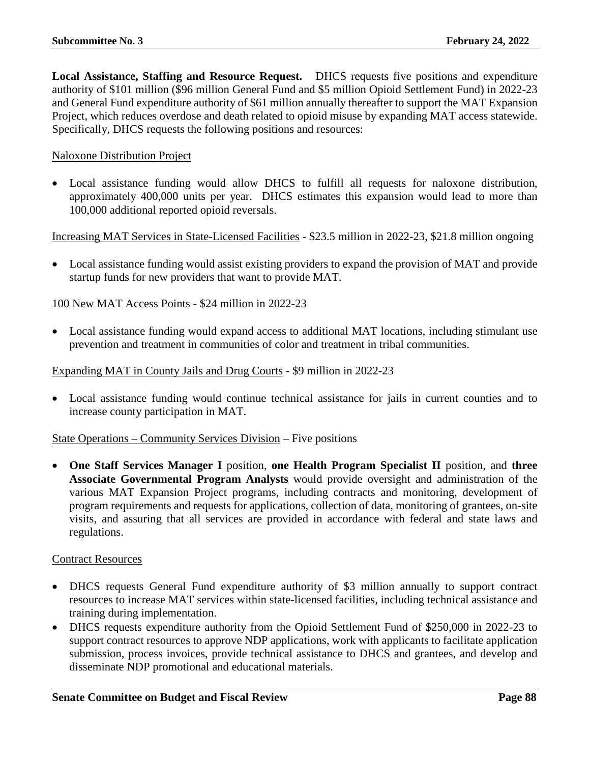**Local Assistance, Staffing and Resource Request.** DHCS requests five positions and expenditure authority of \$101 million (\$96 million General Fund and \$5 million Opioid Settlement Fund) in 2022-23 and General Fund expenditure authority of \$61 million annually thereafter to support the MAT Expansion Project, which reduces overdose and death related to opioid misuse by expanding MAT access statewide. Specifically, DHCS requests the following positions and resources:

#### Naloxone Distribution Project

• Local assistance funding would allow DHCS to fulfill all requests for naloxone distribution, approximately 400,000 units per year. DHCS estimates this expansion would lead to more than 100,000 additional reported opioid reversals.

Increasing MAT Services in State-Licensed Facilities - \$23.5 million in 2022-23, \$21.8 million ongoing

• Local assistance funding would assist existing providers to expand the provision of MAT and provide startup funds for new providers that want to provide MAT.

100 New MAT Access Points - \$24 million in 2022-23

• Local assistance funding would expand access to additional MAT locations, including stimulant use prevention and treatment in communities of color and treatment in tribal communities.

Expanding MAT in County Jails and Drug Courts - \$9 million in 2022-23

• Local assistance funding would continue technical assistance for jails in current counties and to increase county participation in MAT.

State Operations – Community Services Division – Five positions

• **One Staff Services Manager I** position, **one Health Program Specialist II** position, and **three Associate Governmental Program Analysts** would provide oversight and administration of the various MAT Expansion Project programs, including contracts and monitoring, development of program requirements and requests for applications, collection of data, monitoring of grantees, on-site visits, and assuring that all services are provided in accordance with federal and state laws and regulations.

#### Contract Resources

- DHCS requests General Fund expenditure authority of \$3 million annually to support contract resources to increase MAT services within state-licensed facilities, including technical assistance and training during implementation.
- DHCS requests expenditure authority from the Opioid Settlement Fund of \$250,000 in 2022-23 to support contract resources to approve NDP applications, work with applicants to facilitate application submission, process invoices, provide technical assistance to DHCS and grantees, and develop and disseminate NDP promotional and educational materials.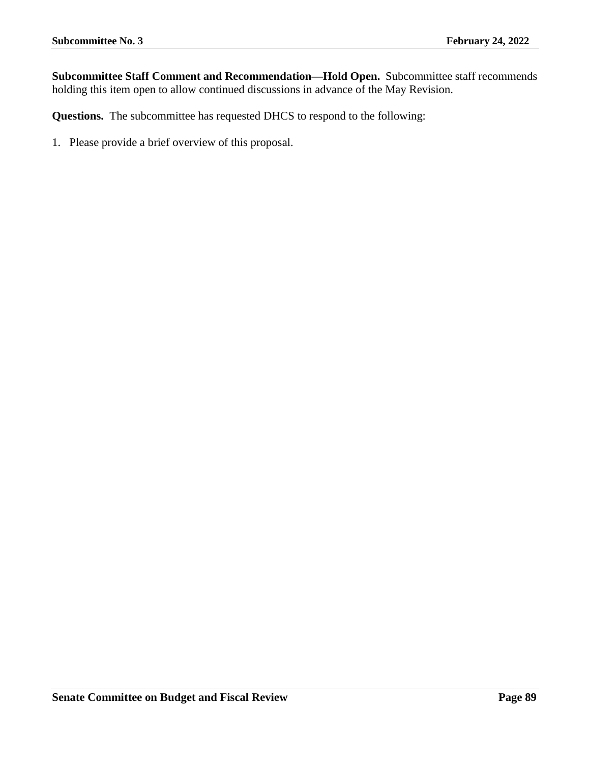**Subcommittee Staff Comment and Recommendation—Hold Open.** Subcommittee staff recommends holding this item open to allow continued discussions in advance of the May Revision.

**Questions.** The subcommittee has requested DHCS to respond to the following: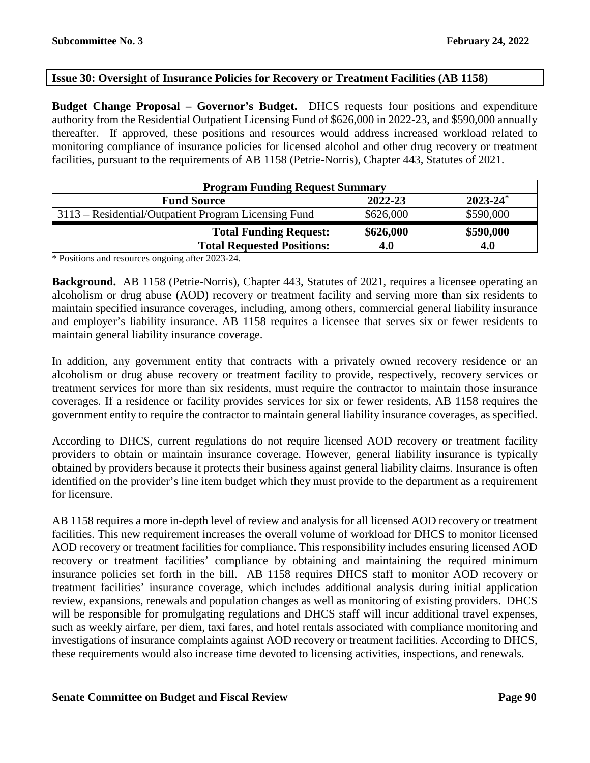## **Issue 30: Oversight of Insurance Policies for Recovery or Treatment Facilities (AB 1158)**

**Budget Change Proposal – Governor's Budget.** DHCS requests four positions and expenditure authority from the Residential Outpatient Licensing Fund of \$626,000 in 2022-23, and \$590,000 annually thereafter. If approved, these positions and resources would address increased workload related to monitoring compliance of insurance policies for licensed alcohol and other drug recovery or treatment facilities, pursuant to the requirements of AB 1158 (Petrie-Norris), Chapter 443, Statutes of 2021.

| <b>Program Funding Request Summary</b>               |           |               |  |
|------------------------------------------------------|-----------|---------------|--|
| <b>Fund Source</b>                                   | 2022-23   | $2023 - 24^*$ |  |
| 3113 – Residential/Outpatient Program Licensing Fund | \$626,000 | \$590,000     |  |
| <b>Total Funding Request:</b>                        | \$626,000 | \$590,000     |  |
| <b>Total Requested Positions:</b>                    | 4.0       | 4.0           |  |

\* Positions and resources ongoing after 2023-24.

**Background.** AB 1158 (Petrie-Norris), Chapter 443, Statutes of 2021, requires a licensee operating an alcoholism or drug abuse (AOD) recovery or treatment facility and serving more than six residents to maintain specified insurance coverages, including, among others, commercial general liability insurance and employer's liability insurance. AB 1158 requires a licensee that serves six or fewer residents to maintain general liability insurance coverage.

In addition, any government entity that contracts with a privately owned recovery residence or an alcoholism or drug abuse recovery or treatment facility to provide, respectively, recovery services or treatment services for more than six residents, must require the contractor to maintain those insurance coverages. If a residence or facility provides services for six or fewer residents, AB 1158 requires the government entity to require the contractor to maintain general liability insurance coverages, as specified.

According to DHCS, current regulations do not require licensed AOD recovery or treatment facility providers to obtain or maintain insurance coverage. However, general liability insurance is typically obtained by providers because it protects their business against general liability claims. Insurance is often identified on the provider's line item budget which they must provide to the department as a requirement for licensure.

AB 1158 requires a more in-depth level of review and analysis for all licensed AOD recovery or treatment facilities. This new requirement increases the overall volume of workload for DHCS to monitor licensed AOD recovery or treatment facilities for compliance. This responsibility includes ensuring licensed AOD recovery or treatment facilities' compliance by obtaining and maintaining the required minimum insurance policies set forth in the bill. AB 1158 requires DHCS staff to monitor AOD recovery or treatment facilities' insurance coverage, which includes additional analysis during initial application review, expansions, renewals and population changes as well as monitoring of existing providers. DHCS will be responsible for promulgating regulations and DHCS staff will incur additional travel expenses, such as weekly airfare, per diem, taxi fares, and hotel rentals associated with compliance monitoring and investigations of insurance complaints against AOD recovery or treatment facilities. According to DHCS, these requirements would also increase time devoted to licensing activities, inspections, and renewals.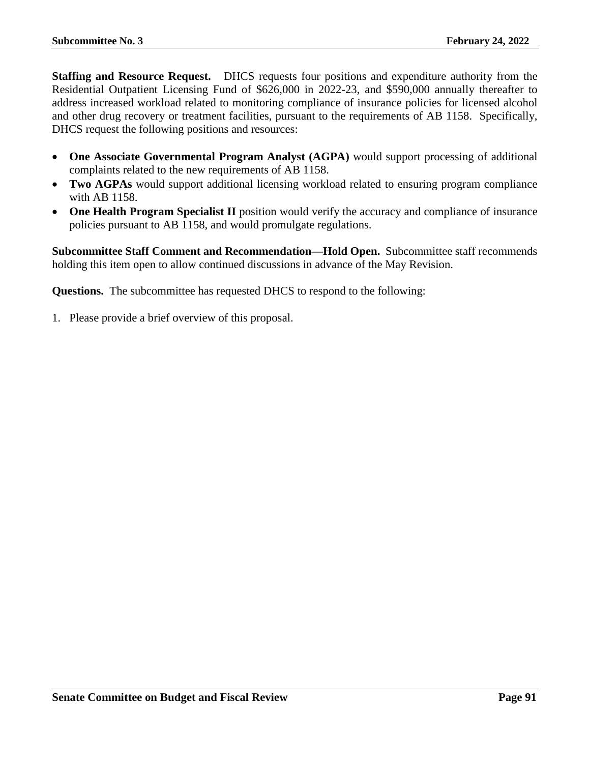**Staffing and Resource Request.** DHCS requests four positions and expenditure authority from the Residential Outpatient Licensing Fund of \$626,000 in 2022-23, and \$590,000 annually thereafter to address increased workload related to monitoring compliance of insurance policies for licensed alcohol and other drug recovery or treatment facilities, pursuant to the requirements of AB 1158. Specifically, DHCS request the following positions and resources:

- **One Associate Governmental Program Analyst (AGPA)** would support processing of additional complaints related to the new requirements of AB 1158.
- **Two AGPAs** would support additional licensing workload related to ensuring program compliance with AB 1158.
- **One Health Program Specialist II** position would verify the accuracy and compliance of insurance policies pursuant to AB 1158, and would promulgate regulations.

**Subcommittee Staff Comment and Recommendation—Hold Open.** Subcommittee staff recommends holding this item open to allow continued discussions in advance of the May Revision.

**Questions.** The subcommittee has requested DHCS to respond to the following: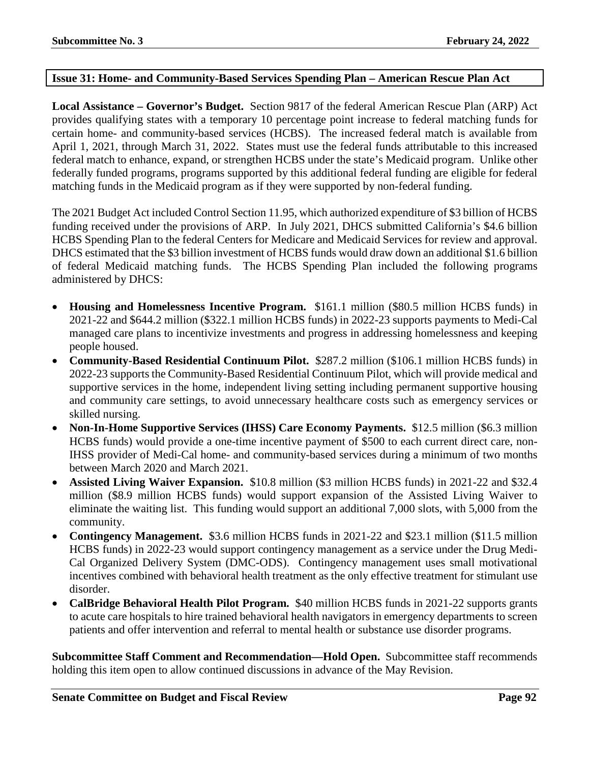### **Issue 31: Home- and Community-Based Services Spending Plan – American Rescue Plan Act**

**Local Assistance – Governor's Budget.** Section 9817 of the federal American Rescue Plan (ARP) Act provides qualifying states with a temporary 10 percentage point increase to federal matching funds for certain home- and community-based services (HCBS). The increased federal match is available from April 1, 2021, through March 31, 2022. States must use the federal funds attributable to this increased federal match to enhance, expand, or strengthen HCBS under the state's Medicaid program. Unlike other federally funded programs, programs supported by this additional federal funding are eligible for federal matching funds in the Medicaid program as if they were supported by non-federal funding.

The 2021 Budget Act included Control Section 11.95, which authorized expenditure of \$3 billion of HCBS funding received under the provisions of ARP. In July 2021, DHCS submitted California's \$4.6 billion HCBS Spending Plan to the federal Centers for Medicare and Medicaid Services for review and approval. DHCS estimated that the \$3 billion investment of HCBS funds would draw down an additional \$1.6 billion of federal Medicaid matching funds. The HCBS Spending Plan included the following programs administered by DHCS:

- **Housing and Homelessness Incentive Program.** \$161.1 million (\$80.5 million HCBS funds) in 2021-22 and \$644.2 million (\$322.1 million HCBS funds) in 2022-23 supports payments to Medi-Cal managed care plans to incentivize investments and progress in addressing homelessness and keeping people housed.
- **Community-Based Residential Continuum Pilot.** \$287.2 million (\$106.1 million HCBS funds) in 2022-23 supports the Community-Based Residential Continuum Pilot, which will provide medical and supportive services in the home, independent living setting including permanent supportive housing and community care settings, to avoid unnecessary healthcare costs such as emergency services or skilled nursing.
- **Non-In-Home Supportive Services (IHSS) Care Economy Payments.** \$12.5 million (\$6.3 million HCBS funds) would provide a one-time incentive payment of \$500 to each current direct care, non-IHSS provider of Medi-Cal home- and community-based services during a minimum of two months between March 2020 and March 2021.
- **Assisted Living Waiver Expansion.** \$10.8 million (\$3 million HCBS funds) in 2021-22 and \$32.4 million (\$8.9 million HCBS funds) would support expansion of the Assisted Living Waiver to eliminate the waiting list. This funding would support an additional 7,000 slots, with 5,000 from the community.
- **Contingency Management.** \$3.6 million HCBS funds in 2021-22 and \$23.1 million (\$11.5 million HCBS funds) in 2022-23 would support contingency management as a service under the Drug Medi-Cal Organized Delivery System (DMC-ODS). Contingency management uses small motivational incentives combined with behavioral health treatment as the only effective treatment for stimulant use disorder.
- **CalBridge Behavioral Health Pilot Program.** \$40 million HCBS funds in 2021-22 supports grants to acute care hospitals to hire trained behavioral health navigators in emergency departments to screen patients and offer intervention and referral to mental health or substance use disorder programs.

**Subcommittee Staff Comment and Recommendation—Hold Open.** Subcommittee staff recommends holding this item open to allow continued discussions in advance of the May Revision.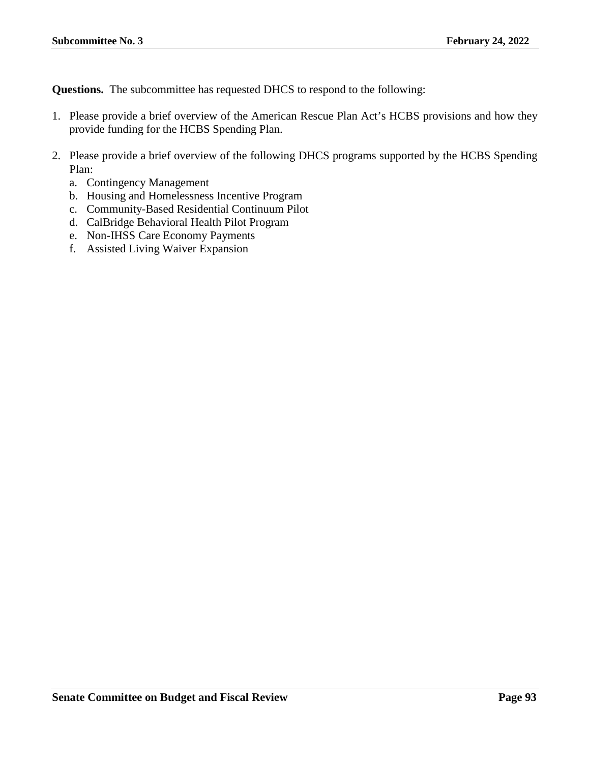**Questions.** The subcommittee has requested DHCS to respond to the following:

- 1. Please provide a brief overview of the American Rescue Plan Act's HCBS provisions and how they provide funding for the HCBS Spending Plan.
- 2. Please provide a brief overview of the following DHCS programs supported by the HCBS Spending Plan:
	- a. Contingency Management
	- b. Housing and Homelessness Incentive Program
	- c. Community-Based Residential Continuum Pilot
	- d. CalBridge Behavioral Health Pilot Program
	- e. Non-IHSS Care Economy Payments
	- f. Assisted Living Waiver Expansion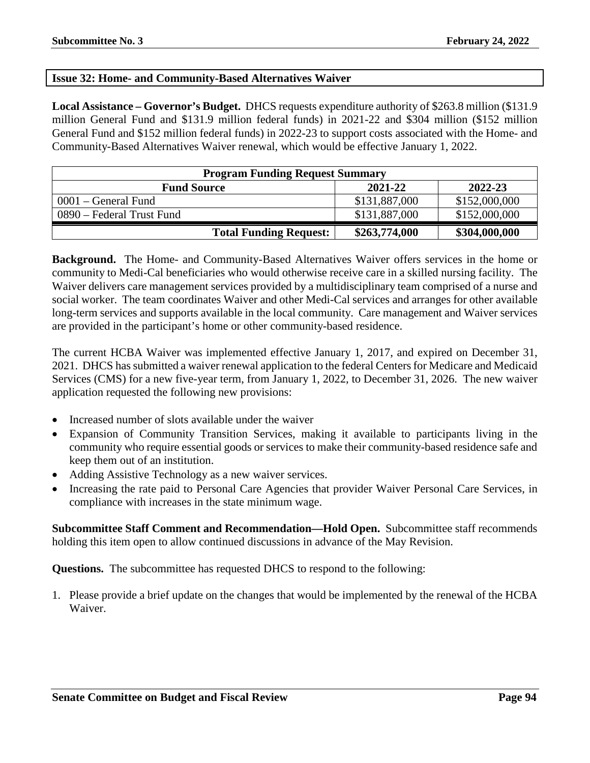### **Issue 32: Home- and Community-Based Alternatives Waiver**

**Local Assistance – Governor's Budget.** DHCS requests expenditure authority of \$263.8 million (\$131.9 million General Fund and \$131.9 million federal funds) in 2021-22 and \$304 million (\$152 million General Fund and \$152 million federal funds) in 2022-23 to support costs associated with the Home- and Community-Based Alternatives Waiver renewal, which would be effective January 1, 2022.

| <b>Program Funding Request Summary</b> |               |               |
|----------------------------------------|---------------|---------------|
| <b>Fund Source</b>                     | 2021-22       | 2022-23       |
| 0001 – General Fund                    | \$131,887,000 | \$152,000,000 |
| 0890 – Federal Trust Fund              | \$131,887,000 | \$152,000,000 |
| <b>Total Funding Request:</b>          | \$263,774,000 | \$304,000,000 |

**Background.** The Home- and Community-Based Alternatives Waiver offers services in the home or community to Medi-Cal beneficiaries who would otherwise receive care in a skilled nursing facility. The Waiver delivers care management services provided by a multidisciplinary team comprised of a nurse and social worker. The team coordinates Waiver and other Medi-Cal services and arranges for other available long-term services and supports available in the local community. Care management and Waiver services are provided in the participant's home or other community-based residence.

The current HCBA Waiver was implemented effective January 1, 2017, and expired on December 31, 2021. DHCS has submitted a waiver renewal application to the federal Centers for Medicare and Medicaid Services (CMS) for a new five-year term, from January 1, 2022, to December 31, 2026. The new waiver application requested the following new provisions:

- Increased number of slots available under the waiver
- Expansion of Community Transition Services, making it available to participants living in the community who require essential goods or services to make their community-based residence safe and keep them out of an institution.
- Adding Assistive Technology as a new waiver services.
- Increasing the rate paid to Personal Care Agencies that provider Waiver Personal Care Services, in compliance with increases in the state minimum wage.

**Subcommittee Staff Comment and Recommendation—Hold Open.** Subcommittee staff recommends holding this item open to allow continued discussions in advance of the May Revision.

**Questions.** The subcommittee has requested DHCS to respond to the following:

1. Please provide a brief update on the changes that would be implemented by the renewal of the HCBA Waiver.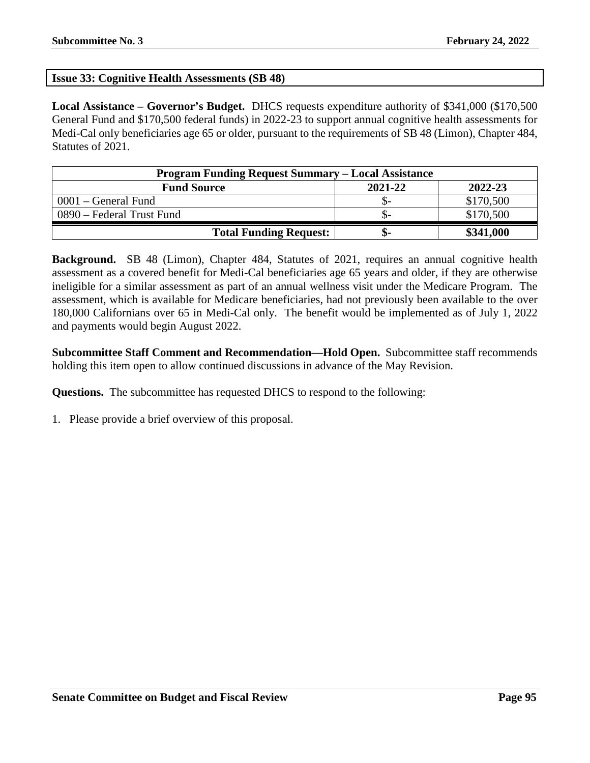### **Issue 33: Cognitive Health Assessments (SB 48)**

**Local Assistance – Governor's Budget.** DHCS requests expenditure authority of \$341,000 (\$170,500 General Fund and \$170,500 federal funds) in 2022-23 to support annual cognitive health assessments for Medi-Cal only beneficiaries age 65 or older, pursuant to the requirements of SB 48 (Limon), Chapter 484, Statutes of 2021.

| <b>Program Funding Request Summary – Local Assistance</b> |         |           |  |
|-----------------------------------------------------------|---------|-----------|--|
| <b>Fund Source</b>                                        | 2021-22 | 2022-23   |  |
| 0001 – General Fund                                       |         | \$170,500 |  |
| 0890 – Federal Trust Fund                                 |         | \$170,500 |  |
| <b>Total Funding Request:</b>                             | ה-      | \$341,000 |  |

**Background.** SB 48 (Limon), Chapter 484, Statutes of 2021, requires an annual cognitive health assessment as a covered benefit for Medi-Cal beneficiaries age 65 years and older, if they are otherwise ineligible for a similar assessment as part of an annual wellness visit under the Medicare Program. The assessment, which is available for Medicare beneficiaries, had not previously been available to the over 180,000 Californians over 65 in Medi-Cal only. The benefit would be implemented as of July 1, 2022 and payments would begin August 2022.

**Subcommittee Staff Comment and Recommendation—Hold Open.** Subcommittee staff recommends holding this item open to allow continued discussions in advance of the May Revision.

**Questions.** The subcommittee has requested DHCS to respond to the following: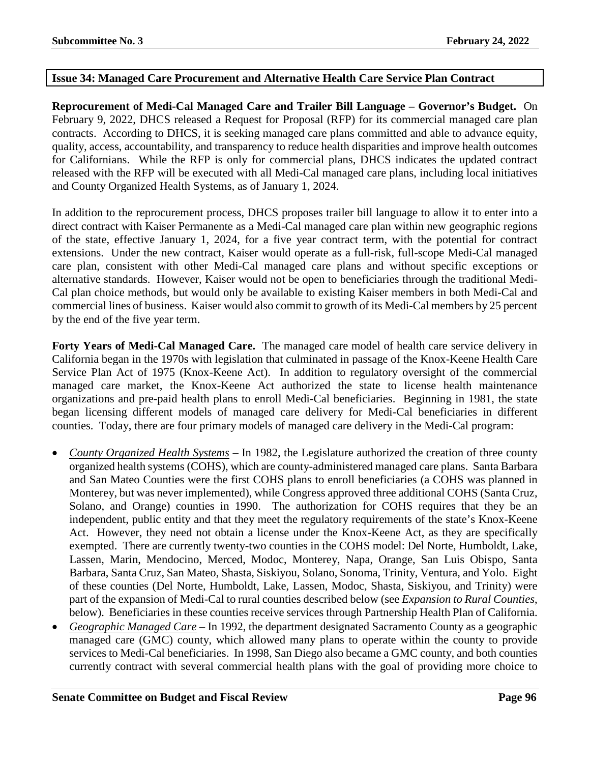### **Issue 34: Managed Care Procurement and Alternative Health Care Service Plan Contract**

**Reprocurement of Medi-Cal Managed Care and Trailer Bill Language – Governor's Budget.** On February 9, 2022, DHCS released a Request for Proposal (RFP) for its commercial managed care plan contracts. According to DHCS, it is seeking managed care plans committed and able to advance equity, quality, access, accountability, and transparency to reduce health disparities and improve health outcomes for Californians. While the RFP is only for commercial plans, DHCS indicates the updated contract released with the RFP will be executed with all Medi-Cal managed care plans, including local initiatives and County Organized Health Systems, as of January 1, 2024.

In addition to the reprocurement process, DHCS proposes trailer bill language to allow it to enter into a direct contract with Kaiser Permanente as a Medi-Cal managed care plan within new geographic regions of the state, effective January 1, 2024, for a five year contract term, with the potential for contract extensions. Under the new contract, Kaiser would operate as a full-risk, full-scope Medi-Cal managed care plan, consistent with other Medi-Cal managed care plans and without specific exceptions or alternative standards. However, Kaiser would not be open to beneficiaries through the traditional Medi-Cal plan choice methods, but would only be available to existing Kaiser members in both Medi-Cal and commercial lines of business. Kaiser would also commit to growth of its Medi-Cal members by 25 percent by the end of the five year term.

**Forty Years of Medi-Cal Managed Care.** The managed care model of health care service delivery in California began in the 1970s with legislation that culminated in passage of the Knox-Keene Health Care Service Plan Act of 1975 (Knox-Keene Act). In addition to regulatory oversight of the commercial managed care market, the Knox-Keene Act authorized the state to license health maintenance organizations and pre-paid health plans to enroll Medi-Cal beneficiaries. Beginning in 1981, the state began licensing different models of managed care delivery for Medi-Cal beneficiaries in different counties. Today, there are four primary models of managed care delivery in the Medi-Cal program:

- *County Organized Health Systems* In 1982, the Legislature authorized the creation of three county organized health systems (COHS), which are county-administered managed care plans. Santa Barbara and San Mateo Counties were the first COHS plans to enroll beneficiaries (a COHS was planned in Monterey, but was never implemented), while Congress approved three additional COHS (Santa Cruz, Solano, and Orange) counties in 1990. The authorization for COHS requires that they be an independent, public entity and that they meet the regulatory requirements of the state's Knox-Keene Act. However, they need not obtain a license under the Knox-Keene Act, as they are specifically exempted. There are currently twenty-two counties in the COHS model: Del Norte, Humboldt, Lake, Lassen, Marin, Mendocino, Merced, Modoc, Monterey, Napa, Orange, San Luis Obispo, Santa Barbara, Santa Cruz, San Mateo, Shasta, Siskiyou, Solano, Sonoma, Trinity, Ventura, and Yolo. Eight of these counties (Del Norte, Humboldt, Lake, Lassen, Modoc, Shasta, Siskiyou, and Trinity) were part of the expansion of Medi-Cal to rural counties described below (see *Expansion to Rural Counties*, below). Beneficiaries in these counties receive services through Partnership Health Plan of California.
- *Geographic Managed Care* In 1992, the department designated Sacramento County as a geographic managed care (GMC) county, which allowed many plans to operate within the county to provide services to Medi-Cal beneficiaries. In 1998, San Diego also became a GMC county, and both counties currently contract with several commercial health plans with the goal of providing more choice to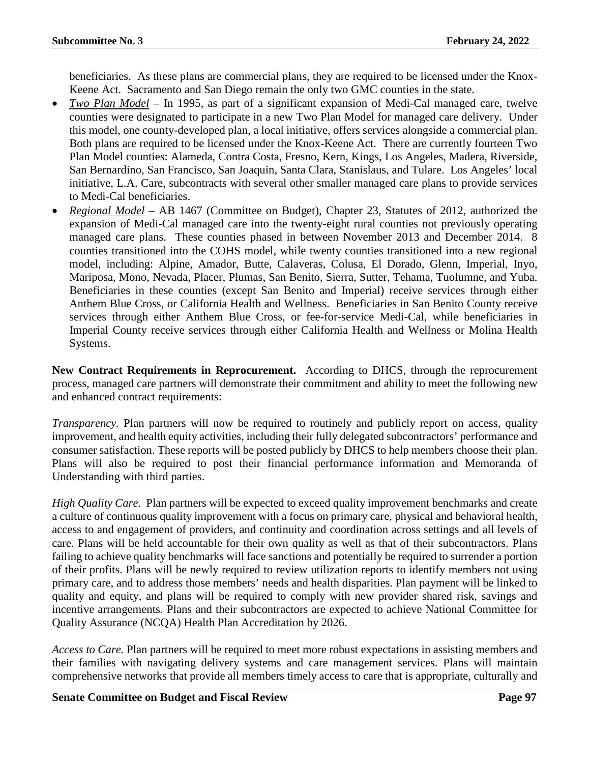beneficiaries. As these plans are commercial plans, they are required to be licensed under the Knox-Keene Act. Sacramento and San Diego remain the only two GMC counties in the state.

- *Two Plan Model* In 1995, as part of a significant expansion of Medi-Cal managed care, twelve counties were designated to participate in a new Two Plan Model for managed care delivery. Under this model, one county-developed plan, a local initiative, offers services alongside a commercial plan. Both plans are required to be licensed under the Knox-Keene Act. There are currently fourteen Two Plan Model counties: Alameda, Contra Costa, Fresno, Kern, Kings, Los Angeles, Madera, Riverside, San Bernardino, San Francisco, San Joaquin, Santa Clara, Stanislaus, and Tulare. Los Angeles' local initiative, L.A. Care, subcontracts with several other smaller managed care plans to provide services to Medi-Cal beneficiaries.
- *Regional Model* AB 1467 (Committee on Budget), Chapter 23, Statutes of 2012, authorized the expansion of Medi-Cal managed care into the twenty-eight rural counties not previously operating managed care plans. These counties phased in between November 2013 and December 2014. 8 counties transitioned into the COHS model, while twenty counties transitioned into a new regional model, including: Alpine, Amador, Butte, Calaveras, Colusa, El Dorado, Glenn, Imperial, Inyo, Mariposa, Mono, Nevada, Placer, Plumas, San Benito, Sierra, Sutter, Tehama, Tuolumne, and Yuba. Beneficiaries in these counties (except San Benito and Imperial) receive services through either Anthem Blue Cross, or California Health and Wellness. Beneficiaries in San Benito County receive services through either Anthem Blue Cross, or fee-for-service Medi-Cal, while beneficiaries in Imperial County receive services through either California Health and Wellness or Molina Health Systems.

**New Contract Requirements in Reprocurement.** According to DHCS, through the reprocurement process, managed care partners will demonstrate their commitment and ability to meet the following new and enhanced contract requirements:

*Transparency.* Plan partners will now be required to routinely and publicly report on access, quality improvement, and health equity activities, including their fully delegated subcontractors' performance and consumer satisfaction. These reports will be posted publicly by DHCS to help members choose their plan. Plans will also be required to post their financial performance information and Memoranda of Understanding with third parties.

*High Quality Care.* Plan partners will be expected to exceed quality improvement benchmarks and create a culture of continuous quality improvement with a focus on primary care, physical and behavioral health, access to and engagement of providers, and continuity and coordination across settings and all levels of care. Plans will be held accountable for their own quality as well as that of their subcontractors. Plans failing to achieve quality benchmarks will face sanctions and potentially be required to surrender a portion of their profits. Plans will be newly required to review utilization reports to identify members not using primary care, and to address those members' needs and health disparities. Plan payment will be linked to quality and equity, and plans will be required to comply with new provider shared risk, savings and incentive arrangements. Plans and their subcontractors are expected to achieve National Committee for Quality Assurance (NCQA) Health Plan Accreditation by 2026.

*Access to Care.* Plan partners will be required to meet more robust expectations in assisting members and their families with navigating delivery systems and care management services. Plans will maintain comprehensive networks that provide all members timely access to care that is appropriate, culturally and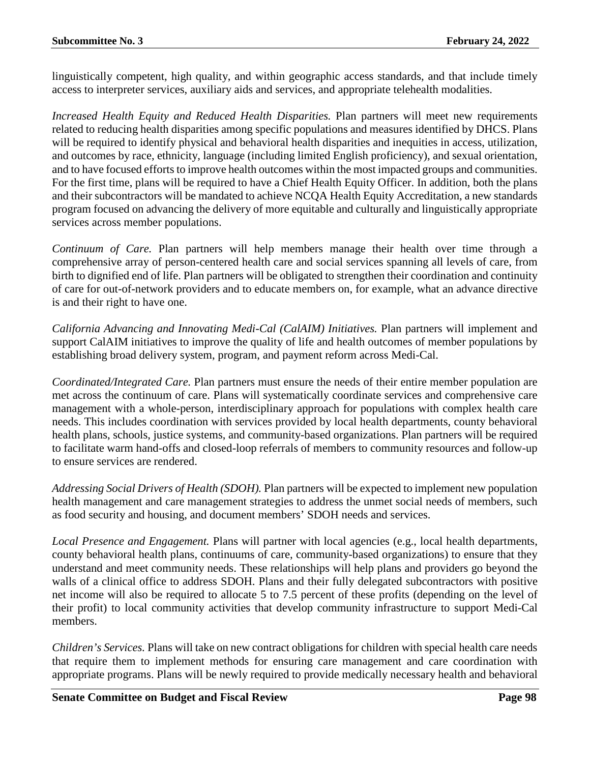linguistically competent, high quality, and within geographic access standards, and that include timely access to interpreter services, auxiliary aids and services, and appropriate telehealth modalities.

*Increased Health Equity and Reduced Health Disparities.* Plan partners will meet new requirements related to reducing health disparities among specific populations and measures identified by DHCS. Plans will be required to identify physical and behavioral health disparities and inequities in access, utilization, and outcomes by race, ethnicity, language (including limited English proficiency), and sexual orientation, and to have focused efforts to improve health outcomes within the most impacted groups and communities. For the first time, plans will be required to have a Chief Health Equity Officer. In addition, both the plans and their subcontractors will be mandated to achieve NCQA Health Equity Accreditation, a new standards program focused on advancing the delivery of more equitable and culturally and linguistically appropriate services across member populations.

*Continuum of Care.* Plan partners will help members manage their health over time through a comprehensive array of person-centered health care and social services spanning all levels of care, from birth to dignified end of life. Plan partners will be obligated to strengthen their coordination and continuity of care for out-of-network providers and to educate members on, for example, what an advance directive is and their right to have one.

*California Advancing and Innovating Medi-Cal (CalAIM) Initiatives.* Plan partners will implement and support CalAIM initiatives to improve the quality of life and health outcomes of member populations by establishing broad delivery system, program, and payment reform across Medi-Cal.

*Coordinated/Integrated Care.* Plan partners must ensure the needs of their entire member population are met across the continuum of care. Plans will systematically coordinate services and comprehensive care management with a whole-person, interdisciplinary approach for populations with complex health care needs. This includes coordination with services provided by local health departments, county behavioral health plans, schools, justice systems, and community-based organizations. Plan partners will be required to facilitate warm hand-offs and closed-loop referrals of members to community resources and follow-up to ensure services are rendered.

*Addressing Social Drivers of Health (SDOH).* Plan partners will be expected to implement new population health management and care management strategies to address the unmet social needs of members, such as food security and housing, and document members' SDOH needs and services.

*Local Presence and Engagement.* Plans will partner with local agencies (e.g., local health departments, county behavioral health plans, continuums of care, community-based organizations) to ensure that they understand and meet community needs. These relationships will help plans and providers go beyond the walls of a clinical office to address SDOH. Plans and their fully delegated subcontractors with positive net income will also be required to allocate 5 to 7.5 percent of these profits (depending on the level of their profit) to local community activities that develop community infrastructure to support Medi-Cal members.

*Children's Services.* Plans will take on new contract obligations for children with special health care needs that require them to implement methods for ensuring care management and care coordination with appropriate programs. Plans will be newly required to provide medically necessary health and behavioral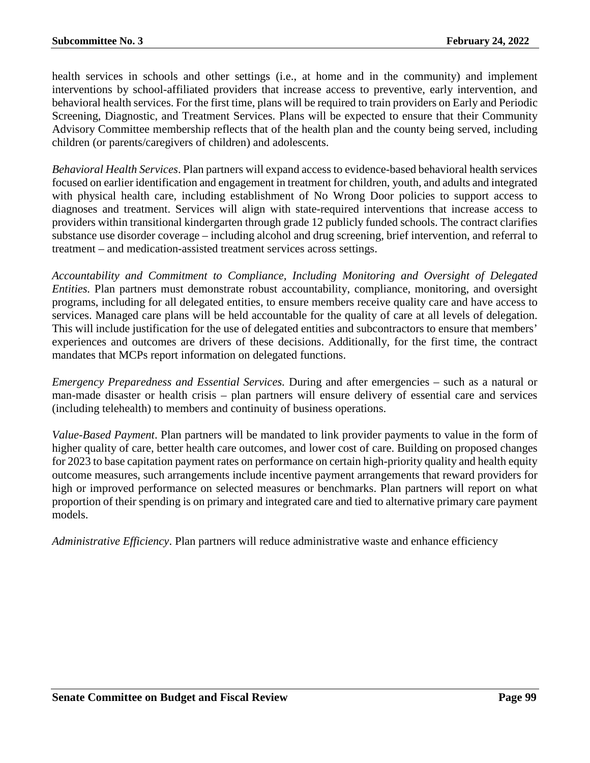health services in schools and other settings (i.e., at home and in the community) and implement interventions by school-affiliated providers that increase access to preventive, early intervention, and behavioral health services. For the first time, plans will be required to train providers on Early and Periodic Screening, Diagnostic, and Treatment Services. Plans will be expected to ensure that their Community Advisory Committee membership reflects that of the health plan and the county being served, including children (or parents/caregivers of children) and adolescents.

*Behavioral Health Services*. Plan partners will expand access to evidence-based behavioral health services focused on earlier identification and engagement in treatment for children, youth, and adults and integrated with physical health care, including establishment of No Wrong Door policies to support access to diagnoses and treatment. Services will align with state-required interventions that increase access to providers within transitional kindergarten through grade 12 publicly funded schools. The contract clarifies substance use disorder coverage – including alcohol and drug screening, brief intervention, and referral to treatment – and medication-assisted treatment services across settings.

*Accountability and Commitment to Compliance, Including Monitoring and Oversight of Delegated Entities.* Plan partners must demonstrate robust accountability, compliance, monitoring, and oversight programs, including for all delegated entities, to ensure members receive quality care and have access to services. Managed care plans will be held accountable for the quality of care at all levels of delegation. This will include justification for the use of delegated entities and subcontractors to ensure that members' experiences and outcomes are drivers of these decisions. Additionally, for the first time, the contract mandates that MCPs report information on delegated functions.

*Emergency Preparedness and Essential Services.* During and after emergencies – such as a natural or man-made disaster or health crisis – plan partners will ensure delivery of essential care and services (including telehealth) to members and continuity of business operations.

*Value-Based Payment*. Plan partners will be mandated to link provider payments to value in the form of higher quality of care, better health care outcomes, and lower cost of care. Building on proposed changes for 2023 to base capitation payment rates on performance on certain high-priority quality and health equity outcome measures, such arrangements include incentive payment arrangements that reward providers for high or improved performance on selected measures or benchmarks. Plan partners will report on what proportion of their spending is on primary and integrated care and tied to alternative primary care payment models.

*Administrative Efficiency*. Plan partners will reduce administrative waste and enhance efficiency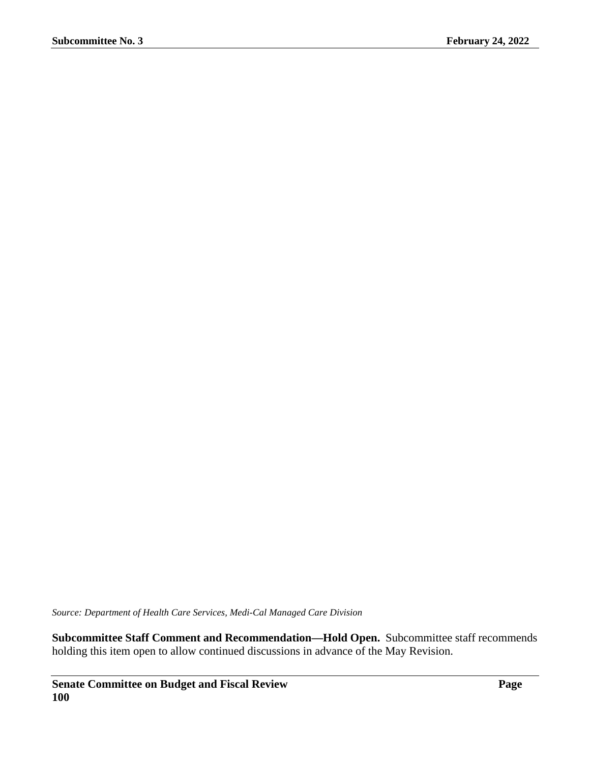*Source: Department of Health Care Services, Medi-Cal Managed Care Division*

**Subcommittee Staff Comment and Recommendation—Hold Open.** Subcommittee staff recommends holding this item open to allow continued discussions in advance of the May Revision.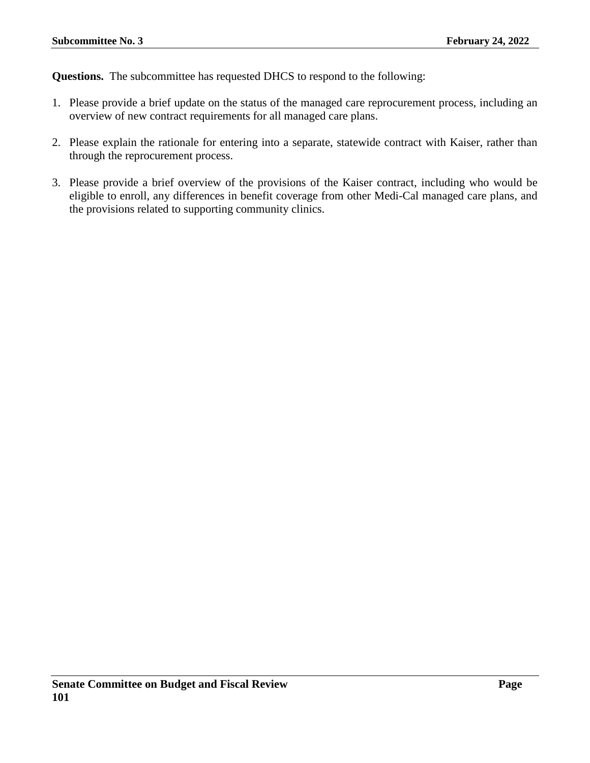**Questions.** The subcommittee has requested DHCS to respond to the following:

- 1. Please provide a brief update on the status of the managed care reprocurement process, including an overview of new contract requirements for all managed care plans.
- 2. Please explain the rationale for entering into a separate, statewide contract with Kaiser, rather than through the reprocurement process.
- 3. Please provide a brief overview of the provisions of the Kaiser contract, including who would be eligible to enroll, any differences in benefit coverage from other Medi-Cal managed care plans, and the provisions related to supporting community clinics.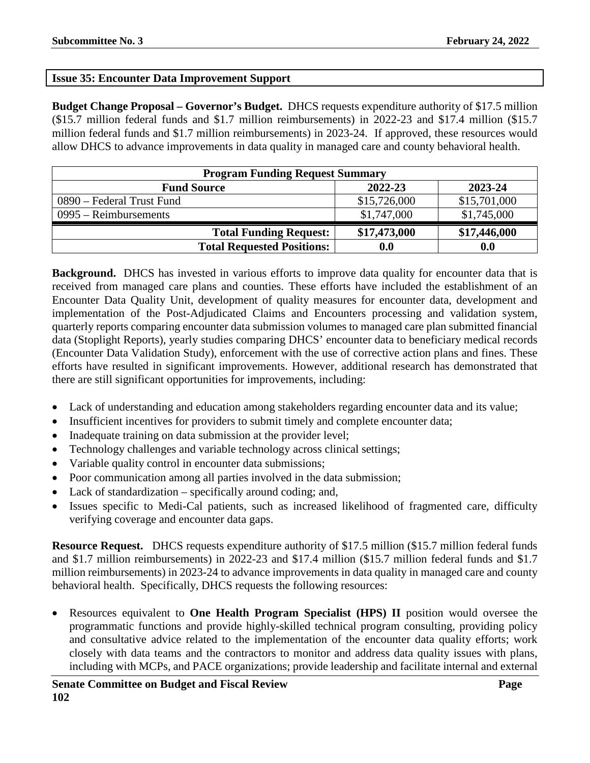# **Issue 35: Encounter Data Improvement Support**

**Budget Change Proposal – Governor's Budget.** DHCS requests expenditure authority of \$17.5 million (\$15.7 million federal funds and \$1.7 million reimbursements) in 2022-23 and \$17.4 million (\$15.7 million federal funds and \$1.7 million reimbursements) in 2023-24. If approved, these resources would allow DHCS to advance improvements in data quality in managed care and county behavioral health.

| <b>Program Funding Request Summary</b> |                    |              |
|----------------------------------------|--------------------|--------------|
| <b>Fund Source</b>                     | 2022-23            | 2023-24      |
| 0890 – Federal Trust Fund              | \$15,726,000       | \$15,701,000 |
| $0995 - Reimbursements$                | \$1,747,000        | \$1,745,000  |
| <b>Total Funding Request:</b>          | \$17,473,000       | \$17,446,000 |
| <b>Total Requested Positions:</b>      | $\boldsymbol{0.0}$ | 0.0          |

**Background.** DHCS has invested in various efforts to improve data quality for encounter data that is received from managed care plans and counties. These efforts have included the establishment of an Encounter Data Quality Unit, development of quality measures for encounter data, development and implementation of the Post-Adjudicated Claims and Encounters processing and validation system, quarterly reports comparing encounter data submission volumes to managed care plan submitted financial data (Stoplight Reports), yearly studies comparing DHCS' encounter data to beneficiary medical records (Encounter Data Validation Study), enforcement with the use of corrective action plans and fines. These efforts have resulted in significant improvements. However, additional research has demonstrated that there are still significant opportunities for improvements, including:

- Lack of understanding and education among stakeholders regarding encounter data and its value;
- Insufficient incentives for providers to submit timely and complete encounter data;
- Inadequate training on data submission at the provider level;
- Technology challenges and variable technology across clinical settings;
- Variable quality control in encounter data submissions;
- Poor communication among all parties involved in the data submission;
- Lack of standardization specifically around coding; and,
- Issues specific to Medi-Cal patients, such as increased likelihood of fragmented care, difficulty verifying coverage and encounter data gaps.

**Resource Request.** DHCS requests expenditure authority of \$17.5 million (\$15.7 million federal funds and \$1.7 million reimbursements) in 2022-23 and \$17.4 million (\$15.7 million federal funds and \$1.7 million reimbursements) in 2023-24 to advance improvements in data quality in managed care and county behavioral health. Specifically, DHCS requests the following resources:

• Resources equivalent to **One Health Program Specialist (HPS) II** position would oversee the programmatic functions and provide highly-skilled technical program consulting, providing policy and consultative advice related to the implementation of the encounter data quality efforts; work closely with data teams and the contractors to monitor and address data quality issues with plans, including with MCPs, and PACE organizations; provide leadership and facilitate internal and external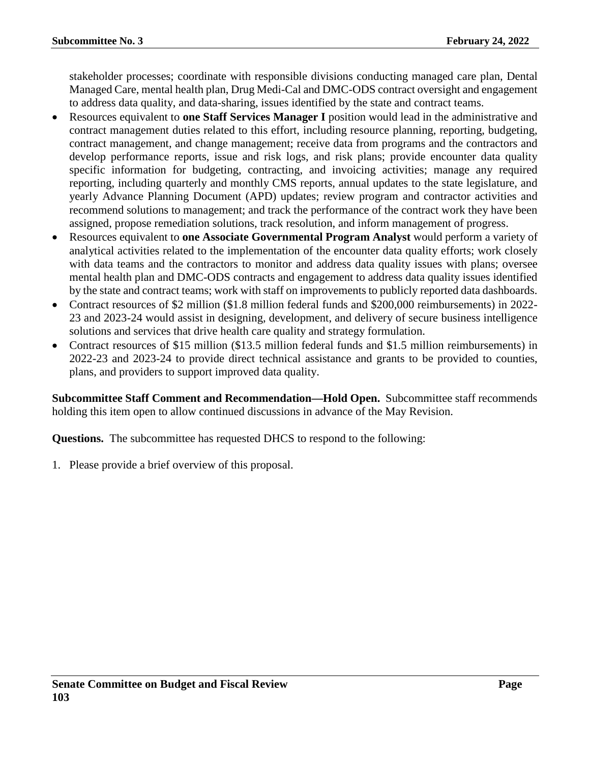stakeholder processes; coordinate with responsible divisions conducting managed care plan, Dental Managed Care, mental health plan, Drug Medi-Cal and DMC-ODS contract oversight and engagement to address data quality, and data-sharing, issues identified by the state and contract teams.

- Resources equivalent to **one Staff Services Manager I** position would lead in the administrative and contract management duties related to this effort, including resource planning, reporting, budgeting, contract management, and change management; receive data from programs and the contractors and develop performance reports, issue and risk logs, and risk plans; provide encounter data quality specific information for budgeting, contracting, and invoicing activities; manage any required reporting, including quarterly and monthly CMS reports, annual updates to the state legislature, and yearly Advance Planning Document (APD) updates; review program and contractor activities and recommend solutions to management; and track the performance of the contract work they have been assigned, propose remediation solutions, track resolution, and inform management of progress.
- Resources equivalent to **one Associate Governmental Program Analyst** would perform a variety of analytical activities related to the implementation of the encounter data quality efforts; work closely with data teams and the contractors to monitor and address data quality issues with plans; oversee mental health plan and DMC-ODS contracts and engagement to address data quality issues identified by the state and contract teams; work with staff on improvements to publicly reported data dashboards.
- Contract resources of \$2 million (\$1.8 million federal funds and \$200,000 reimbursements) in 2022- 23 and 2023-24 would assist in designing, development, and delivery of secure business intelligence solutions and services that drive health care quality and strategy formulation.
- Contract resources of \$15 million (\$13.5 million federal funds and \$1.5 million reimbursements) in 2022-23 and 2023-24 to provide direct technical assistance and grants to be provided to counties, plans, and providers to support improved data quality.

**Subcommittee Staff Comment and Recommendation—Hold Open.** Subcommittee staff recommends holding this item open to allow continued discussions in advance of the May Revision.

**Questions.** The subcommittee has requested DHCS to respond to the following: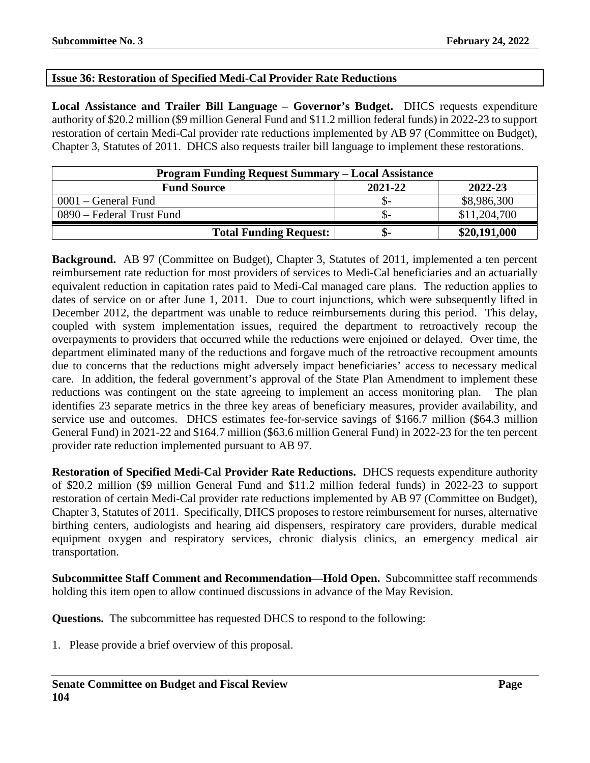# **Issue 36: Restoration of Specified Medi-Cal Provider Rate Reductions**

**Local Assistance and Trailer Bill Language – Governor's Budget.** DHCS requests expenditure authority of \$20.2 million (\$9 million General Fund and \$11.2 million federal funds) in 2022-23 to support restoration of certain Medi-Cal provider rate reductions implemented by AB 97 (Committee on Budget), Chapter 3, Statutes of 2011. DHCS also requests trailer bill language to implement these restorations.

| <b>Program Funding Request Summary – Local Assistance</b> |         |              |  |
|-----------------------------------------------------------|---------|--------------|--|
| <b>Fund Source</b>                                        | 2021-22 | 2022-23      |  |
| $0001$ – General Fund                                     |         | \$8,986,300  |  |
| 0890 – Federal Trust Fund                                 | .১–     | \$11,204,700 |  |
| <b>Total Funding Request:</b>                             | ক্ত-    | \$20,191,000 |  |

**Background.** AB 97 (Committee on Budget), Chapter 3, Statutes of 2011, implemented a ten percent reimbursement rate reduction for most providers of services to Medi-Cal beneficiaries and an actuarially equivalent reduction in capitation rates paid to Medi-Cal managed care plans. The reduction applies to dates of service on or after June 1, 2011. Due to court injunctions, which were subsequently lifted in December 2012, the department was unable to reduce reimbursements during this period. This delay, coupled with system implementation issues, required the department to retroactively recoup the overpayments to providers that occurred while the reductions were enjoined or delayed. Over time, the department eliminated many of the reductions and forgave much of the retroactive recoupment amounts due to concerns that the reductions might adversely impact beneficiaries' access to necessary medical care. In addition, the federal government's approval of the State Plan Amendment to implement these reductions was contingent on the state agreeing to implement an access monitoring plan. The plan identifies 23 separate metrics in the three key areas of beneficiary measures, provider availability, and service use and outcomes. DHCS estimates fee-for-service savings of \$166.7 million (\$64.3 million General Fund) in 2021-22 and \$164.7 million (\$63.6 million General Fund) in 2022-23 for the ten percent provider rate reduction implemented pursuant to AB 97.

**Restoration of Specified Medi-Cal Provider Rate Reductions.** DHCS requests expenditure authority of \$20.2 million (\$9 million General Fund and \$11.2 million federal funds) in 2022-23 to support restoration of certain Medi-Cal provider rate reductions implemented by AB 97 (Committee on Budget), Chapter 3, Statutes of 2011. Specifically, DHCS proposes to restore reimbursement for nurses, alternative birthing centers, audiologists and hearing aid dispensers, respiratory care providers, durable medical equipment oxygen and respiratory services, chronic dialysis clinics, an emergency medical air transportation.

**Subcommittee Staff Comment and Recommendation—Hold Open.** Subcommittee staff recommends holding this item open to allow continued discussions in advance of the May Revision.

**Questions.** The subcommittee has requested DHCS to respond to the following: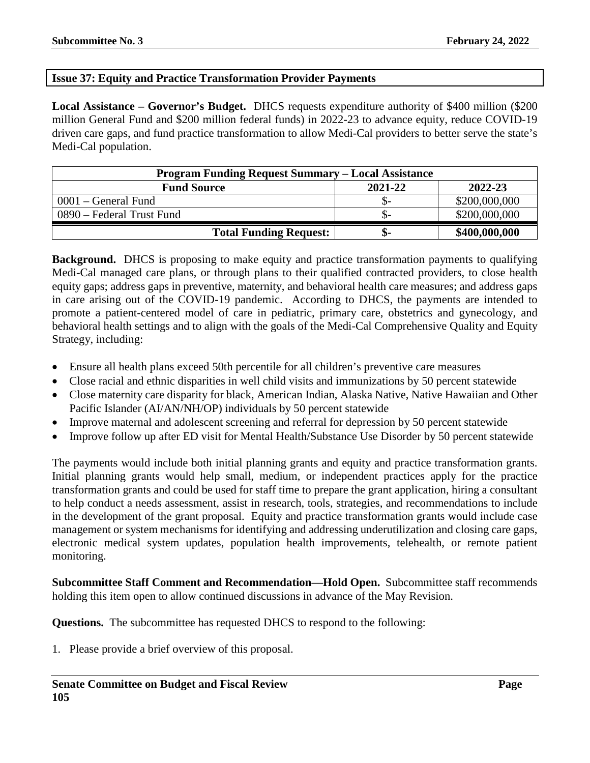## **Issue 37: Equity and Practice Transformation Provider Payments**

**Local Assistance – Governor's Budget.** DHCS requests expenditure authority of \$400 million (\$200 million General Fund and \$200 million federal funds) in 2022-23 to advance equity, reduce COVID-19 driven care gaps, and fund practice transformation to allow Medi-Cal providers to better serve the state's Medi-Cal population.

| <b>Program Funding Request Summary – Local Assistance</b> |         |               |  |
|-----------------------------------------------------------|---------|---------------|--|
| <b>Fund Source</b>                                        | 2021-22 | 2022-23       |  |
| $0001$ – General Fund                                     | .D-     | \$200,000,000 |  |
| 0890 – Federal Trust Fund                                 | .১–     | \$200,000,000 |  |
| <b>Total Funding Request:</b>                             | ক-      | \$400,000,000 |  |

**Background.** DHCS is proposing to make equity and practice transformation payments to qualifying Medi-Cal managed care plans, or through plans to their qualified contracted providers, to close health equity gaps; address gaps in preventive, maternity, and behavioral health care measures; and address gaps in care arising out of the COVID-19 pandemic. According to DHCS, the payments are intended to promote a patient-centered model of care in pediatric, primary care, obstetrics and gynecology, and behavioral health settings and to align with the goals of the Medi-Cal Comprehensive Quality and Equity Strategy, including:

- Ensure all health plans exceed 50th percentile for all children's preventive care measures
- Close racial and ethnic disparities in well child visits and immunizations by 50 percent statewide
- Close maternity care disparity for black, American Indian, Alaska Native, Native Hawaiian and Other Pacific Islander (AI/AN/NH/OP) individuals by 50 percent statewide
- Improve maternal and adolescent screening and referral for depression by 50 percent statewide
- Improve follow up after ED visit for Mental Health/Substance Use Disorder by 50 percent statewide

The payments would include both initial planning grants and equity and practice transformation grants. Initial planning grants would help small, medium, or independent practices apply for the practice transformation grants and could be used for staff time to prepare the grant application, hiring a consultant to help conduct a needs assessment, assist in research, tools, strategies, and recommendations to include in the development of the grant proposal. Equity and practice transformation grants would include case management or system mechanisms for identifying and addressing underutilization and closing care gaps, electronic medical system updates, population health improvements, telehealth, or remote patient monitoring.

**Subcommittee Staff Comment and Recommendation—Hold Open.** Subcommittee staff recommends holding this item open to allow continued discussions in advance of the May Revision.

**Questions.** The subcommittee has requested DHCS to respond to the following: